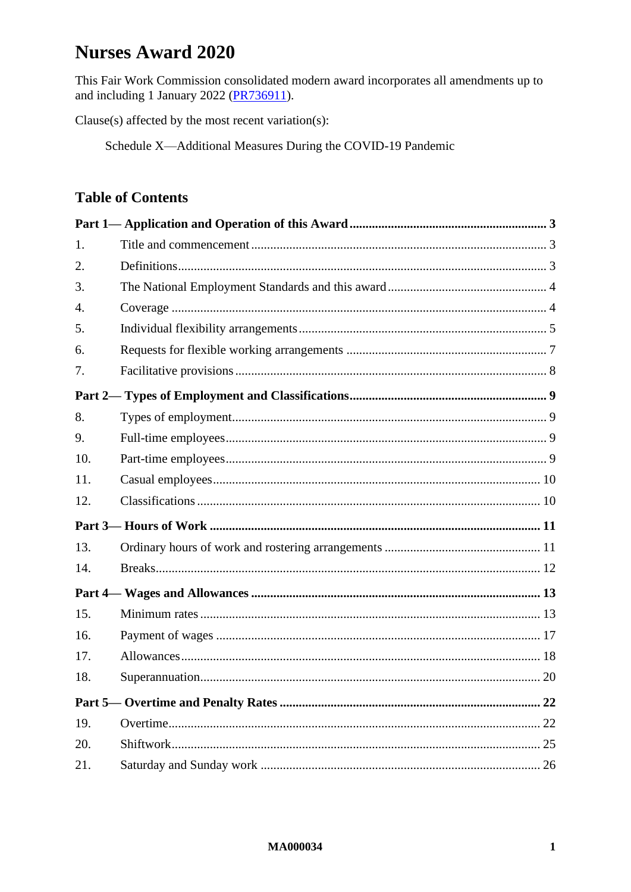# **Nurses Award 2020**

This Fair Work Commission consolidated modern award incorporates all amendments up to and including 1 January 2022 (PR736911).

Clause(s) affected by the most recent variation(s):

Schedule X-Additional Measures During the COVID-19 Pandemic

# **Table of Contents**

| 1.               |  |
|------------------|--|
| 2.               |  |
| 3.               |  |
| $\overline{4}$ . |  |
| 5.               |  |
| 6.               |  |
| 7.               |  |
|                  |  |
| 8.               |  |
| 9.               |  |
| 10.              |  |
| 11.              |  |
| 12.              |  |
|                  |  |
| 13.              |  |
| 14.              |  |
|                  |  |
| 15.              |  |
| 16.              |  |
| 17.              |  |
| 18.              |  |
|                  |  |
| 19.              |  |
| 20.              |  |
| 21.              |  |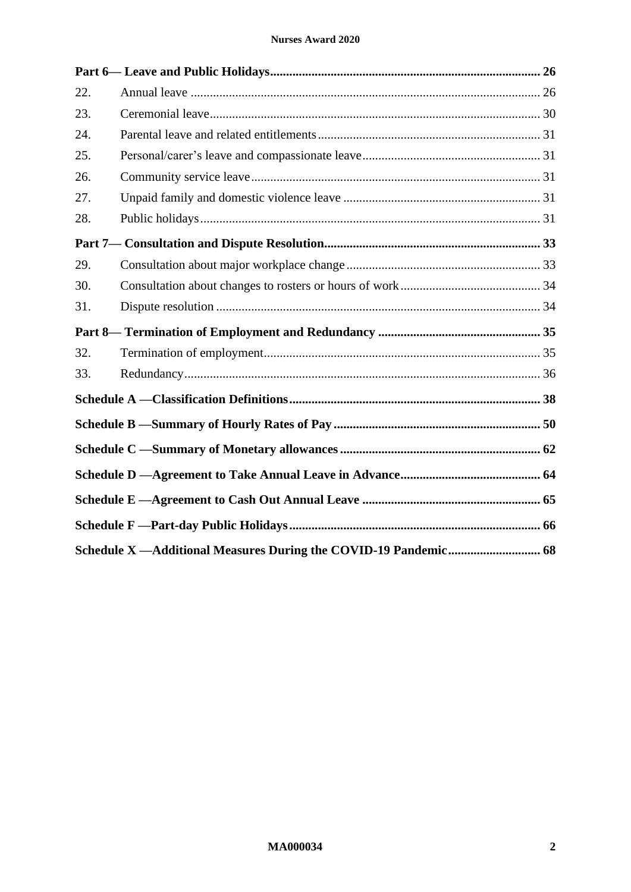| 22. |  |
|-----|--|
| 23. |  |
| 24. |  |
| 25. |  |
| 26. |  |
| 27. |  |
| 28. |  |
|     |  |
| 29. |  |
| 30. |  |
| 31. |  |
|     |  |
| 32. |  |
| 33. |  |
|     |  |
|     |  |
|     |  |
|     |  |
|     |  |
|     |  |
|     |  |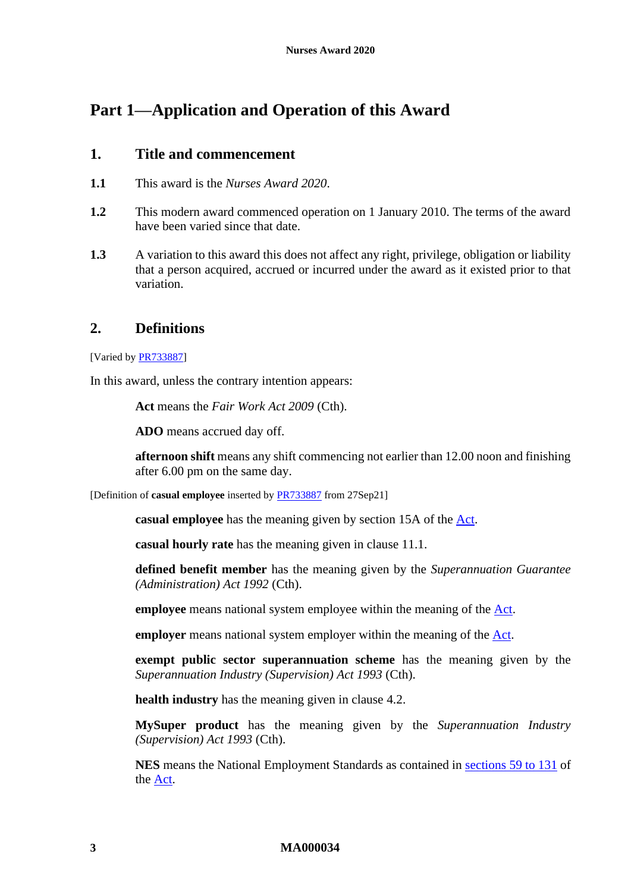# <span id="page-2-1"></span><span id="page-2-0"></span>**Part 1—Application and Operation of this Award**

## **1. Title and commencement**

- **1.1** This award is the *Nurses Award 2020*.
- **1.2** This modern award commenced operation on 1 January 2010. The terms of the award have been varied since that date.
- **1.3** A variation to this award this does not affect any right, privilege, obligation or liability that a person acquired, accrued or incurred under the award as it existed prior to that variation.

## <span id="page-2-4"></span><span id="page-2-2"></span>**2. Definitions**

[Varied b[y PR733887\]](https://www.fwc.gov.au/documents/awardsandorders/html/pr733887.htm)

In this award, unless the contrary intention appears:

**Act** means the *Fair Work Act 2009* (Cth).

**ADO** means accrued day off.

**afternoon shift** means any shift commencing not earlier than 12.00 noon and finishing after 6.00 pm on the same day.

<span id="page-2-3"></span>[Definition of **casual employee** inserted by [PR733887](https://www.fwc.gov.au/documents/awardsandorders/html/pr733887.htm) from 27Sep21]

**casual employee** has the meaning given by section 15A of the [Act.](http://www.legislation.gov.au/Series/C2009A00028)

**casual hourly rate** has the meaning given in clause [11.1.](#page-9-2)

**defined benefit member** has the meaning given by the *Superannuation Guarantee (Administration) Act 1992* (Cth).

**employee** means national system employee within the meaning of the [Act.](http://www.legislation.gov.au/Series/C2009A00028)

**employer** means national system employer within the meaning of the [Act.](http://www.legislation.gov.au/Series/C2009A00028)

**exempt public sector superannuation scheme** has the meaning given by the *Superannuation Industry (Supervision) Act 1993* (Cth).

**health industry** has the meaning given in clause [4.2.](#page-3-2)

**MySuper product** has the meaning given by the *Superannuation Industry (Supervision) Act 1993* (Cth).

**NES** means the National Employment Standards as contained in sections [59 to 131](http://www.fwc.gov.au/awardmod/download/nes.pdf) of the [Act.](http://www.legislation.gov.au/Series/C2009A00028)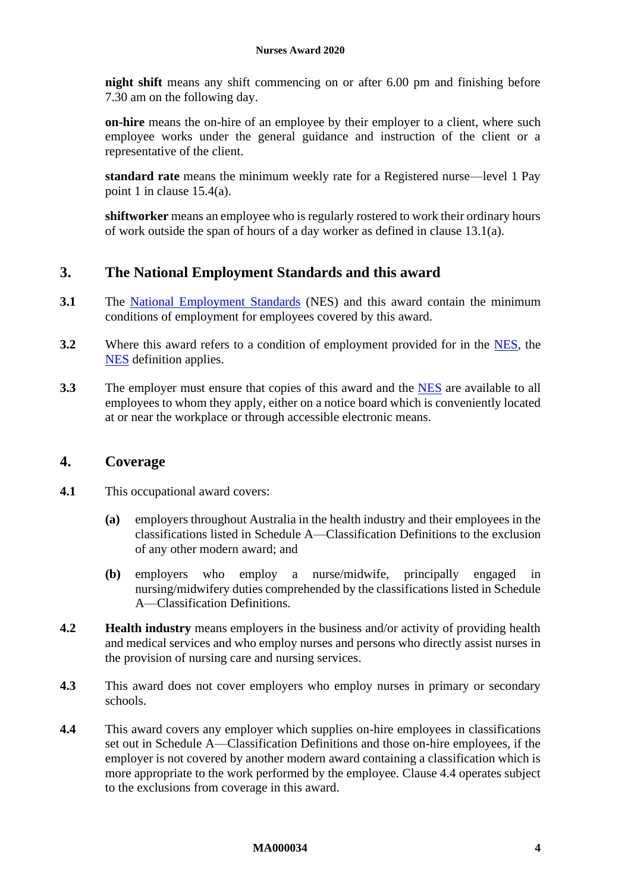**night shift** means any shift commencing on or after 6.00 pm and finishing before 7.30 am on the following day.

**on-hire** means the on-hire of an employee by their employer to a client, where such employee works under the general guidance and instruction of the client or a representative of the client.

**standard rate** means the minimum weekly rate for a Registered nurse—level 1 Pay point 1 in clause [15.4\(a\).](#page-13-0)

**shiftworker** means an employee who is regularly rostered to work their ordinary hours of work outside the span of hours of a day worker as defined in clause [13.1\(a\).](#page-10-2)

# <span id="page-3-0"></span>**3. The National Employment Standards and this award**

- **3.1** The [National Employment Standards](https://www.fwc.gov.au/documents/awardmod/download/nes.pdf) (NES) and this award contain the minimum conditions of employment for employees covered by this award.
- **3.2** Where this award refers to a condition of employment provided for in the [NES,](https://www.fwc.gov.au/documents/awardmod/download/nes.pdf) the [NES](https://www.fwc.gov.au/documents/awardmod/download/nes.pdf) definition applies.
- **3.3** The employer must ensure that copies of this award and the [NES](https://www.fwc.gov.au/documents/awardmod/download/nes.pdf) are available to all employees to whom they apply, either on a notice board which is conveniently located at or near the workplace or through accessible electronic means.

## <span id="page-3-1"></span>**4. Coverage**

- **4.1** This occupational award covers:
	- **(a)** employers throughout Australia in the health industry and their employees in the classifications listed in [Schedule A—Classification Definitions](#page-37-1) to the exclusion of any other modern award; and
	- **(b)** employers who employ a nurse/midwife, principally engaged in nursing/midwifery duties comprehended by the classifications listed in [Schedule](#page-37-1)  [A—Classification Definitions.](#page-37-1)
- <span id="page-3-2"></span>**4.2 Health industry** means employers in the business and/or activity of providing health and medical services and who employ nurses and persons who directly assist nurses in the provision of nursing care and nursing services.
- **4.3** This award does not cover employers who employ nurses in primary or secondary schools.
- <span id="page-3-3"></span>**4.4** This award covers any employer which supplies on-hire employees in classifications set out in [Schedule A—Classification Definitions](#page-37-1) and those on-hire employees, if the employer is not covered by another modern award containing a classification which is more appropriate to the work performed by the employee. Clause [4.4](#page-3-3) operates subject to the exclusions from coverage in this award.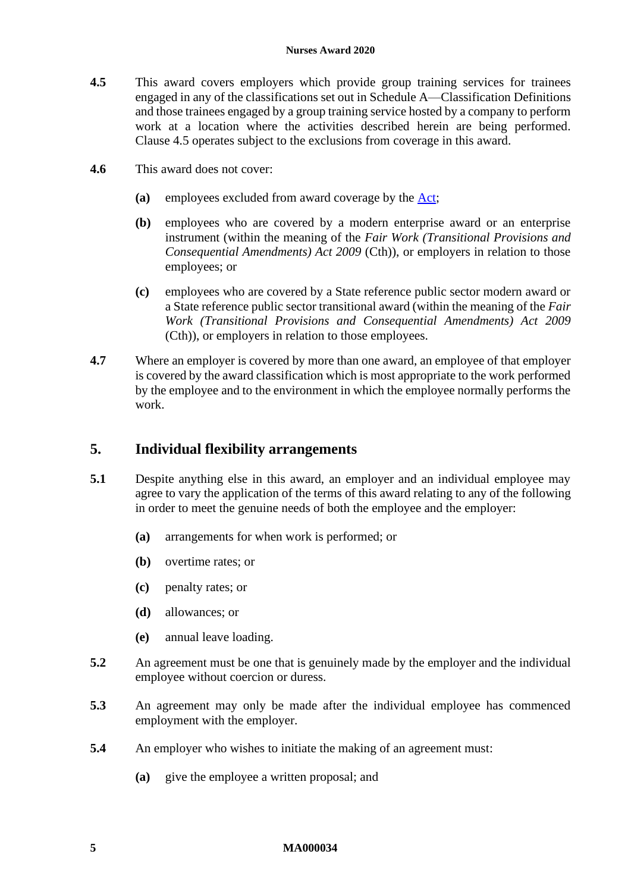#### **Nurses Award 2020**

- <span id="page-4-1"></span>**4.5** This award covers employers which provide group training services for trainees engaged in any of the classifications set out i[n Schedule A—Classification Definitions](#page-37-1) and those trainees engaged by a group training service hosted by a company to perform work at a location where the activities described herein are being performed. Clause [4.5](#page-4-1) operates subject to the exclusions from coverage in this award.
- **4.6** This award does not cover:
	- **(a)** employees excluded from award coverage by the [Act;](http://www.legislation.gov.au/Series/C2009A00028)
	- **(b)** employees who are covered by a modern enterprise award or an enterprise instrument (within the meaning of the *Fair Work (Transitional Provisions and Consequential Amendments) Act 2009* (Cth)), or employers in relation to those employees; or
	- **(c)** employees who are covered by a State reference public sector modern award or a State reference public sector transitional award (within the meaning of the *Fair Work (Transitional Provisions and Consequential Amendments) Act 2009*  (Cth)), or employers in relation to those employees.
- **4.7** Where an employer is covered by more than one award, an employee of that employer is covered by the award classification which is most appropriate to the work performed by the employee and to the environment in which the employee normally performs the work.

## <span id="page-4-2"></span><span id="page-4-0"></span>**5. Individual flexibility arrangements**

- **5.1** Despite anything else in this award, an employer and an individual employee may agree to vary the application of the terms of this award relating to any of the following in order to meet the genuine needs of both the employee and the employer:
	- **(a)** arrangements for when work is performed; or
	- **(b)** overtime rates; or
	- **(c)** penalty rates; or
	- **(d)** allowances; or
	- **(e)** annual leave loading.
- **5.2** An agreement must be one that is genuinely made by the employer and the individual employee without coercion or duress.
- **5.3** An agreement may only be made after the individual employee has commenced employment with the employer.
- **5.4** An employer who wishes to initiate the making of an agreement must:
	- **(a)** give the employee a written proposal; and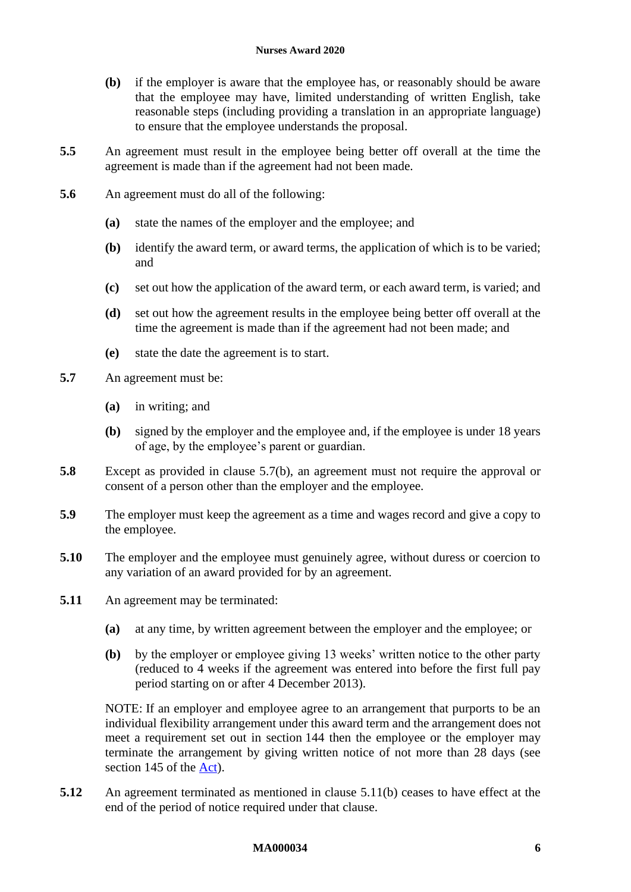#### **Nurses Award 2020**

- **(b)** if the employer is aware that the employee has, or reasonably should be aware that the employee may have, limited understanding of written English, take reasonable steps (including providing a translation in an appropriate language) to ensure that the employee understands the proposal.
- **5.5** An agreement must result in the employee being better off overall at the time the agreement is made than if the agreement had not been made.
- **5.6** An agreement must do all of the following:
	- **(a)** state the names of the employer and the employee; and
	- **(b)** identify the award term, or award terms, the application of which is to be varied; and
	- **(c)** set out how the application of the award term, or each award term, is varied; and
	- **(d)** set out how the agreement results in the employee being better off overall at the time the agreement is made than if the agreement had not been made; and
	- **(e)** state the date the agreement is to start.
- <span id="page-5-0"></span>**5.7** An agreement must be:
	- **(a)** in writing; and
	- **(b)** signed by the employer and the employee and, if the employee is under 18 years of age, by the employee's parent or guardian.
- **5.8** Except as provided in clause [5.7\(b\),](#page-5-0) an agreement must not require the approval or consent of a person other than the employer and the employee.
- **5.9** The employer must keep the agreement as a time and wages record and give a copy to the employee.
- **5.10** The employer and the employee must genuinely agree, without duress or coercion to any variation of an award provided for by an agreement.
- <span id="page-5-1"></span>**5.11** An agreement may be terminated:
	- **(a)** at any time, by written agreement between the employer and the employee; or
	- **(b)** by the employer or employee giving 13 weeks' written notice to the other party (reduced to 4 weeks if the agreement was entered into before the first full pay period starting on or after 4 December 2013).

NOTE: If an employer and employee agree to an arrangement that purports to be an individual flexibility arrangement under this award term and the arrangement does not meet a requirement set out in section 144 then the employee or the employer may terminate the arrangement by giving written notice of not more than 28 days (see section 145 of the [Act\)](http://www.legislation.gov.au/Series/C2009A00028).

**5.12** An agreement terminated as mentioned in clause [5.11\(b\)](#page-5-1) ceases to have effect at the end of the period of notice required under that clause.

#### **MA000034 6**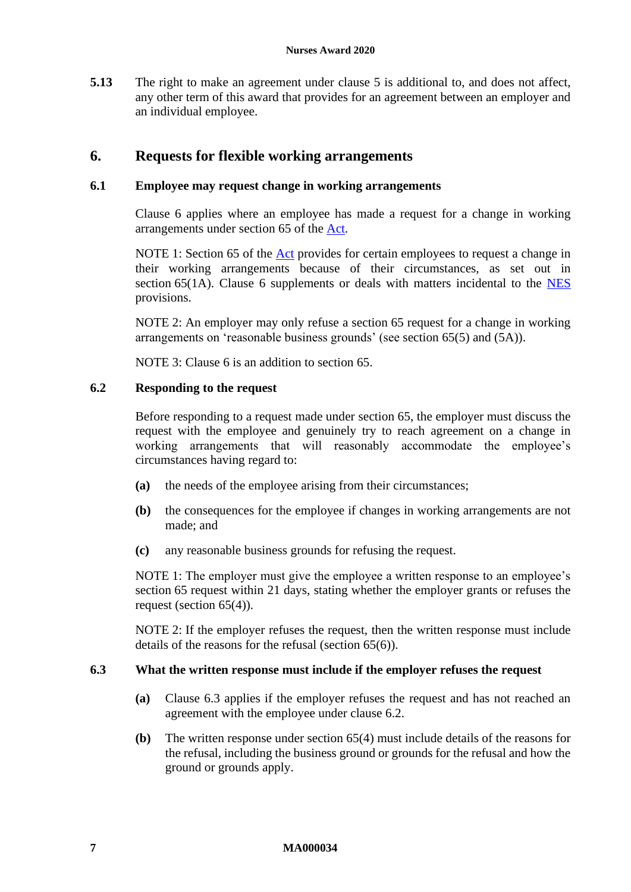**5.13** The right to make an agreement under clause [5](#page-4-2) is additional to, and does not affect, any other term of this award that provides for an agreement between an employer and an individual employee.

# <span id="page-6-1"></span><span id="page-6-0"></span>**6. Requests for flexible working arrangements**

## **6.1 Employee may request change in working arrangements**

Clause [6](#page-6-1) applies where an employee has made a request for a change in working arrangements under section 65 of the [Act.](http://www.legislation.gov.au/Series/C2009A00028)

NOTE 1: Section 65 of the [Act](http://www.legislation.gov.au/Series/C2009A00028) provides for certain employees to request a change in their working arrangements because of their circumstances, as set out in section [6](#page-6-1)5(1A). Clause 6 supplements or deals with matters incidental to the [NES](https://www.fwc.gov.au/documents/awardmod/download/nes.pdf) provisions.

NOTE 2: An employer may only refuse a section 65 request for a change in working arrangements on 'reasonable business grounds' (see section 65(5) and (5A)).

NOTE 3: Clause [6](#page-6-1) is an addition to section 65.

## <span id="page-6-3"></span>**6.2 Responding to the request**

Before responding to a request made under section 65, the employer must discuss the request with the employee and genuinely try to reach agreement on a change in working arrangements that will reasonably accommodate the employee's circumstances having regard to:

- **(a)** the needs of the employee arising from their circumstances;
- **(b)** the consequences for the employee if changes in working arrangements are not made; and
- **(c)** any reasonable business grounds for refusing the request.

NOTE 1: The employer must give the employee a written response to an employee's section 65 request within 21 days, stating whether the employer grants or refuses the request (section 65(4)).

NOTE 2: If the employer refuses the request, then the written response must include details of the reasons for the refusal (section 65(6)).

### <span id="page-6-2"></span>**6.3 What the written response must include if the employer refuses the request**

- **(a)** Clause [6.3](#page-6-2) applies if the employer refuses the request and has not reached an agreement with the employee under clause [6.2.](#page-6-3)
- **(b)** The written response under section 65(4) must include details of the reasons for the refusal, including the business ground or grounds for the refusal and how the ground or grounds apply.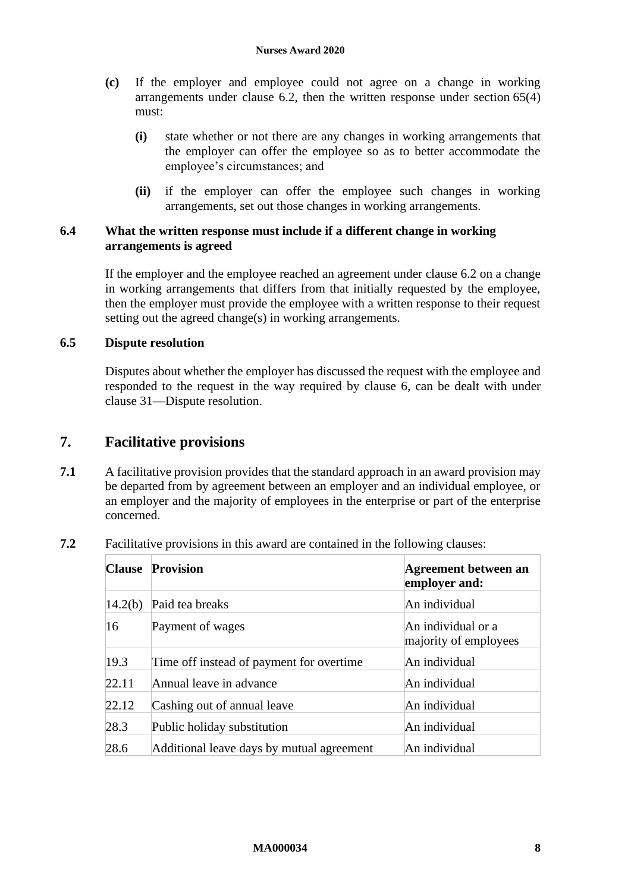- **(c)** If the employer and employee could not agree on a change in working arrangements under clause [6.2,](#page-6-3) then the written response under section 65(4) must:
	- **(i)** state whether or not there are any changes in working arrangements that the employer can offer the employee so as to better accommodate the employee's circumstances; and
	- **(ii)** if the employer can offer the employee such changes in working arrangements, set out those changes in working arrangements.

## **6.4 What the written response must include if a different change in working arrangements is agreed**

If the employer and the employee reached an agreement under clause [6.2](#page-6-3) on a change in working arrangements that differs from that initially requested by the employee, then the employer must provide the employee with a written response to their request setting out the agreed change(s) in working arrangements.

## **6.5 Dispute resolution**

Disputes about whether the employer has discussed the request with the employee and responded to the request in the way required by clause [6,](#page-6-1) can be dealt with under clause [31—Dispute resolution.](#page-33-2)

## <span id="page-7-0"></span>**7. Facilitative provisions**

**7.1** A facilitative provision provides that the standard approach in an award provision may be departed from by agreement between an employer and an individual employee, or an employer and the majority of employees in the enterprise or part of the enterprise concerned.

| <b>Clause</b> | <b>Provision</b>                          | Agreement between an<br>employer and:       |
|---------------|-------------------------------------------|---------------------------------------------|
| 14.2(b)       | Paid tea breaks                           | An individual                               |
| 16            | Payment of wages                          | An individual or a<br>majority of employees |
| 19.3          | Time off instead of payment for overtime. | An individual                               |
| 22.11         | Annual leave in advance                   | An individual                               |
| 22.12         | Cashing out of annual leave               | An individual                               |
| 28.3          | Public holiday substitution               | An individual                               |
| 28.6          | Additional leave days by mutual agreement | An individual                               |

**7.2** Facilitative provisions in this award are contained in the following clauses: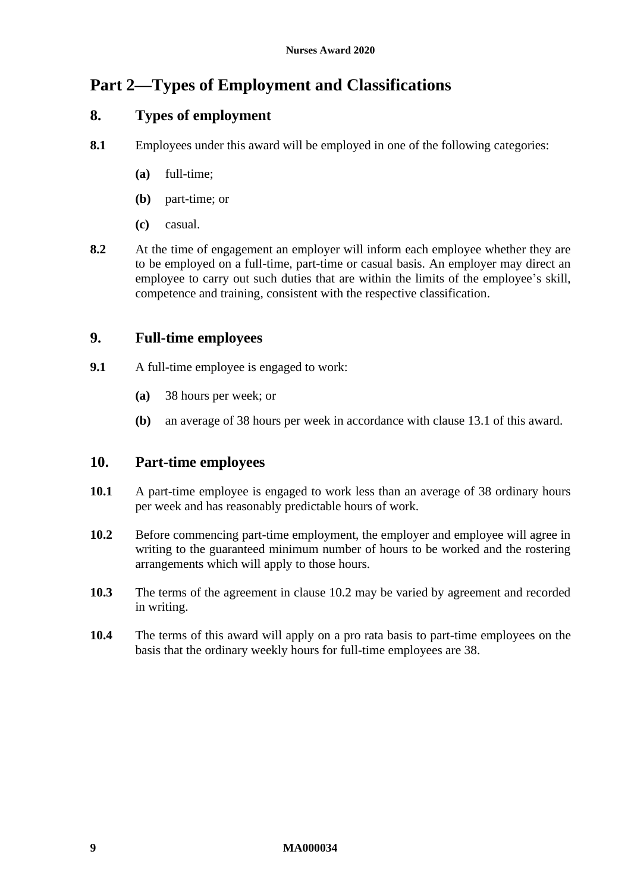# <span id="page-8-0"></span>**Part 2—Types of Employment and Classifications**

# <span id="page-8-1"></span>**8. Types of employment**

- **8.1** Employees under this award will be employed in one of the following categories:
	- **(a)** full-time;
	- **(b)** part-time; or
	- **(c)** casual.
- **8.2** At the time of engagement an employer will inform each employee whether they are to be employed on a full-time, part-time or casual basis. An employer may direct an employee to carry out such duties that are within the limits of the employee's skill, competence and training, consistent with the respective classification.

# <span id="page-8-2"></span>**9. Full-time employees**

- **9.1** A full-time employee is engaged to work:
	- **(a)** 38 hours per week; or
	- **(b)** an average of 38 hours per week in accordance with clause [13.1](#page-10-3) of this award.

## <span id="page-8-3"></span>**10. Part-time employees**

- **10.1** A part-time employee is engaged to work less than an average of 38 ordinary hours per week and has reasonably predictable hours of work.
- <span id="page-8-4"></span>**10.2** Before commencing part-time employment, the employer and employee will agree in writing to the guaranteed minimum number of hours to be worked and the rostering arrangements which will apply to those hours.
- **10.3** The terms of the agreement in clause [10.2](#page-8-4) may be varied by agreement and recorded in writing.
- **10.4** The terms of this award will apply on a pro rata basis to part-time employees on the basis that the ordinary weekly hours for full-time employees are 38.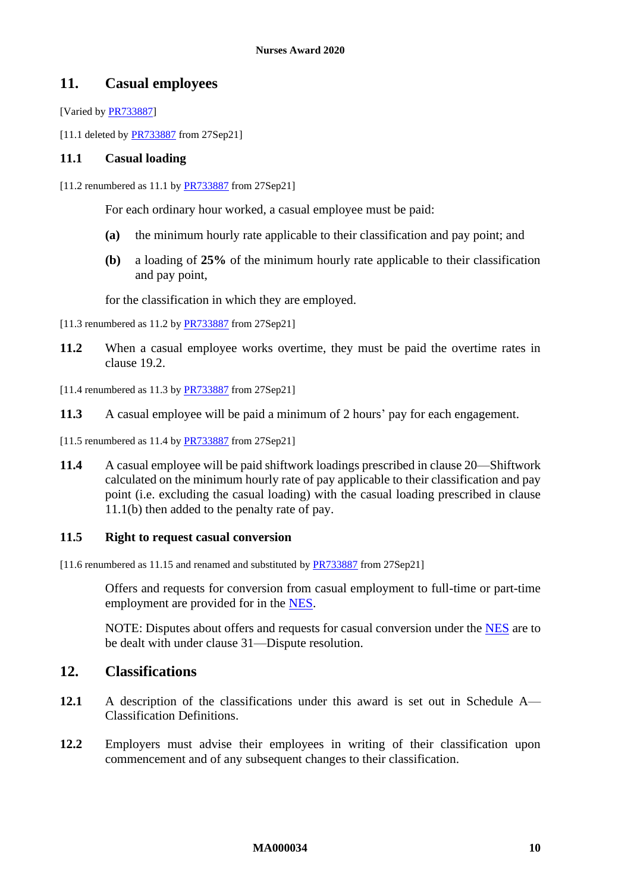## <span id="page-9-0"></span>**11. Casual employees**

[Varied by [PR733887\]](https://www.fwc.gov.au/documents/awardsandorders/html/pr733887.htm)

[11.1 deleted by **PR733887** from 27Sep21]

### <span id="page-9-2"></span>**11.1 Casual loading**

[11.2 renumbered as 11.1 b[y PR733887](https://www.fwc.gov.au/documents/awardsandorders/html/pr733887.htm) from 27Sep21]

For each ordinary hour worked, a casual employee must be paid:

- **(a)** the minimum hourly rate applicable to their classification and pay point; and
- <span id="page-9-3"></span>**(b)** a loading of **25%** of the minimum hourly rate applicable to their classification and pay point,

for the classification in which they are employed.

[11.3 renumbered as 11.2 b[y PR733887](https://www.fwc.gov.au/documents/awardsandorders/html/pr733887.htm) from 27Sep21]

- **11.2** When a casual employee works overtime, they must be paid the overtime rates in clause [19.2.](#page-21-2)
- $[11.4$  renumbered as 11.3 b[y PR733887](https://www.fwc.gov.au/documents/awardsandorders/html/pr733887.htm) from 27Sep21]
- **11.3** A casual employee will be paid a minimum of 2 hours' pay for each engagement.
- [11.5 renumbered as 11.4 by **PR733887** from 27Sep21]
- **11.4** A casual employee will be paid shiftwork loadings prescribed in clause [20—Shiftwork](#page-24-1) calculated on the minimum hourly rate of pay applicable to their classification and pay point (i.e. excluding the casual loading) with the casual loading prescribed in clause [11.1\(b\)](#page-9-3) then added to the penalty rate of pay.

#### **11.5 Right to request casual conversion**

[11.6 renumbered as 11.15 and renamed and substituted by [PR733887](https://www.fwc.gov.au/documents/awardsandorders/html/pr733887.htm) from 27Sep21]

Offers and requests for conversion from casual employment to full-time or part-time employment are provided for in the [NES.](https://www.fwc.gov.au/documents/awardmod/download/nes.pdf)

NOTE: Disputes about offers and requests for casual conversion under the [NES](https://www.fwc.gov.au/documents/awardmod/download/nes.pdf) are to be dealt with under clause [31—Dispute resolution.](#page-33-2)

# <span id="page-9-1"></span>**12. Classifications**

- **12.1** A description of the classifications under this award is set out in [Schedule A—](#page-37-1) [Classification Definitions.](#page-37-1)
- **12.2** Employers must advise their employees in writing of their classification upon commencement and of any subsequent changes to their classification.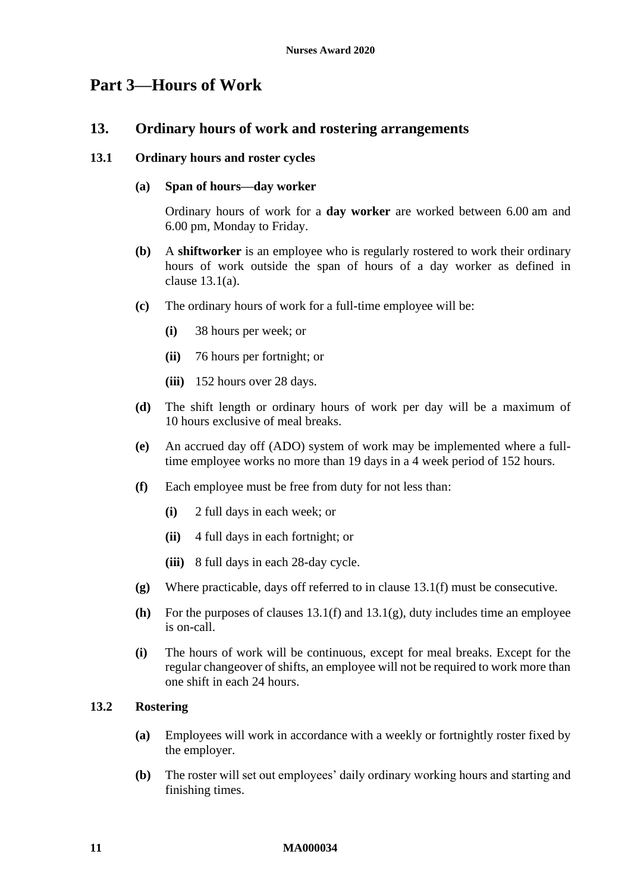# <span id="page-10-6"></span><span id="page-10-1"></span><span id="page-10-0"></span>**Part 3—Hours of Work**

## **13. Ordinary hours of work and rostering arrangements**

### <span id="page-10-3"></span><span id="page-10-2"></span>**13.1 Ordinary hours and roster cycles**

#### **(a) Span of hours—day worker**

Ordinary hours of work for a **day worker** are worked between 6.00 am and 6.00 pm, Monday to Friday.

- **(b)** A **shiftworker** is an employee who is regularly rostered to work their ordinary hours of work outside the span of hours of a day worker as defined in clause [13.1\(a\).](#page-10-2)
- **(c)** The ordinary hours of work for a full-time employee will be:
	- **(i)** 38 hours per week; or
	- **(ii)** 76 hours per fortnight; or
	- **(iii)** 152 hours over 28 days.
- **(d)** The shift length or ordinary hours of work per day will be a maximum of 10 hours exclusive of meal breaks.
- **(e)** An accrued day off (ADO) system of work may be implemented where a fulltime employee works no more than 19 days in a 4 week period of 152 hours.
- <span id="page-10-4"></span>**(f)** Each employee must be free from duty for not less than:
	- **(i)** 2 full days in each week; or
	- **(ii)** 4 full days in each fortnight; or
	- **(iii)** 8 full days in each 28-day cycle.
- <span id="page-10-5"></span>**(g)** Where practicable, days off referred to in clause [13.1\(f\)](#page-10-4) must be consecutive.
- **(h)** For the purposes of clauses [13.1\(f\)](#page-10-4) and [13.1\(g\),](#page-10-5) duty includes time an employee is on-call.
- **(i)** The hours of work will be continuous, except for meal breaks. Except for the regular changeover of shifts, an employee will not be required to work more than one shift in each 24 hours.

### **13.2 Rostering**

- **(a)** Employees will work in accordance with a weekly or fortnightly roster fixed by the employer.
- **(b)** The roster will set out employees' daily ordinary working hours and starting and finishing times.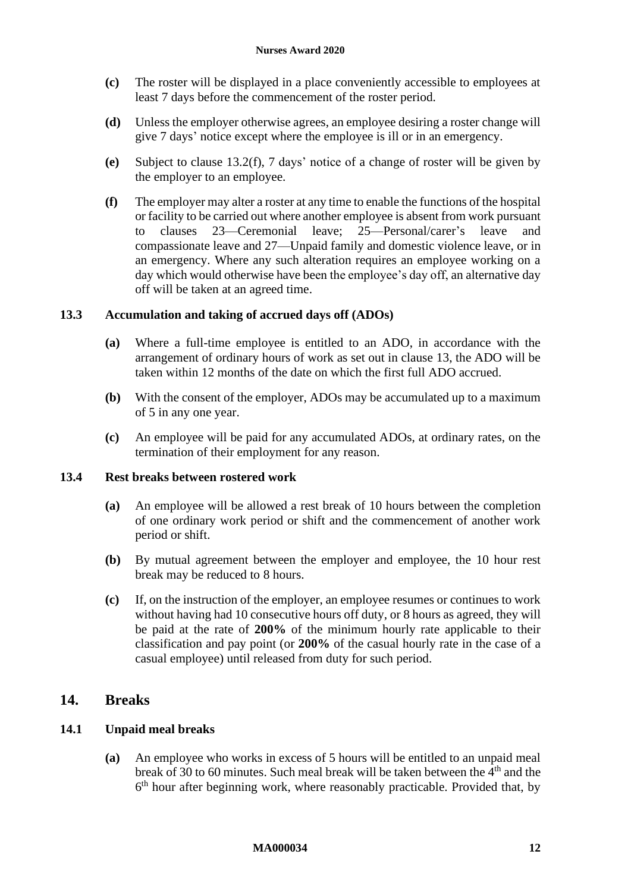- **(c)** The roster will be displayed in a place conveniently accessible to employees at least 7 days before the commencement of the roster period.
- **(d)** Unless the employer otherwise agrees, an employee desiring a roster change will give 7 days' notice except where the employee is ill or in an emergency.
- **(e)** Subject to clause [13.2\(f\),](#page-11-1) 7 days' notice of a change of roster will be given by the employer to an employee.
- <span id="page-11-1"></span>**(f)** The employer may alter a roster at any time to enable the functions of the hospital or facility to be carried out where another employee is absent from work pursuant to clauses [23—Ceremonial leave;](#page-29-2) [25—Personal/carer's leave and](#page-30-5)  [compassionate leave](#page-30-5) and [27—Unpaid family and domestic violence leave,](#page-30-6) or in an emergency. Where any such alteration requires an employee working on a day which would otherwise have been the employee's day off, an alternative day off will be taken at an agreed time.

## **13.3 Accumulation and taking of accrued days off (ADOs)**

- **(a)** Where a full-time employee is entitled to an ADO, in accordance with the arrangement of ordinary hours of work as set out in clause [13,](#page-10-6) the ADO will be taken within 12 months of the date on which the first full ADO accrued.
- **(b)** With the consent of the employer, ADOs may be accumulated up to a maximum of 5 in any one year.
- **(c)** An employee will be paid for any accumulated ADOs, at ordinary rates, on the termination of their employment for any reason.

#### **13.4 Rest breaks between rostered work**

- **(a)** An employee will be allowed a rest break of 10 hours between the completion of one ordinary work period or shift and the commencement of another work period or shift.
- **(b)** By mutual agreement between the employer and employee, the 10 hour rest break may be reduced to 8 hours.
- **(c)** If, on the instruction of the employer, an employee resumes or continues to work without having had 10 consecutive hours off duty, or 8 hours as agreed, they will be paid at the rate of **200%** of the minimum hourly rate applicable to their classification and pay point (or **200%** of the casual hourly rate in the case of a casual employee) until released from duty for such period.

## <span id="page-11-0"></span>**14. Breaks**

## **14.1 Unpaid meal breaks**

**(a)** An employee who works in excess of 5 hours will be entitled to an unpaid meal break of 30 to 60 minutes. Such meal break will be taken between the  $4<sup>th</sup>$  and the 6<sup>th</sup> hour after beginning work, where reasonably practicable. Provided that, by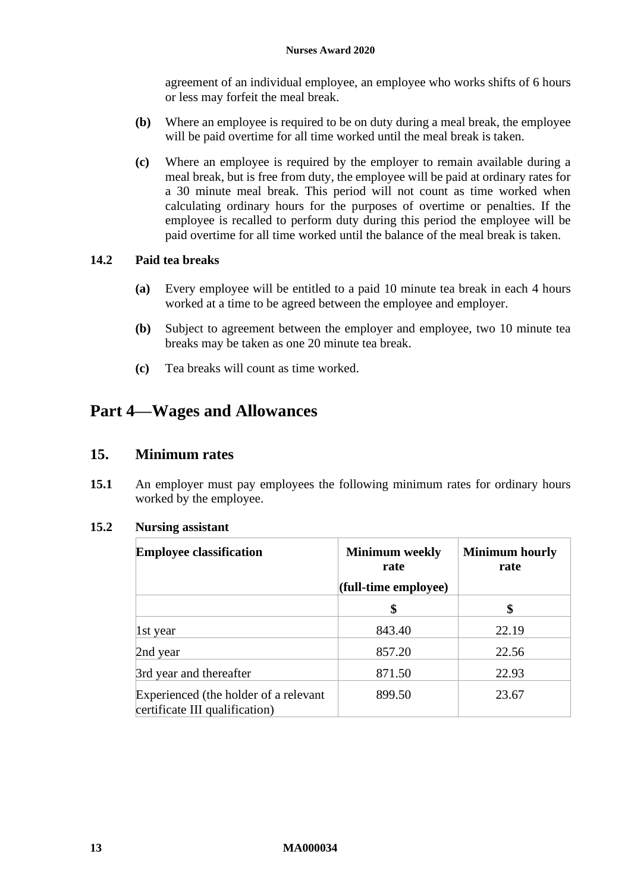agreement of an individual employee, an employee who works shifts of 6 hours or less may forfeit the meal break.

- **(b)** Where an employee is required to be on duty during a meal break, the employee will be paid overtime for all time worked until the meal break is taken.
- **(c)** Where an employee is required by the employer to remain available during a meal break, but is free from duty, the employee will be paid at ordinary rates for a 30 minute meal break. This period will not count as time worked when calculating ordinary hours for the purposes of overtime or penalties. If the employee is recalled to perform duty during this period the employee will be paid overtime for all time worked until the balance of the meal break is taken.

## **14.2 Paid tea breaks**

- **(a)** Every employee will be entitled to a paid 10 minute tea break in each 4 hours worked at a time to be agreed between the employee and employer.
- <span id="page-12-2"></span>**(b)** Subject to agreement between the employer and employee, two 10 minute tea breaks may be taken as one 20 minute tea break.
- **(c)** Tea breaks will count as time worked.

# <span id="page-12-1"></span><span id="page-12-0"></span>**Part 4—Wages and Allowances**

## **15. Minimum rates**

**15.1** An employer must pay employees the following minimum rates for ordinary hours worked by the employee.

#### **15.2 Nursing assistant**

| <b>Employee classification</b>                                          | <b>Minimum</b> weekly<br>rate<br>(full-time employee) | <b>Minimum hourly</b><br>rate |
|-------------------------------------------------------------------------|-------------------------------------------------------|-------------------------------|
|                                                                         | \$                                                    | \$                            |
| 1st year                                                                | 843.40                                                | 22.19                         |
| 2nd year                                                                | 857.20                                                | 22.56                         |
| 3rd year and thereafter                                                 | 871.50                                                | 22.93                         |
| Experienced (the holder of a relevant<br>certificate III qualification) | 899.50                                                | 23.67                         |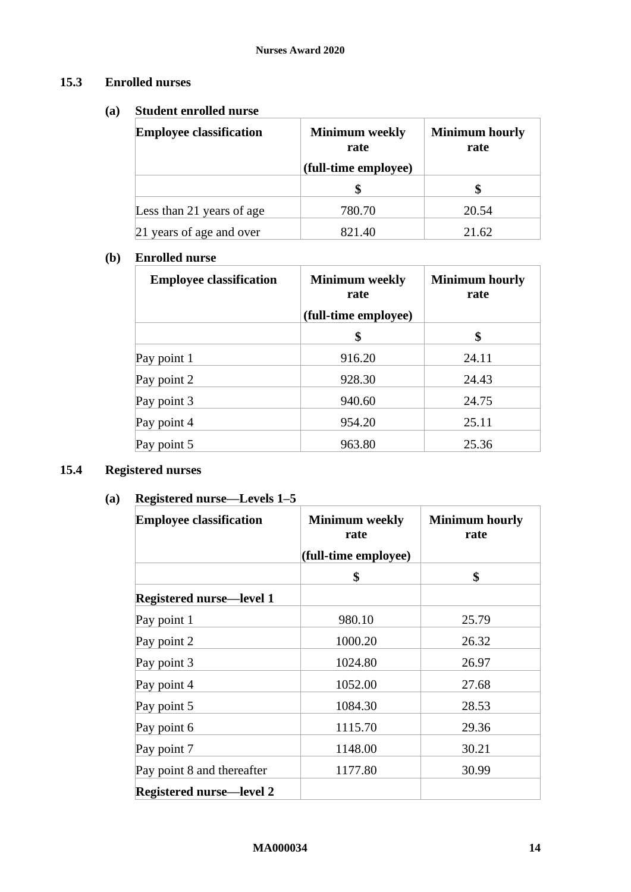## **15.3 Enrolled nurses**

## **(a) Student enrolled nurse**

| <b>Employee classification</b> | <b>Minimum</b> weekly<br>rate | <b>Minimum hourly</b><br>rate |  |
|--------------------------------|-------------------------------|-------------------------------|--|
|                                | (full-time employee)          |                               |  |
|                                |                               |                               |  |
| Less than 21 years of age      | 780.70                        | 20.54                         |  |
| 21 years of age and over       | 821.40                        | 21.62                         |  |

## **(b) Enrolled nurse**

| <b>Employee classification</b> | <b>Minimum</b> weekly<br>rate<br>(full-time employee) | <b>Minimum hourly</b><br>rate |
|--------------------------------|-------------------------------------------------------|-------------------------------|
|                                | \$                                                    | \$                            |
| Pay point 1                    | 916.20                                                | 24.11                         |
| Pay point 2                    | 928.30                                                | 24.43                         |
| Pay point 3                    | 940.60                                                | 24.75                         |
| Pay point 4                    | 954.20                                                | 25.11                         |
| Pay point 5                    | 963.80                                                | 25.36                         |

# <span id="page-13-1"></span><span id="page-13-0"></span>**15.4 Registered nurses**

# **(a) Registered nurse—Levels 1–5**

| <b>Employee classification</b>  | <b>Minimum</b> weekly<br>rate | <b>Minimum hourly</b><br>rate |
|---------------------------------|-------------------------------|-------------------------------|
|                                 | (full-time employee)          |                               |
|                                 | \$                            | \$                            |
| <b>Registered nurse—level 1</b> |                               |                               |
| Pay point 1                     | 980.10                        | 25.79                         |
| Pay point 2                     | 1000.20                       | 26.32                         |
| Pay point 3                     | 1024.80                       | 26.97                         |
| Pay point 4                     | 1052.00                       | 27.68                         |
| Pay point 5                     | 1084.30                       | 28.53                         |
| Pay point 6                     | 1115.70                       | 29.36                         |
| Pay point 7                     | 1148.00                       | 30.21                         |
| Pay point 8 and thereafter      | 1177.80                       | 30.99                         |
| <b>Registered nurse—level 2</b> |                               |                               |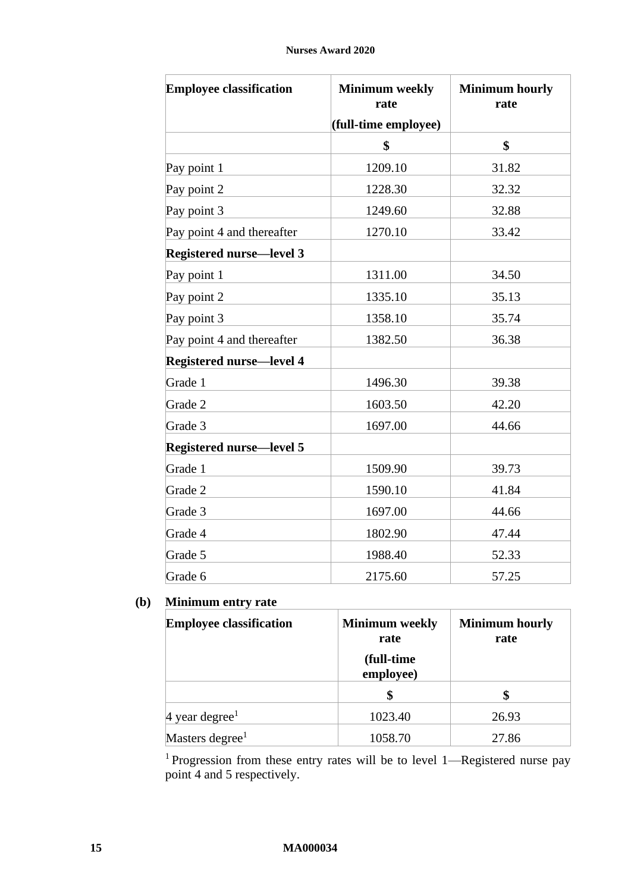| <b>Employee classification</b>  | <b>Minimum</b> weekly<br>rate | <b>Minimum hourly</b><br>rate |
|---------------------------------|-------------------------------|-------------------------------|
|                                 | (full-time employee)          |                               |
|                                 | \$                            | \$                            |
| Pay point 1                     | 1209.10                       | 31.82                         |
| Pay point 2                     | 1228.30                       | 32.32                         |
| Pay point 3                     | 1249.60                       | 32.88                         |
| Pay point 4 and thereafter      | 1270.10                       | 33.42                         |
| <b>Registered nurse-level 3</b> |                               |                               |
| Pay point 1                     | 1311.00                       | 34.50                         |
| Pay point 2                     | 1335.10                       | 35.13                         |
| Pay point 3                     | 1358.10                       | 35.74                         |
| Pay point 4 and thereafter      | 1382.50                       | 36.38                         |
| <b>Registered nurse-level 4</b> |                               |                               |
| Grade 1                         | 1496.30                       | 39.38                         |
| Grade 2                         | 1603.50                       | 42.20                         |
| Grade 3                         | 1697.00                       | 44.66                         |
| <b>Registered nurse—level 5</b> |                               |                               |
| Grade 1                         | 1509.90                       | 39.73                         |
| Grade 2                         | 1590.10                       | 41.84                         |
| Grade 3                         | 1697.00                       | 44.66                         |
| Grade 4                         | 1802.90                       | 47.44                         |
| Grade 5                         | 1988.40                       | 52.33                         |
| Grade 6                         | 2175.60                       | 57.25                         |

# **(b) Minimum entry rate**

| <b>Employee classification</b> | <b>Minimum</b> weekly<br>rate | <b>Minimum hourly</b><br>rate |
|--------------------------------|-------------------------------|-------------------------------|
|                                | (full-time)<br>employee)      |                               |
|                                |                               |                               |
| 4 year degree <sup>1</sup>     | 1023.40                       | 26.93                         |
| Masters degree <sup>1</sup>    | 1058.70                       | 27.86                         |

<sup>1</sup> Progression from these entry rates will be to level 1—Registered nurse pay point 4 and 5 respectively.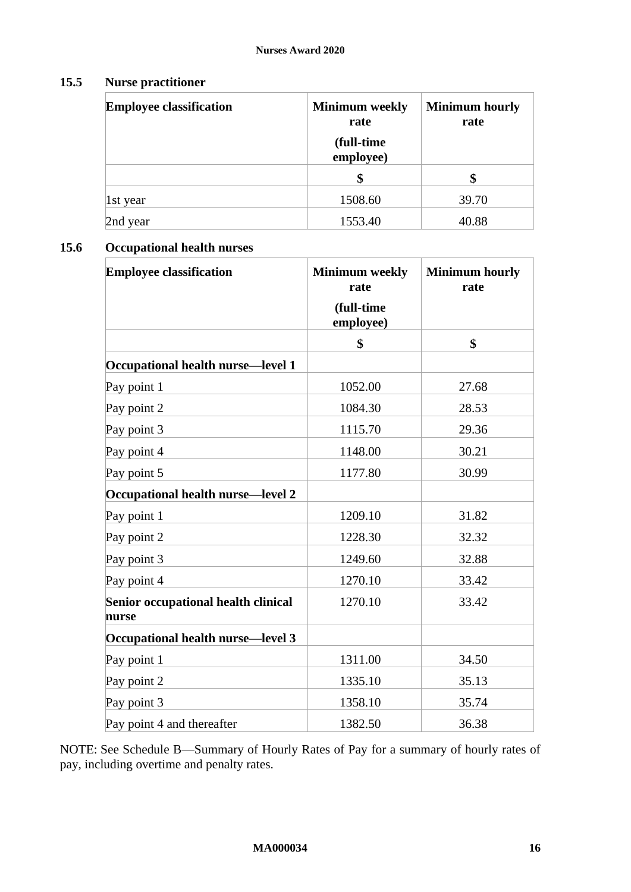# **15.5 Nurse practitioner**

| <b>Employee classification</b> | <b>Minimum</b> weekly<br>rate | <b>Minimum hourly</b><br>rate |
|--------------------------------|-------------------------------|-------------------------------|
|                                | (full-time<br>employee)       |                               |
|                                | \$                            | \$                            |
| 1st year                       | 1508.60                       | 39.70                         |
| 2nd year                       | 1553.40                       | 40.88                         |

## **15.6 Occupational health nurses**

| <b>Employee classification</b>               | <b>Minimum</b> weekly<br>rate<br>(full-time<br>employee) | <b>Minimum hourly</b><br>rate |
|----------------------------------------------|----------------------------------------------------------|-------------------------------|
|                                              | \$                                                       | \$                            |
| Occupational health nurse—level 1            |                                                          |                               |
| Pay point 1                                  | 1052.00                                                  | 27.68                         |
| Pay point 2                                  | 1084.30                                                  | 28.53                         |
| Pay point 3                                  | 1115.70                                                  | 29.36                         |
| Pay point 4                                  | 1148.00                                                  | 30.21                         |
| Pay point 5                                  | 1177.80                                                  | 30.99                         |
| Occupational health nurse-level 2            |                                                          |                               |
| Pay point 1                                  | 1209.10                                                  | 31.82                         |
| Pay point 2                                  | 1228.30                                                  | 32.32                         |
| Pay point 3                                  | 1249.60                                                  | 32.88                         |
| Pay point 4                                  | 1270.10                                                  | 33.42                         |
| Senior occupational health clinical<br>nurse | 1270.10                                                  | 33.42                         |
| Occupational health nurse-level 3            |                                                          |                               |
| Pay point 1                                  | 1311.00                                                  | 34.50                         |
| Pay point 2                                  | 1335.10                                                  | 35.13                         |
| Pay point 3                                  | 1358.10                                                  | 35.74                         |
| Pay point 4 and thereafter                   | 1382.50                                                  | 36.38                         |

NOTE: See [Schedule B—Summary of Hourly Rates of Pay](#page-49-1) for a summary of hourly rates of pay, including overtime and penalty rates.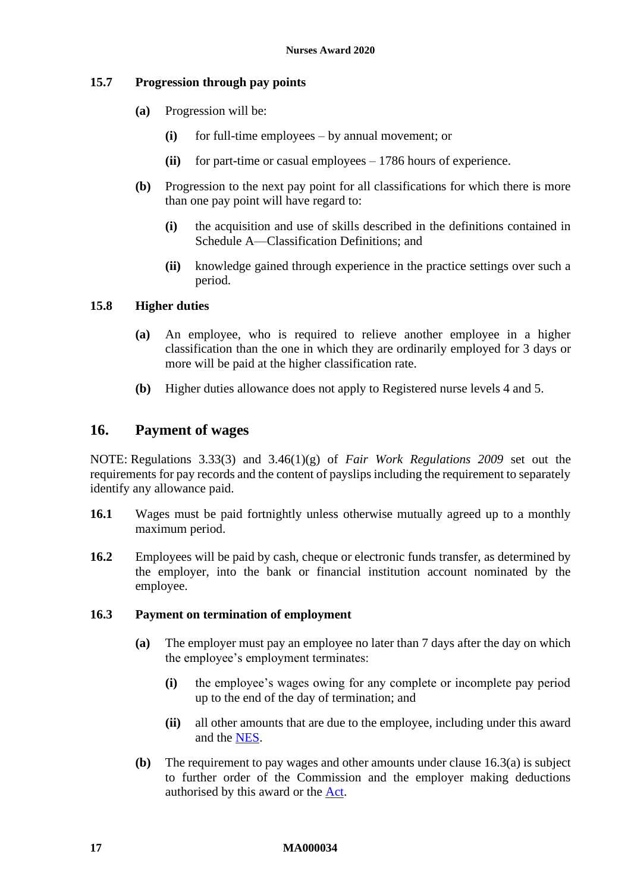## **15.7 Progression through pay points**

- **(a)** Progression will be:
	- **(i)** for full-time employees by annual movement; or
	- **(ii)** for part-time or casual employees 1786 hours of experience.
- **(b)** Progression to the next pay point for all classifications for which there is more than one pay point will have regard to:
	- **(i)** the acquisition and use of skills described in the definitions contained in Schedule A—Classification Definitions: and
	- **(ii)** knowledge gained through experience in the practice settings over such a period.

## **15.8 Higher duties**

- **(a)** An employee, who is required to relieve another employee in a higher classification than the one in which they are ordinarily employed for 3 days or more will be paid at the higher classification rate.
- **(b)** Higher duties allowance does not apply to Registered nurse levels 4 and 5.

## <span id="page-16-1"></span><span id="page-16-0"></span>**16. Payment of wages**

NOTE: Regulations 3.33(3) and 3.46(1)(g) of *Fair Work Regulations 2009* set out the requirements for pay records and the content of payslips including the requirement to separately identify any allowance paid.

- **16.1** Wages must be paid fortnightly unless otherwise mutually agreed up to a monthly maximum period.
- **16.2** Employees will be paid by cash, cheque or electronic funds transfer, as determined by the employer, into the bank or financial institution account nominated by the employee.

#### <span id="page-16-2"></span>**16.3 Payment on termination of employment**

- **(a)** The employer must pay an employee no later than 7 days after the day on which the employee's employment terminates:
	- **(i)** the employee's wages owing for any complete or incomplete pay period up to the end of the day of termination; and
	- **(ii)** all other amounts that are due to the employee, including under this award and the [NES.](https://www.fwc.gov.au/documents/awardmod/download/nes.pdf)
- <span id="page-16-3"></span>**(b)** The requirement to pay wages and other amounts under clause [16.3\(a\)](#page-16-2) is subject to further order of the Commission and the employer making deductions authorised by this award or the [Act.](http://www.legislation.gov.au/Series/C2009A00028)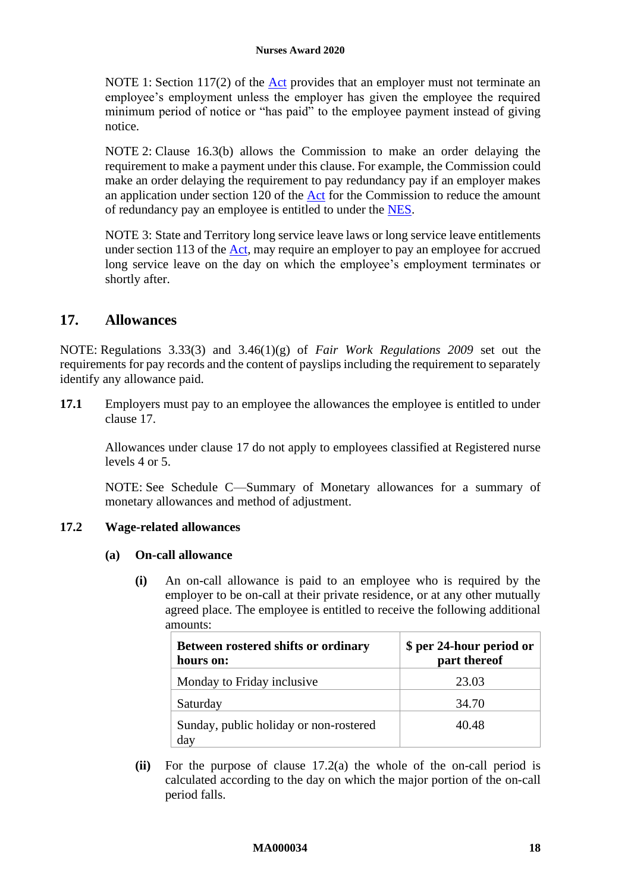NOTE 1: Section 117(2) of the [Act](http://www.legislation.gov.au/Series/C2009A00028) provides that an employer must not terminate an employee's employment unless the employer has given the employee the required minimum period of notice or "has paid" to the employee payment instead of giving notice.

NOTE 2: Clause [16.3\(b\)](#page-16-3) allows the Commission to make an order delaying the requirement to make a payment under this clause. For example, the Commission could make an order delaying the requirement to pay redundancy pay if an employer makes an application under section 120 of the [Act](http://www.legislation.gov.au/Series/C2009A00028) for the Commission to reduce the amount of redundancy pay an employee is entitled to under the [NES.](https://www.fwc.gov.au/documents/awardmod/download/nes.pdf)

NOTE 3: State and Territory long service leave laws or long service leave entitlements under section 113 of the [Act,](http://www.legislation.gov.au/Series/C2009A00028) may require an employer to pay an employee for accrued long service leave on the day on which the employee's employment terminates or shortly after.

# <span id="page-17-1"></span><span id="page-17-0"></span>**17. Allowances**

NOTE: Regulations 3.33(3) and 3.46(1)(g) of *Fair Work Regulations 2009* set out the requirements for pay records and the content of payslips including the requirement to separately identify any allowance paid.

**17.1** Employers must pay to an employee the allowances the employee is entitled to under clause [17.](#page-17-1)

Allowances under clause [17](#page-17-1) do not apply to employees classified at Registered nurse levels 4 or 5.

NOTE: See [Schedule C—Summary of Monetary allowances](#page-61-1) for a summary of monetary allowances and method of adjustment.

## <span id="page-17-2"></span>**17.2 Wage-related allowances**

## **(a) On-call allowance**

**(i)** An on-call allowance is paid to an employee who is required by the employer to be on-call at their private residence, or at any other mutually agreed place. The employee is entitled to receive the following additional amounts:

| <b>Between rostered shifts or ordinary</b><br>hours on: | \$ per 24-hour period or<br>part thereof |
|---------------------------------------------------------|------------------------------------------|
| Monday to Friday inclusive                              | 23.03                                    |
| Saturday                                                | 34.70                                    |
| Sunday, public holiday or non-rostered<br>day           | 40.48                                    |

**(ii)** For the purpose of clause [17.2\(a\)](#page-17-2) the whole of the on-call period is calculated according to the day on which the major portion of the on-call period falls.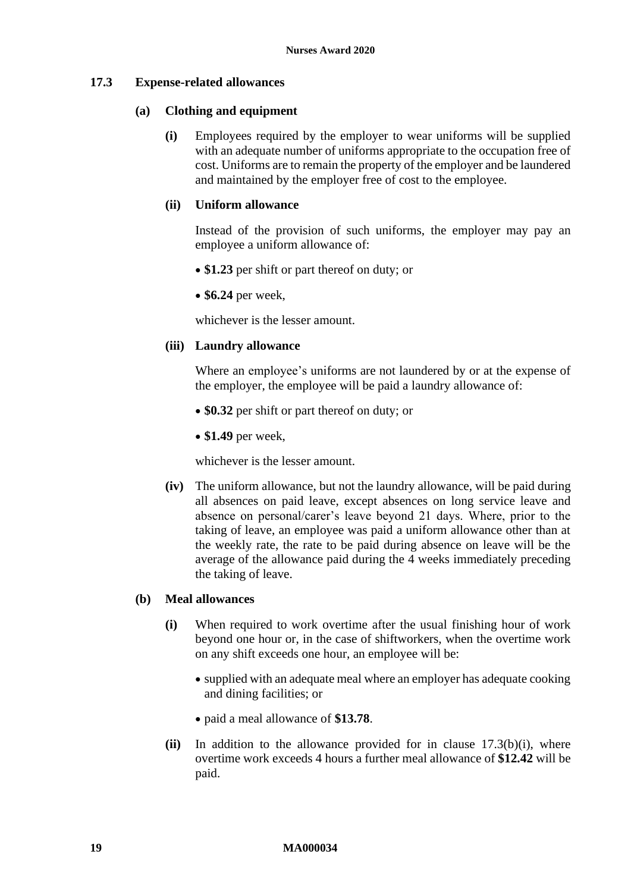## <span id="page-18-2"></span>**17.3 Expense-related allowances**

#### **(a) Clothing and equipment**

**(i)** Employees required by the employer to wear uniforms will be supplied with an adequate number of uniforms appropriate to the occupation free of cost. Uniforms are to remain the property of the employer and be laundered and maintained by the employer free of cost to the employee.

## **(ii) Uniform allowance**

Instead of the provision of such uniforms, the employer may pay an employee a uniform allowance of:

- \$1.23 per shift or part thereof on duty; or
- **\$6.24** per week,

whichever is the lesser amount.

## **(iii) Laundry allowance**

Where an employee's uniforms are not laundered by or at the expense of the employer, the employee will be paid a laundry allowance of:

- **\$0.32** per shift or part thereof on duty; or
- **\$1.49** per week,

whichever is the lesser amount.

**(iv)** The uniform allowance, but not the laundry allowance, will be paid during all absences on paid leave, except absences on long service leave and absence on personal/carer's leave beyond 21 days. Where, prior to the taking of leave, an employee was paid a uniform allowance other than at the weekly rate, the rate to be paid during absence on leave will be the average of the allowance paid during the 4 weeks immediately preceding the taking of leave.

#### <span id="page-18-0"></span>**(b) Meal allowances**

- **(i)** When required to work overtime after the usual finishing hour of work beyond one hour or, in the case of shiftworkers, when the overtime work on any shift exceeds one hour, an employee will be:
	- supplied with an adequate meal where an employer has adequate cooking and dining facilities; or
	- paid a meal allowance of **\$13.78**.
- <span id="page-18-1"></span>**(ii)** In addition to the allowance provided for in clause [17.3\(b\)\(i\),](#page-18-0) where overtime work exceeds 4 hours a further meal allowance of **\$12.42** will be paid.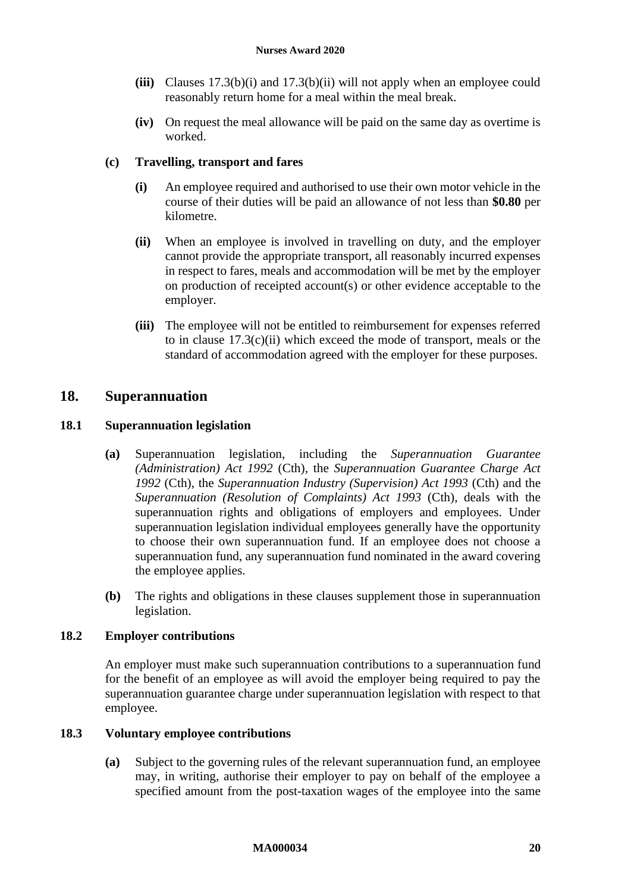- **(iii)** Clauses [17.3\(b\)\(i\)](#page-18-0) and [17.3\(b\)\(ii\)](#page-18-1) will not apply when an employee could reasonably return home for a meal within the meal break.
- **(iv)** On request the meal allowance will be paid on the same day as overtime is worked.

## **(c) Travelling, transport and fares**

- **(i)** An employee required and authorised to use their own motor vehicle in the course of their duties will be paid an allowance of not less than **\$0.80** per kilometre.
- <span id="page-19-1"></span>**(ii)** When an employee is involved in travelling on duty, and the employer cannot provide the appropriate transport, all reasonably incurred expenses in respect to fares, meals and accommodation will be met by the employer on production of receipted account(s) or other evidence acceptable to the employer.
- **(iii)** The employee will not be entitled to reimbursement for expenses referred to in clause [17.3\(c\)\(ii\)](#page-19-1) which exceed the mode of transport, meals or the standard of accommodation agreed with the employer for these purposes.

## <span id="page-19-0"></span>**18. Superannuation**

## **18.1 Superannuation legislation**

- **(a)** Superannuation legislation, including the *Superannuation Guarantee (Administration) Act 1992* (Cth), the *Superannuation Guarantee Charge Act 1992* (Cth), the *Superannuation Industry (Supervision) Act 1993* (Cth) and the *Superannuation (Resolution of Complaints) Act 1993* (Cth), deals with the superannuation rights and obligations of employers and employees. Under superannuation legislation individual employees generally have the opportunity to choose their own superannuation fund. If an employee does not choose a superannuation fund, any superannuation fund nominated in the award covering the employee applies.
- **(b)** The rights and obligations in these clauses supplement those in superannuation legislation.

#### <span id="page-19-2"></span>**18.2 Employer contributions**

An employer must make such superannuation contributions to a superannuation fund for the benefit of an employee as will avoid the employer being required to pay the superannuation guarantee charge under superannuation legislation with respect to that employee.

#### <span id="page-19-3"></span>**18.3 Voluntary employee contributions**

**(a)** Subject to the governing rules of the relevant superannuation fund, an employee may, in writing, authorise their employer to pay on behalf of the employee a specified amount from the post-taxation wages of the employee into the same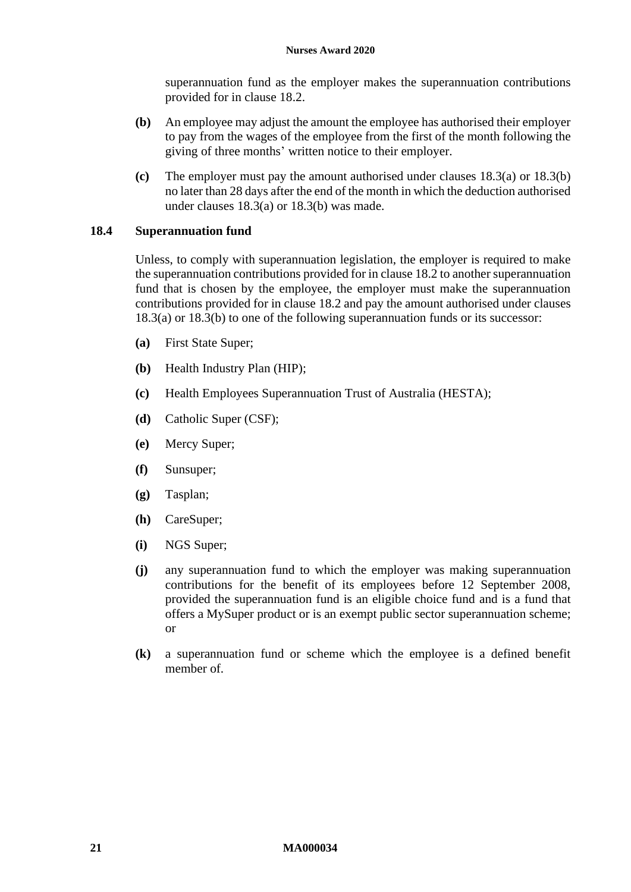superannuation fund as the employer makes the superannuation contributions provided for in clause [18.2.](#page-19-2)

- <span id="page-20-0"></span>**(b)** An employee may adjust the amount the employee has authorised their employer to pay from the wages of the employee from the first of the month following the giving of three months' written notice to their employer.
- **(c)** The employer must pay the amount authorised under clauses [18.3\(a\)](#page-19-3) or [18.3\(b\)](#page-20-0) no later than 28 days after the end of the month in which the deduction authorised under clauses [18.3\(a\)](#page-19-3) or [18.3\(b\)](#page-20-0) was made.

## **18.4 Superannuation fund**

Unless, to comply with superannuation legislation, the employer is required to make the superannuation contributions provided for in claus[e 18.2](#page-19-2) to another superannuation fund that is chosen by the employee, the employer must make the superannuation contributions provided for in clause [18.2](#page-19-2) and pay the amount authorised under clauses [18.3\(a\)](#page-19-3) or [18.3\(b\)](#page-20-0) to one of the following superannuation funds or its successor:

- **(a)** First State Super;
- **(b)** Health Industry Plan (HIP);
- **(c)** Health Employees Superannuation Trust of Australia (HESTA);
- **(d)** Catholic Super (CSF);
- **(e)** Mercy Super;
- **(f)** Sunsuper;
- **(g)** Tasplan;
- **(h)** CareSuper;
- **(i)** NGS Super;
- **(j)** any superannuation fund to which the employer was making superannuation contributions for the benefit of its employees before 12 September 2008, provided the superannuation fund is an eligible choice fund and is a fund that offers a MySuper product or is an exempt public sector superannuation scheme; or
- **(k)** a superannuation fund or scheme which the employee is a defined benefit member of.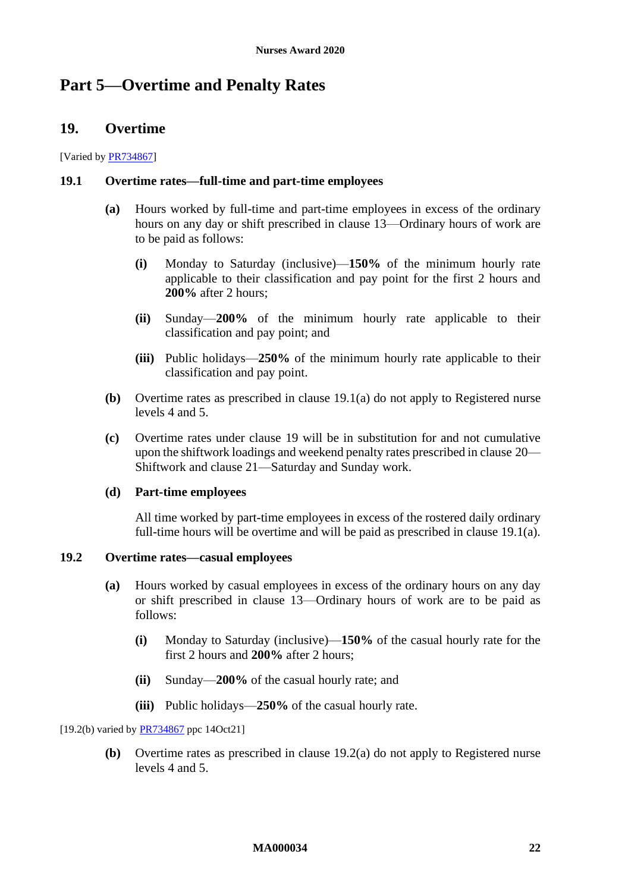# <span id="page-21-4"></span><span id="page-21-1"></span><span id="page-21-0"></span>**Part 5—Overtime and Penalty Rates**

## **19. Overtime**

#### [Varied by [PR734867\]](https://www.fwc.gov.au/documents/awardsandorders/html/pr734867.htm)

#### <span id="page-21-3"></span>**19.1 Overtime rates—full-time and part-time employees**

- **(a)** Hours worked by full-time and part-time employees in excess of the ordinary hours on any day or shift prescribed in clause [13](#page-10-6)—[Ordinary hours of work](#page-10-6) are to be paid as follows:
	- **(i)** Monday to Saturday (inclusive)—**150%** of the minimum hourly rate applicable to their classification and pay point for the first 2 hours and **200%** after 2 hours;
	- **(ii)** Sunday—**200%** of the minimum hourly rate applicable to their classification and pay point; and
	- **(iii)** Public holidays—**250%** of the minimum hourly rate applicable to their classification and pay point.
- <span id="page-21-6"></span>**(b)** Overtime rates as prescribed in clause [19.1\(a\)](#page-21-3) do not apply to Registered nurse levels 4 and 5.
- **(c)** Overtime rates under clause [19](#page-21-4) will be in substitution for and not cumulative upon the shiftwork loadings and weekend penalty rates prescribed in clause [20—](#page-24-1) [Shiftwork](#page-24-1) and clause [21—Saturday and Sunday](#page-25-3) work.

#### **(d) Part-time employees**

All time worked by part-time employees in excess of the rostered daily ordinary full-time hours will be overtime and will be paid as prescribed in clause [19.1\(a\).](#page-21-3)

### <span id="page-21-5"></span><span id="page-21-2"></span>**19.2 Overtime rates—casual employees**

- **(a)** Hours worked by casual employees in excess of the ordinary hours on any day or shift prescribed in clause [13](#page-10-6)—[Ordinary hours of work](#page-10-6) are to be paid as follows:
	- **(i)** Monday to Saturday (inclusive)—**150%** of the casual hourly rate for the first 2 hours and **200%** after 2 hours;
	- **(ii)** Sunday—**200%** of the casual hourly rate; and
	- **(iii)** Public holidays—**250%** of the casual hourly rate.

[19.2(b) varied by **PR734867** ppc 14Oct21]

**(b)** Overtime rates as prescribed in clause [19.2\(a\)](#page-21-5) do not apply to Registered nurse levels 4 and 5.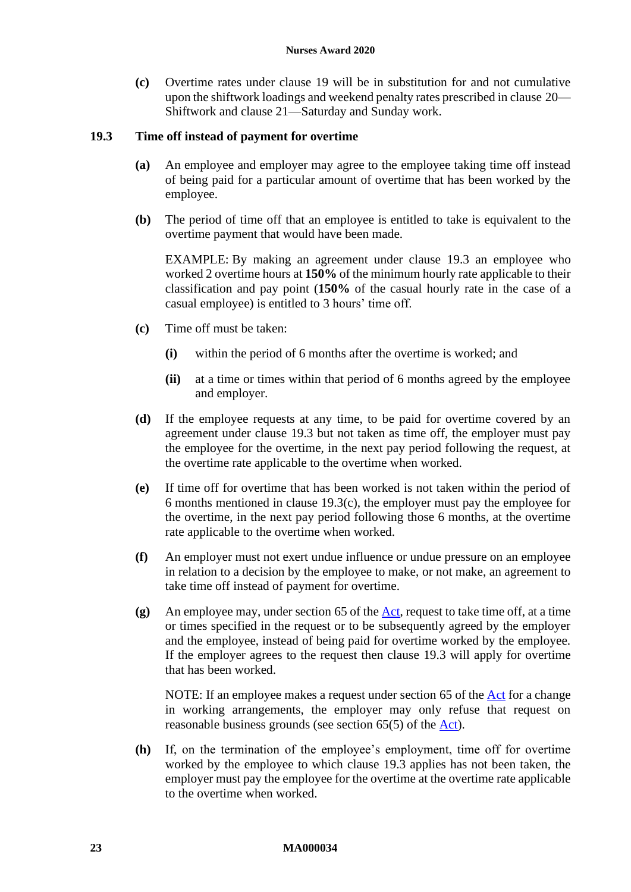**(c)** Overtime rates under clause [19](#page-21-4) will be in substitution for and not cumulative upon the shiftwork loadings and weekend penalty rates prescribed in clause [20—](#page-24-1) [Shiftwork](#page-24-1) and clause [21—Saturday and Sunday](#page-25-3) work.

## <span id="page-22-0"></span>**19.3 Time off instead of payment for overtime**

- **(a)** An employee and employer may agree to the employee taking time off instead of being paid for a particular amount of overtime that has been worked by the employee.
- **(b)** The period of time off that an employee is entitled to take is equivalent to the overtime payment that would have been made.

EXAMPLE: By making an agreement under clause [19.3](#page-22-0) an employee who worked 2 overtime hours at **150%** of the minimum hourly rate applicable to their classification and pay point (**150%** of the casual hourly rate in the case of a casual employee) is entitled to 3 hours' time off.

- <span id="page-22-1"></span>**(c)** Time off must be taken:
	- **(i)** within the period of 6 months after the overtime is worked; and
	- **(ii)** at a time or times within that period of 6 months agreed by the employee and employer.
- **(d)** If the employee requests at any time, to be paid for overtime covered by an agreement under clause [19.3](#page-22-0) but not taken as time off, the employer must pay the employee for the overtime, in the next pay period following the request, at the overtime rate applicable to the overtime when worked.
- **(e)** If time off for overtime that has been worked is not taken within the period of 6 months mentioned in clause [19.3\(c\),](#page-22-1) the employer must pay the employee for the overtime, in the next pay period following those 6 months, at the overtime rate applicable to the overtime when worked.
- **(f)** An employer must not exert undue influence or undue pressure on an employee in relation to a decision by the employee to make, or not make, an agreement to take time off instead of payment for overtime.
- **(g)** An employee may, under section 65 of the [Act,](http://www.legislation.gov.au/Series/C2009A00028) request to take time off, at a time or times specified in the request or to be subsequently agreed by the employer and the employee, instead of being paid for overtime worked by the employee. If the employer agrees to the request then clause [19.3](#page-22-0) will apply for overtime that has been worked.

NOTE: If an employee makes a request under section 65 of the [Act](http://www.legislation.gov.au/Series/C2009A00028) for a change in working arrangements, the employer may only refuse that request on reasonable business grounds (see section 65(5) of the [Act\)](http://www.legislation.gov.au/Series/C2009A00028).

**(h)** If, on the termination of the employee's employment, time off for overtime worked by the employee to which clause [19.3](#page-22-0) applies has not been taken, the employer must pay the employee for the overtime at the overtime rate applicable to the overtime when worked.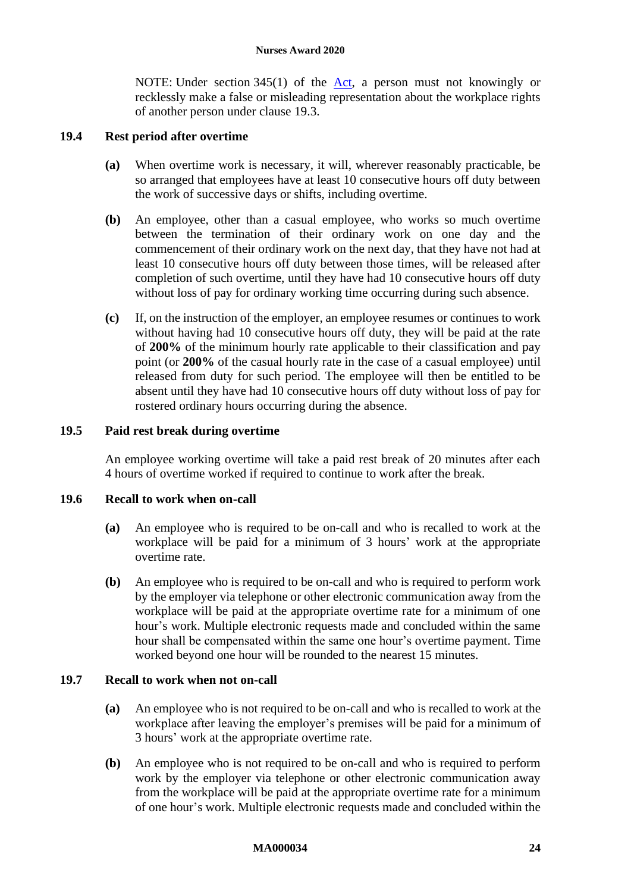NOTE: Under section 345(1) of the [Act,](http://www.legislation.gov.au/Series/C2009A00028) a person must not knowingly or recklessly make a false or misleading representation about the workplace rights of another person under clause [19.3.](#page-22-0)

## **19.4 Rest period after overtime**

- **(a)** When overtime work is necessary, it will, wherever reasonably practicable, be so arranged that employees have at least 10 consecutive hours off duty between the work of successive days or shifts, including overtime.
- **(b)** An employee, other than a casual employee, who works so much overtime between the termination of their ordinary work on one day and the commencement of their ordinary work on the next day, that they have not had at least 10 consecutive hours off duty between those times, will be released after completion of such overtime, until they have had 10 consecutive hours off duty without loss of pay for ordinary working time occurring during such absence.
- **(c)** If, on the instruction of the employer, an employee resumes or continues to work without having had 10 consecutive hours off duty, they will be paid at the rate of **200%** of the minimum hourly rate applicable to their classification and pay point (or **200%** of the casual hourly rate in the case of a casual employee) until released from duty for such period. The employee will then be entitled to be absent until they have had 10 consecutive hours off duty without loss of pay for rostered ordinary hours occurring during the absence.

#### **19.5 Paid rest break during overtime**

An employee working overtime will take a paid rest break of 20 minutes after each 4 hours of overtime worked if required to continue to work after the break.

### **19.6 Recall to work when on-call**

- **(a)** An employee who is required to be on-call and who is recalled to work at the workplace will be paid for a minimum of 3 hours' work at the appropriate overtime rate.
- **(b)** An employee who is required to be on-call and who is required to perform work by the employer via telephone or other electronic communication away from the workplace will be paid at the appropriate overtime rate for a minimum of one hour's work. Multiple electronic requests made and concluded within the same hour shall be compensated within the same one hour's overtime payment. Time worked beyond one hour will be rounded to the nearest 15 minutes.

### **19.7 Recall to work when not on-call**

- **(a)** An employee who is not required to be on-call and who is recalled to work at the workplace after leaving the employer's premises will be paid for a minimum of 3 hours' work at the appropriate overtime rate.
- **(b)** An employee who is not required to be on-call and who is required to perform work by the employer via telephone or other electronic communication away from the workplace will be paid at the appropriate overtime rate for a minimum of one hour's work. Multiple electronic requests made and concluded within the

#### **MA000034 24**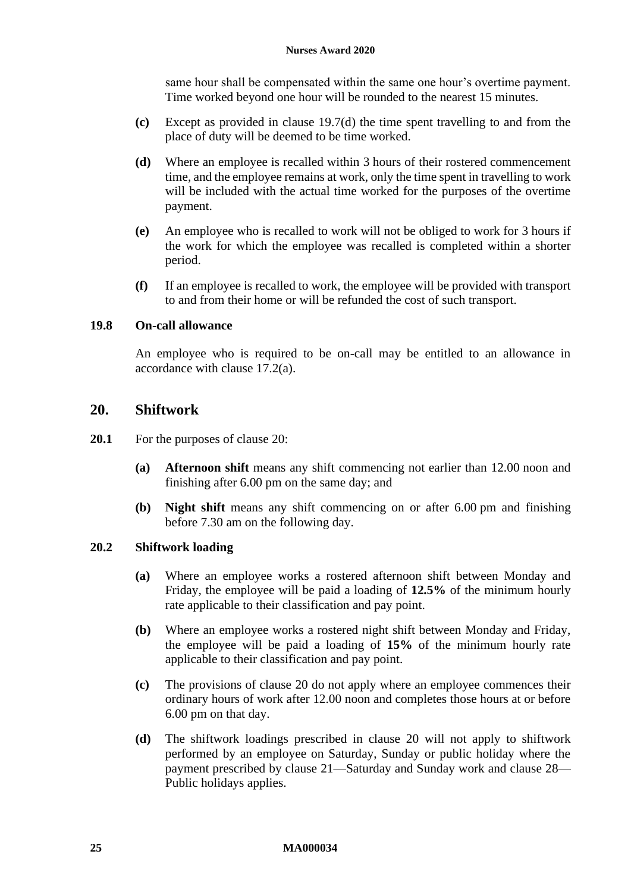same hour shall be compensated within the same one hour's overtime payment. Time worked beyond one hour will be rounded to the nearest 15 minutes.

- **(c)** Except as provided in clause [19.7\(d\)](#page-24-2) the time spent travelling to and from the place of duty will be deemed to be time worked.
- <span id="page-24-2"></span>**(d)** Where an employee is recalled within 3 hours of their rostered commencement time, and the employee remains at work, only the time spent in travelling to work will be included with the actual time worked for the purposes of the overtime payment.
- **(e)** An employee who is recalled to work will not be obliged to work for 3 hours if the work for which the employee was recalled is completed within a shorter period.
- **(f)** If an employee is recalled to work, the employee will be provided with transport to and from their home or will be refunded the cost of such transport.

### **19.8 On-call allowance**

An employee who is required to be on-call may be entitled to an allowance in accordance with clause [17.2\(a\).](#page-17-2)

## <span id="page-24-1"></span><span id="page-24-0"></span>**20. Shiftwork**

- **20.1** For the purposes of clause [20:](#page-24-1)
	- **(a) Afternoon shift** means any shift commencing not earlier than 12.00 noon and finishing after 6.00 pm on the same day; and
	- **(b) Night shift** means any shift commencing on or after 6.00 pm and finishing before 7.30 am on the following day.

#### **20.2 Shiftwork loading**

- **(a)** Where an employee works a rostered afternoon shift between Monday and Friday, the employee will be paid a loading of **12.5%** of the minimum hourly rate applicable to their classification and pay point.
- **(b)** Where an employee works a rostered night shift between Monday and Friday, the employee will be paid a loading of **15%** of the minimum hourly rate applicable to their classification and pay point.
- **(c)** The provisions of clause [20](#page-24-1) do not apply where an employee commences their ordinary hours of work after 12.00 noon and completes those hours at or before 6.00 pm on that day.
- **(d)** The shiftwork loadings prescribed in clause [20](#page-24-1) will not apply to shiftwork performed by an employee on Saturday, Sunday or public holiday where the payment prescribed by clause [21—Saturday and Sunday](#page-25-3) work and clause [28—](#page-30-7) [Public holidays](#page-30-7) applies.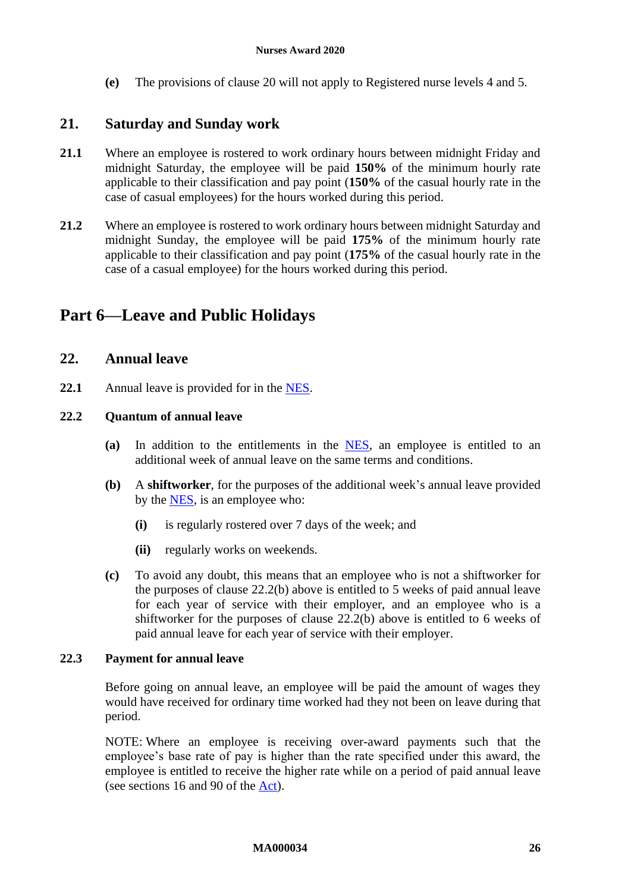**(e)** The provisions of clause [20](#page-24-1) will not apply to Registered nurse levels 4 and 5.

## <span id="page-25-6"></span><span id="page-25-3"></span><span id="page-25-0"></span>**21. Saturday and Sunday work**

- **21.1** Where an employee is rostered to work ordinary hours between midnight Friday and midnight Saturday, the employee will be paid **150%** of the minimum hourly rate applicable to their classification and pay point (**150%** of the casual hourly rate in the case of casual employees) for the hours worked during this period.
- **21.2** Where an employee is rostered to work ordinary hours between midnight Saturday and midnight Sunday, the employee will be paid **175%** of the minimum hourly rate applicable to their classification and pay point (**175%** of the casual hourly rate in the case of a casual employee) for the hours worked during this period.

# <span id="page-25-5"></span><span id="page-25-2"></span><span id="page-25-1"></span>**Part 6—Leave and Public Holidays**

## **22. Annual leave**

**22.1** Annual leave is provided for in the [NES.](https://www.fwc.gov.au/documents/awardmod/download/nes.pdf)

#### **22.2 Quantum of annual leave**

- **(a)** In addition to the entitlements in the [NES,](https://www.fwc.gov.au/documents/awardmod/download/nes.pdf) an employee is entitled to an additional week of annual leave on the same terms and conditions.
- <span id="page-25-4"></span>**(b)** A **shiftworker**, for the purposes of the additional week's annual leave provided by the [NES,](https://www.fwc.gov.au/documents/awardmod/download/nes.pdf) is an employee who:
	- **(i)** is regularly rostered over 7 days of the week; and
	- **(ii)** regularly works on weekends.
- **(c)** To avoid any doubt, this means that an employee who is not a shiftworker for the purposes of clause [22.2\(b\)](#page-25-4) above is entitled to 5 weeks of paid annual leave for each year of service with their employer, and an employee who is a shiftworker for the purposes of clause [22.2\(b\)](#page-25-4) above is entitled to 6 weeks of paid annual leave for each year of service with their employer.

## **22.3 Payment for annual leave**

Before going on annual leave, an employee will be paid the amount of wages they would have received for ordinary time worked had they not been on leave during that period.

NOTE: Where an employee is receiving over-award payments such that the employee's base rate of pay is higher than the rate specified under this award, the employee is entitled to receive the higher rate while on a period of paid annual leave (see sections 16 and 90 of the [Act\)](https://www.legislation.gov.au/Series/C2009A00028).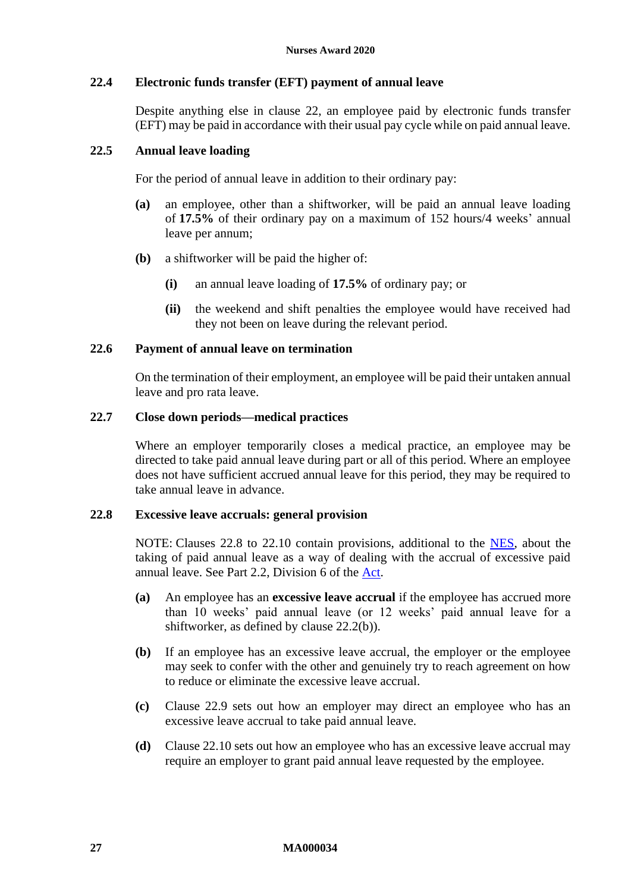## **22.4 Electronic funds transfer (EFT) payment of annual leave**

Despite anything else in clause [22,](#page-25-5) an employee paid by electronic funds transfer (EFT) may be paid in accordance with their usual pay cycle while on paid annual leave.

#### **22.5 Annual leave loading**

For the period of annual leave in addition to their ordinary pay:

- **(a)** an employee, other than a shiftworker, will be paid an annual leave loading of **17.5%** of their ordinary pay on a maximum of 152 hours/4 weeks' annual leave per annum;
- **(b)** a shiftworker will be paid the higher of:
	- **(i)** an annual leave loading of **17.5%** of ordinary pay; or
	- **(ii)** the weekend and shift penalties the employee would have received had they not been on leave during the relevant period.

#### **22.6 Payment of annual leave on termination**

On the termination of their employment, an employee will be paid their untaken annual leave and pro rata leave.

#### **22.7 Close down periods—medical practices**

Where an employer temporarily closes a medical practice, an employee may be directed to take paid annual leave during part or all of this period. Where an employee does not have sufficient accrued annual leave for this period, they may be required to take annual leave in advance.

#### <span id="page-26-0"></span>**22.8 Excessive leave accruals: general provision**

NOTE: Clauses [22.8](#page-26-0) to [22.10](#page-27-0) contain provisions, additional to the [NES,](https://www.fwc.gov.au/documents/awardmod/download/nes.pdf) about the taking of paid annual leave as a way of dealing with the accrual of excessive paid annual leave. See Part 2.2, Division 6 of the [Act.](https://www.legislation.gov.au/Series/C2009A00028)

- **(a)** An employee has an **excessive leave accrual** if the employee has accrued more than 10 weeks' paid annual leave (or 12 weeks' paid annual leave for a shiftworker, as defined by clause [22.2\(b\)\)](#page-25-4).
- <span id="page-26-1"></span>**(b)** If an employee has an excessive leave accrual, the employer or the employee may seek to confer with the other and genuinely try to reach agreement on how to reduce or eliminate the excessive leave accrual.
- **(c)** Clause [22.9](#page-27-1) sets out how an employer may direct an employee who has an excessive leave accrual to take paid annual leave.
- **(d)** Clause [22.10](#page-27-0) sets out how an employee who has an excessive leave accrual may require an employer to grant paid annual leave requested by the employee.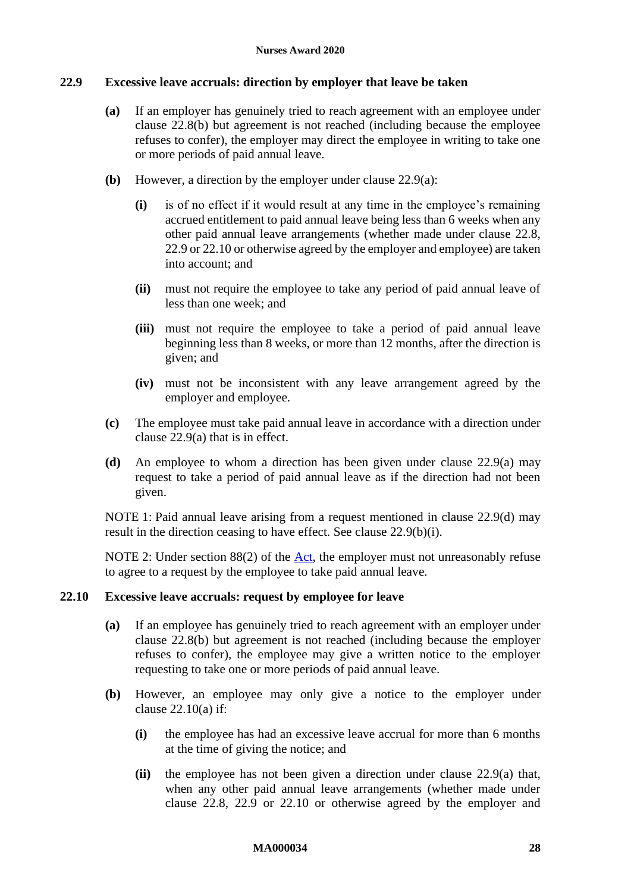## <span id="page-27-2"></span><span id="page-27-1"></span>**22.9 Excessive leave accruals: direction by employer that leave be taken**

- **(a)** If an employer has genuinely tried to reach agreement with an employee under clause [22.8\(b\)](#page-26-1) but agreement is not reached (including because the employee refuses to confer), the employer may direct the employee in writing to take one or more periods of paid annual leave.
- <span id="page-27-4"></span>**(b)** However, a direction by the employer under clause [22.9\(a\):](#page-27-2)
	- **(i)** is of no effect if it would result at any time in the employee's remaining accrued entitlement to paid annual leave being less than 6 weeks when any other paid annual leave arrangements (whether made under clause [22.8,](#page-26-0) [22.9](#page-27-1) o[r 22.10](#page-27-0) or otherwise agreed by the employer and employee) are taken into account; and
	- **(ii)** must not require the employee to take any period of paid annual leave of less than one week; and
	- **(iii)** must not require the employee to take a period of paid annual leave beginning less than 8 weeks, or more than 12 months, after the direction is given; and
	- **(iv)** must not be inconsistent with any leave arrangement agreed by the employer and employee.
- **(c)** The employee must take paid annual leave in accordance with a direction under clause [22.9\(a\)](#page-27-2) that is in effect.
- <span id="page-27-3"></span>**(d)** An employee to whom a direction has been given under clause [22.9\(a\)](#page-27-2) may request to take a period of paid annual leave as if the direction had not been given.

NOTE 1: Paid annual leave arising from a request mentioned in clause [22.9\(d\)](#page-27-3) may result in the direction ceasing to have effect. See clause [22.9\(b\)\(i\).](#page-27-4)

NOTE 2: Under section 88(2) of the [Act,](https://www.legislation.gov.au/Series/C2009A00028) the employer must not unreasonably refuse to agree to a request by the employee to take paid annual leave.

#### <span id="page-27-5"></span><span id="page-27-0"></span>**22.10 Excessive leave accruals: request by employee for leave**

- **(a)** If an employee has genuinely tried to reach agreement with an employer under clause [22.8\(b\)](#page-26-1) but agreement is not reached (including because the employer refuses to confer), the employee may give a written notice to the employer requesting to take one or more periods of paid annual leave.
- **(b)** However, an employee may only give a notice to the employer under clause [22.10\(a\)](#page-27-5) if:
	- **(i)** the employee has had an excessive leave accrual for more than 6 months at the time of giving the notice; and
	- **(ii)** the employee has not been given a direction under clause [22.9\(a\)](#page-27-2) that, when any other paid annual leave arrangements (whether made under clause [22.8,](#page-26-0) [22.9](#page-27-1) or [22.10](#page-27-0) or otherwise agreed by the employer and

#### **MA000034 28**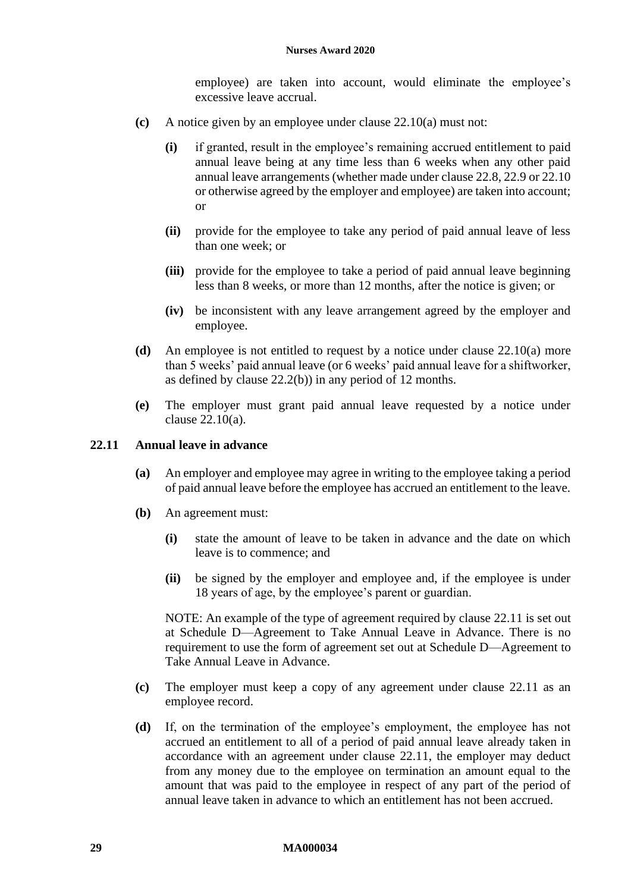employee) are taken into account, would eliminate the employee's excessive leave accrual.

- **(c)** A notice given by an employee under clause [22.10\(a\)](#page-27-5) must not:
	- **(i)** if granted, result in the employee's remaining accrued entitlement to paid annual leave being at any time less than 6 weeks when any other paid annual leave arrangements (whether made under clause [22.8,](#page-26-0) [22.9](#page-27-1) o[r 22.10](#page-27-0) or otherwise agreed by the employer and employee) are taken into account; or
	- **(ii)** provide for the employee to take any period of paid annual leave of less than one week; or
	- **(iii)** provide for the employee to take a period of paid annual leave beginning less than 8 weeks, or more than 12 months, after the notice is given; or
	- **(iv)** be inconsistent with any leave arrangement agreed by the employer and employee.
- **(d)** An employee is not entitled to request by a notice under clause [22.10\(a\)](#page-27-5) more than 5 weeks' paid annual leave (or 6 weeks' paid annual leave for a shiftworker, as defined by clause [22.2\(b\)\)](#page-25-4) in any period of 12 months.
- **(e)** The employer must grant paid annual leave requested by a notice under clause [22.10\(a\).](#page-27-5)

#### <span id="page-28-0"></span>**22.11 Annual leave in advance**

- **(a)** An employer and employee may agree in writing to the employee taking a period of paid annual leave before the employee has accrued an entitlement to the leave.
- **(b)** An agreement must:
	- **(i)** state the amount of leave to be taken in advance and the date on which leave is to commence; and
	- **(ii)** be signed by the employer and employee and, if the employee is under 18 years of age, by the employee's parent or guardian.

NOTE: An example of the type of agreement required by clause [22.11](#page-28-0) is set out at [Schedule D—Agreement to Take Annual Leave in Advance.](#page-63-1) There is no requirement to use the form of agreement set out at [Schedule D—Agreement to](#page-63-1)  [Take Annual Leave in Advance.](#page-63-1)

- **(c)** The employer must keep a copy of any agreement under clause [22.11](#page-28-0) as an employee record.
- **(d)** If, on the termination of the employee's employment, the employee has not accrued an entitlement to all of a period of paid annual leave already taken in accordance with an agreement under clause [22.11,](#page-28-0) the employer may deduct from any money due to the employee on termination an amount equal to the amount that was paid to the employee in respect of any part of the period of annual leave taken in advance to which an entitlement has not been accrued.

#### **29 MA000034**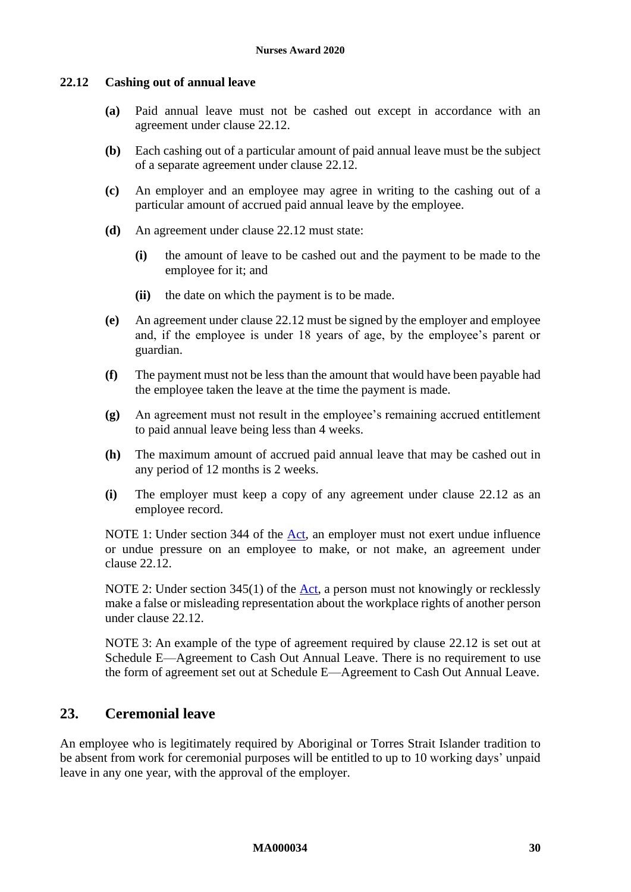### <span id="page-29-1"></span>**22.12 Cashing out of annual leave**

- **(a)** Paid annual leave must not be cashed out except in accordance with an agreement under clause [22.12.](#page-29-1)
- **(b)** Each cashing out of a particular amount of paid annual leave must be the subject of a separate agreement under clause [22.12.](#page-29-1)
- **(c)** An employer and an employee may agree in writing to the cashing out of a particular amount of accrued paid annual leave by the employee.
- **(d)** An agreement under clause [22.12](#page-29-1) must state:
	- **(i)** the amount of leave to be cashed out and the payment to be made to the employee for it; and
	- **(ii)** the date on which the payment is to be made.
- **(e)** An agreement under clause [22.12](#page-29-1) must be signed by the employer and employee and, if the employee is under 18 years of age, by the employee's parent or guardian.
- **(f)** The payment must not be less than the amount that would have been payable had the employee taken the leave at the time the payment is made.
- **(g)** An agreement must not result in the employee's remaining accrued entitlement to paid annual leave being less than 4 weeks.
- **(h)** The maximum amount of accrued paid annual leave that may be cashed out in any period of 12 months is 2 weeks.
- **(i)** The employer must keep a copy of any agreement under clause [22.12](#page-29-1) as an employee record.

NOTE 1: Under section 344 of the [Act,](https://www.legislation.gov.au/Series/C2009A00028) an employer must not exert undue influence or undue pressure on an employee to make, or not make, an agreement under clause [22.12.](#page-29-1)

NOTE 2: Under section 345(1) of the [Act,](https://www.legislation.gov.au/Series/C2009A00028) a person must not knowingly or recklessly make a false or misleading representation about the workplace rights of another person under clause [22.12.](#page-29-1)

NOTE 3: An example of the type of agreement required by clause [22.12](#page-29-1) is set out at [Schedule E—Agreement to Cash Out Annual Leave.](#page-64-1) There is no requirement to use the form of agreement set out at [Schedule E—Agreement to Cash Out Annual Leave.](#page-64-1)

# <span id="page-29-2"></span><span id="page-29-0"></span>**23. Ceremonial leave**

An employee who is legitimately required by Aboriginal or Torres Strait Islander tradition to be absent from work for ceremonial purposes will be entitled to up to 10 working days' unpaid leave in any one year, with the approval of the employer.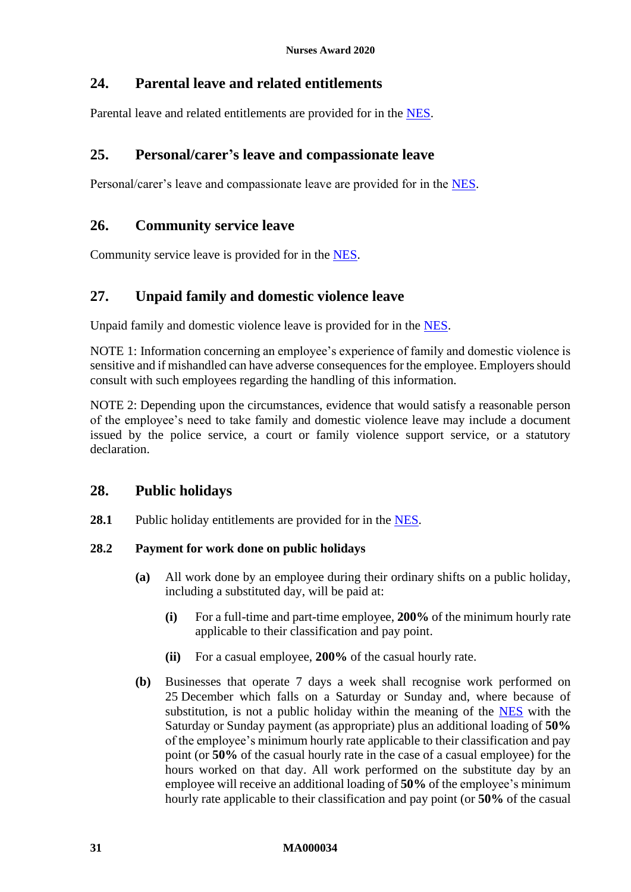# <span id="page-30-0"></span>**24. Parental leave and related entitlements**

<span id="page-30-5"></span><span id="page-30-1"></span>Parental leave and related entitlements are provided for in the [NES.](https://www.fwc.gov.au/documents/awardmod/download/nes.pdf)

# **25. Personal/carer's leave and compassionate leave**

<span id="page-30-2"></span>Personal/carer's leave and compassionate leave are provided for in the [NES.](https://www.fwc.gov.au/documents/awardmod/download/nes.pdf)

# **26. Community service leave**

<span id="page-30-6"></span><span id="page-30-3"></span>Community service leave is provided for in the [NES.](https://www.fwc.gov.au/documents/awardmod/download/nes.pdf)

# **27. Unpaid family and domestic violence leave**

Unpaid family and domestic violence leave is provided for in the [NES.](https://www.fwc.gov.au/documents/awardmod/download/nes.pdf)

NOTE 1: Information concerning an employee's experience of family and domestic violence is sensitive and if mishandled can have adverse consequences for the employee. Employers should consult with such employees regarding the handling of this information.

NOTE 2: Depending upon the circumstances, evidence that would satisfy a reasonable person of the employee's need to take family and domestic violence leave may include a document issued by the police service, a court or family violence support service, or a statutory declaration.

## <span id="page-30-7"></span><span id="page-30-4"></span>**28. Public holidays**

28.1 Public holiday entitlements are provided for in the [NES.](https://www.fwc.gov.au/documents/awardmod/download/nes.pdf)

## <span id="page-30-8"></span>**28.2 Payment for work done on public holidays**

- **(a)** All work done by an employee during their ordinary shifts on a public holiday, including a substituted day, will be paid at:
	- **(i)** For a full-time and part-time employee, **200%** of the minimum hourly rate applicable to their classification and pay point.
	- **(ii)** For a casual employee, **200%** of the casual hourly rate.
- **(b)** Businesses that operate 7 days a week shall recognise work performed on 25 December which falls on a Saturday or Sunday and, where because of substitution, is not a public holiday within the meaning of the [NES](https://www.fwc.gov.au/documents/awardmod/download/nes.pdf) with the Saturday or Sunday payment (as appropriate) plus an additional loading of **50%** of the employee's minimum hourly rate applicable to their classification and pay point (or **50%** of the casual hourly rate in the case of a casual employee) for the hours worked on that day. All work performed on the substitute day by an employee will receive an additional loading of **50%** of the employee's minimum hourly rate applicable to their classification and pay point (or **50%** of the casual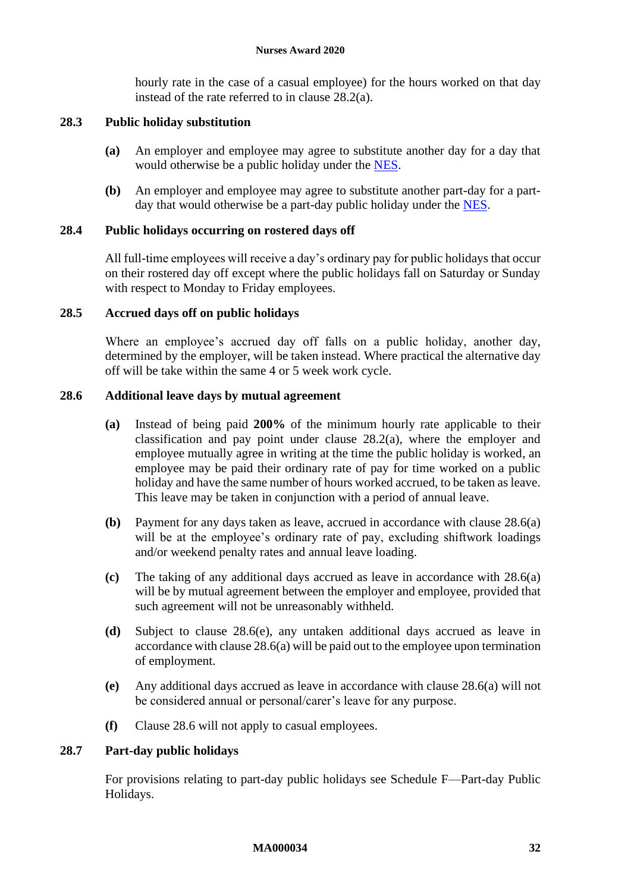hourly rate in the case of a casual employee) for the hours worked on that day instead of the rate referred to in clause [28.2\(a\).](#page-30-8)

### <span id="page-31-0"></span>**28.3 Public holiday substitution**

- **(a)** An employer and employee may agree to substitute another day for a day that would otherwise be a public holiday under the [NES.](https://www.fwc.gov.au/documents/awardmod/download/nes.pdf)
- **(b)** An employer and employee may agree to substitute another part-day for a partday that would otherwise be a part-day public holiday under the [NES.](https://www.fwc.gov.au/documents/awardmod/download/nes.pdf)

## **28.4 Public holidays occurring on rostered days off**

All full-time employees will receive a day's ordinary pay for public holidays that occur on their rostered day off except where the public holidays fall on Saturday or Sunday with respect to Monday to Friday employees.

#### **28.5 Accrued days off on public holidays**

Where an employee's accrued day off falls on a public holiday, another day, determined by the employer, will be taken instead. Where practical the alternative day off will be take within the same 4 or 5 week work cycle.

#### <span id="page-31-2"></span><span id="page-31-1"></span>**28.6 Additional leave days by mutual agreement**

- **(a)** Instead of being paid **200%** of the minimum hourly rate applicable to their classification and pay point under clause [28.2\(a\),](#page-30-8) where the employer and employee mutually agree in writing at the time the public holiday is worked, an employee may be paid their ordinary rate of pay for time worked on a public holiday and have the same number of hours worked accrued, to be taken as leave. This leave may be taken in conjunction with a period of annual leave.
- **(b)** Payment for any days taken as leave, accrued in accordance with clause [28.6\(a\)](#page-31-2) will be at the employee's ordinary rate of pay, excluding shiftwork loadings and/or weekend penalty rates and annual leave loading.
- **(c)** The taking of any additional days accrued as leave in accordance with [28.6\(a\)](#page-31-2) will be by mutual agreement between the employer and employee, provided that such agreement will not be unreasonably withheld.
- **(d)** Subject to clause [28.6\(e\),](#page-31-3) any untaken additional days accrued as leave in accordance with claus[e 28.6\(a\)](#page-31-2) will be paid out to the employee upon termination of employment.
- <span id="page-31-3"></span>**(e)** Any additional days accrued as leave in accordance with clause [28.6\(a\)](#page-31-2) will not be considered annual or personal/carer's leave for any purpose.
- **(f)** Clause 28.6 will not apply to casual employees.

### **28.7 Part-day public holidays**

For provisions relating to part-day public holidays see [Schedule F—Part-day Public](#page-65-1)  [Holidays.](#page-65-1)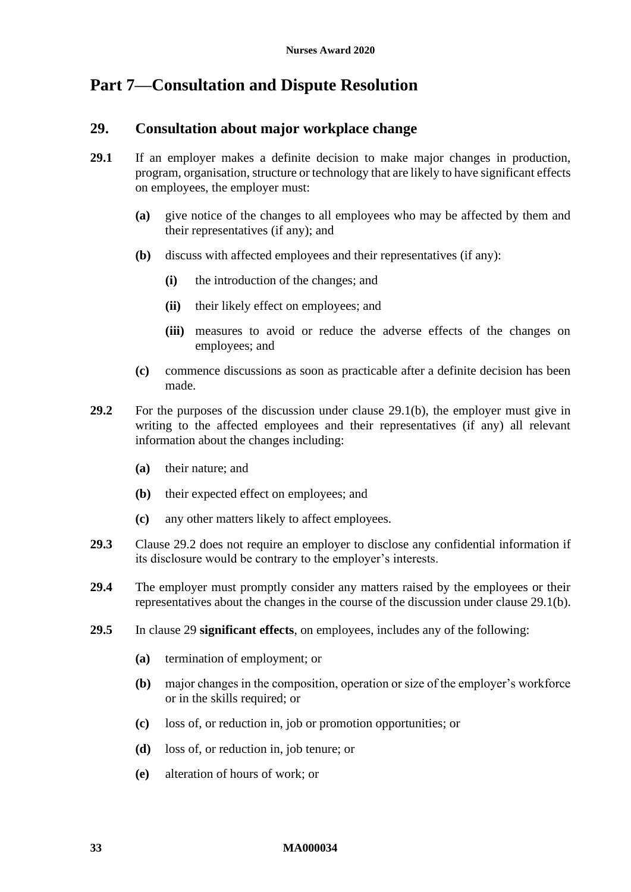# <span id="page-32-4"></span><span id="page-32-1"></span><span id="page-32-0"></span>**Part 7—Consultation and Dispute Resolution**

## **29. Consultation about major workplace change**

- <span id="page-32-2"></span>**29.1** If an employer makes a definite decision to make major changes in production, program, organisation, structure or technology that are likely to have significant effects on employees, the employer must:
	- **(a)** give notice of the changes to all employees who may be affected by them and their representatives (if any); and
	- **(b)** discuss with affected employees and their representatives (if any):
		- **(i)** the introduction of the changes; and
		- **(ii)** their likely effect on employees; and
		- **(iii)** measures to avoid or reduce the adverse effects of the changes on employees; and
	- **(c)** commence discussions as soon as practicable after a definite decision has been made.
- <span id="page-32-3"></span>**29.2** For the purposes of the discussion under clause [29.1\(b\),](#page-32-2) the employer must give in writing to the affected employees and their representatives (if any) all relevant information about the changes including:
	- **(a)** their nature; and
	- **(b)** their expected effect on employees; and
	- **(c)** any other matters likely to affect employees.
- **29.3** Clause [29.2](#page-32-3) does not require an employer to disclose any confidential information if its disclosure would be contrary to the employer's interests.
- **29.4** The employer must promptly consider any matters raised by the employees or their representatives about the changes in the course of the discussion under claus[e 29.1\(b\).](#page-32-2)
- <span id="page-32-5"></span>**29.5** In clause [29](#page-32-4) **significant effects**, on employees, includes any of the following:
	- **(a)** termination of employment; or
	- **(b)** major changes in the composition, operation or size of the employer's workforce or in the skills required; or
	- **(c)** loss of, or reduction in, job or promotion opportunities; or
	- **(d)** loss of, or reduction in, job tenure; or
	- **(e)** alteration of hours of work; or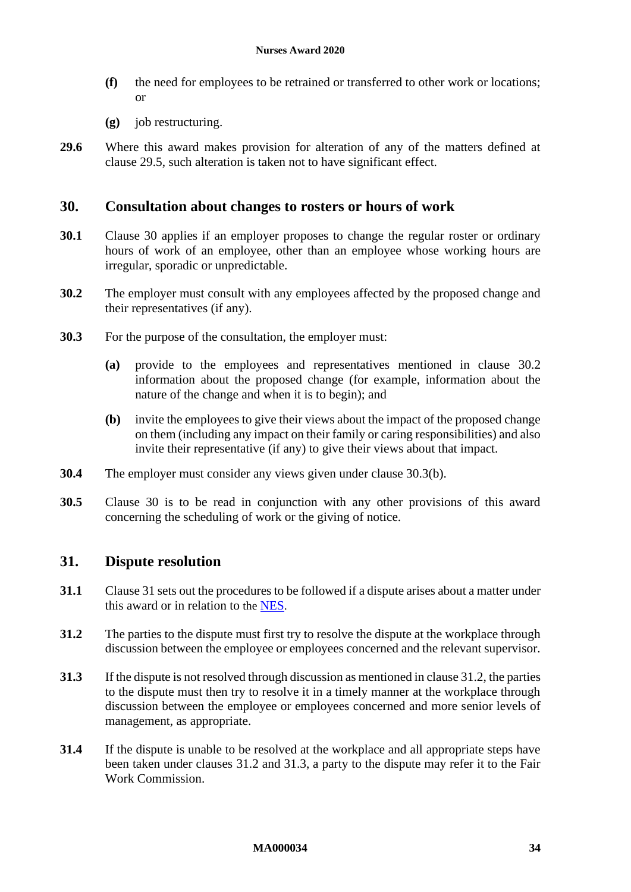- **(f)** the need for employees to be retrained or transferred to other work or locations; or
- **(g)** job restructuring.
- **29.6** Where this award makes provision for alteration of any of the matters defined at clause [29.5,](#page-32-5) such alteration is taken not to have significant effect.

## <span id="page-33-3"></span><span id="page-33-0"></span>**30. Consultation about changes to rosters or hours of work**

- **30.1** Clause [30](#page-33-3) applies if an employer proposes to change the regular roster or ordinary hours of work of an employee, other than an employee whose working hours are irregular, sporadic or unpredictable.
- <span id="page-33-4"></span>**30.2** The employer must consult with any employees affected by the proposed change and their representatives (if any).
- **30.3** For the purpose of the consultation, the employer must:
	- **(a)** provide to the employees and representatives mentioned in clause [30.2](#page-33-4) information about the proposed change (for example, information about the nature of the change and when it is to begin); and
	- **(b)** invite the employees to give their views about the impact of the proposed change on them (including any impact on their family or caring responsibilities) and also invite their representative (if any) to give their views about that impact.
- <span id="page-33-5"></span>**30.4** The employer must consider any views given under clause [30.3\(b\).](#page-33-5)
- **30.5** Clause [30](#page-33-3) is to be read in conjunction with any other provisions of this award concerning the scheduling of work or the giving of notice.

## <span id="page-33-2"></span><span id="page-33-1"></span>**31. Dispute resolution**

- **31.1** Clause [31](#page-33-2) sets out the procedures to be followed if a dispute arises about a matter under this award or in relation to the [NES](https://www.fwc.gov.au/documents/awardmod/download/nes.pdf).
- <span id="page-33-6"></span>**31.2** The parties to the dispute must first try to resolve the dispute at the workplace through discussion between the employee or employees concerned and the relevant supervisor.
- <span id="page-33-7"></span>**31.3** If the dispute is not resolved through discussion as mentioned in clause [31.2,](#page-33-6) the parties to the dispute must then try to resolve it in a timely manner at the workplace through discussion between the employee or employees concerned and more senior levels of management, as appropriate.
- **31.4** If the dispute is unable to be resolved at the workplace and all appropriate steps have been taken under clauses [31.2](#page-33-6) and [31.3,](#page-33-7) a party to the dispute may refer it to the Fair Work Commission.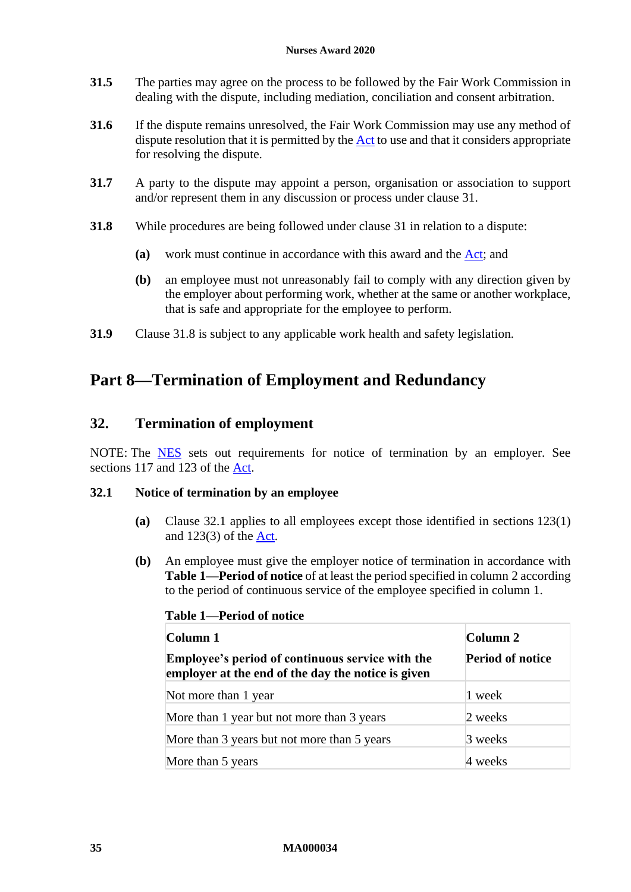#### **Nurses Award 2020**

- **31.5** The parties may agree on the process to be followed by the Fair Work Commission in dealing with the dispute, including mediation, conciliation and consent arbitration.
- **31.6** If the dispute remains unresolved, the Fair Work Commission may use any method of dispute resolution that it is permitted by the [Act](http://www.legislation.gov.au/Series/C2009A00028) to use and that it considers appropriate for resolving the dispute.
- **31.7** A party to the dispute may appoint a person, organisation or association to support and/or represent them in any discussion or process under clause [31.](#page-33-2)
- <span id="page-34-2"></span>**31.8** While procedures are being followed under clause [31](#page-33-2) in relation to a dispute:
	- **(a)** work must continue in accordance with this award and the [Act;](http://www.legislation.gov.au/Series/C2009A00028) and
	- **(b)** an employee must not unreasonably fail to comply with any direction given by the employer about performing work, whether at the same or another workplace, that is safe and appropriate for the employee to perform.
- <span id="page-34-0"></span>**31.9** Clause [31.8](#page-34-2) is subject to any applicable work health and safety legislation.

# <span id="page-34-1"></span>**Part 8—Termination of Employment and Redundancy**

## **32. Termination of employment**

NOTE: The [NES](https://www.fwc.gov.au/documents/awardmod/download/nes.pdf) sets out requirements for notice of termination by an employer. See sections 117 and 123 of the [Act.](http://www.legislation.gov.au/Series/C2009A00028)

#### <span id="page-34-3"></span>**32.1 Notice of termination by an employee**

- **(a)** Clause [32.1](#page-34-3) applies to all employees except those identified in sections 123(1) and 123(3) of the [Act.](http://www.legislation.gov.au/Series/C2009A00028)
- <span id="page-34-5"></span><span id="page-34-4"></span>**(b)** An employee must give the employer notice of termination in accordance with **Table [1—Period of notice](#page-34-4)** of at least the period specified in column 2 according to the period of continuous service of the employee specified in column 1.

| Column 1                                                                                                      | Column 2                |
|---------------------------------------------------------------------------------------------------------------|-------------------------|
| <b>Employee's period of continuous service with the</b><br>employer at the end of the day the notice is given | <b>Period of notice</b> |
| Not more than 1 year                                                                                          | 1 week                  |
| More than 1 year but not more than 3 years                                                                    | 2 weeks                 |
| More than 3 years but not more than 5 years                                                                   | 3 weeks                 |
| More than 5 years                                                                                             | 4 weeks                 |

#### **Table 1—Period of notice**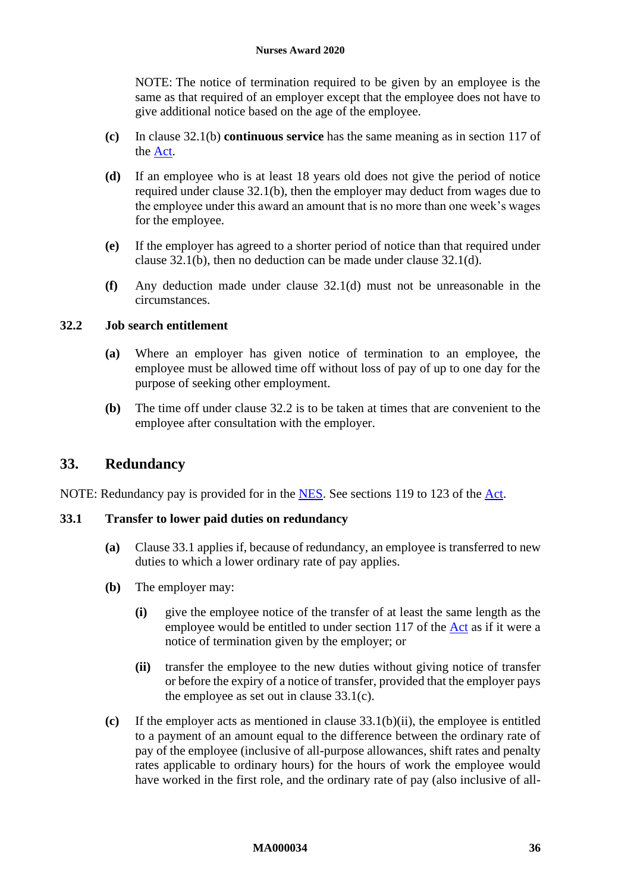NOTE: The notice of termination required to be given by an employee is the same as that required of an employer except that the employee does not have to give additional notice based on the age of the employee.

- **(c)** In clause [32.1\(b\)](#page-34-5) **continuous service** has the same meaning as in section 117 of the [Act.](http://www.legislation.gov.au/Series/C2009A00028)
- <span id="page-35-1"></span>**(d)** If an employee who is at least 18 years old does not give the period of notice required under clause [32.1\(b\),](#page-34-5) then the employer may deduct from wages due to the employee under this award an amount that is no more than one week's wages for the employee.
- **(e)** If the employer has agreed to a shorter period of notice than that required under clause [32.1\(b\),](#page-34-5) then no deduction can be made under clause [32.1\(d\).](#page-35-1)
- **(f)** Any deduction made under clause [32.1\(d\)](#page-35-1) must not be unreasonable in the circumstances.

## <span id="page-35-2"></span>**32.2 Job search entitlement**

- **(a)** Where an employer has given notice of termination to an employee, the employee must be allowed time off without loss of pay of up to one day for the purpose of seeking other employment.
- **(b)** The time off under clause [32.2](#page-35-2) is to be taken at times that are convenient to the employee after consultation with the employer.

## <span id="page-35-6"></span><span id="page-35-0"></span>**33. Redundancy**

NOTE: Redundancy pay is provided for in the [NES.](https://www.fwc.gov.au/documents/awardmod/download/nes.pdf) See sections 119 to 123 of the [Act.](http://www.legislation.gov.au/Series/C2009A00028)

#### <span id="page-35-3"></span>**33.1 Transfer to lower paid duties on redundancy**

- **(a)** Clause [33.1](#page-35-3) applies if, because of redundancy, an employee is transferred to new duties to which a lower ordinary rate of pay applies.
- **(b)** The employer may:
	- **(i)** give the employee notice of the transfer of at least the same length as the employee would be entitled to under section 117 of the [Act](http://www.legislation.gov.au/Series/C2009A00028) as if it were a notice of termination given by the employer; or
	- **(ii)** transfer the employee to the new duties without giving notice of transfer or before the expiry of a notice of transfer, provided that the employer pays the employee as set out in clause [33.1\(c\).](#page-35-4)
- <span id="page-35-5"></span><span id="page-35-4"></span>**(c)** If the employer acts as mentioned in clause [33.1\(b\)\(ii\),](#page-35-5) the employee is entitled to a payment of an amount equal to the difference between the ordinary rate of pay of the employee (inclusive of all-purpose allowances, shift rates and penalty rates applicable to ordinary hours) for the hours of work the employee would have worked in the first role, and the ordinary rate of pay (also inclusive of all-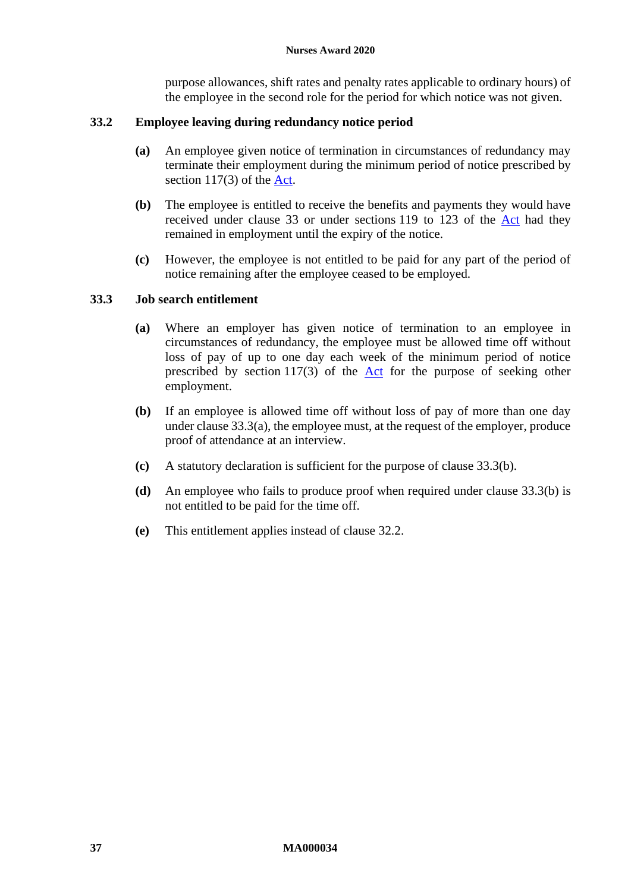purpose allowances, shift rates and penalty rates applicable to ordinary hours) of the employee in the second role for the period for which notice was not given.

## **33.2 Employee leaving during redundancy notice period**

- **(a)** An employee given notice of termination in circumstances of redundancy may terminate their employment during the minimum period of notice prescribed by section 117(3) of the [Act.](http://www.legislation.gov.au/Series/C2009A00028)
- **(b)** The employee is entitled to receive the benefits and payments they would have received under clause [33](#page-35-6) or under sections 119 to 123 of the [Act](http://www.legislation.gov.au/Series/C2009A00028) had they remained in employment until the expiry of the notice.
- **(c)** However, the employee is not entitled to be paid for any part of the period of notice remaining after the employee ceased to be employed.

#### <span id="page-36-0"></span>**33.3 Job search entitlement**

- **(a)** Where an employer has given notice of termination to an employee in circumstances of redundancy, the employee must be allowed time off without loss of pay of up to one day each week of the minimum period of notice prescribed by section  $117(3)$  of the  $\Delta ct$  for the purpose of seeking other employment.
- <span id="page-36-1"></span>**(b)** If an employee is allowed time off without loss of pay of more than one day under clause [33.3\(a\),](#page-36-0) the employee must, at the request of the employer, produce proof of attendance at an interview.
- **(c)** A statutory declaration is sufficient for the purpose of clause [33.3\(b\).](#page-36-1)
- **(d)** An employee who fails to produce proof when required under clause [33.3\(b\)](#page-36-1) is not entitled to be paid for the time off.
- **(e)** This entitlement applies instead of clause [32.2.](#page-35-2)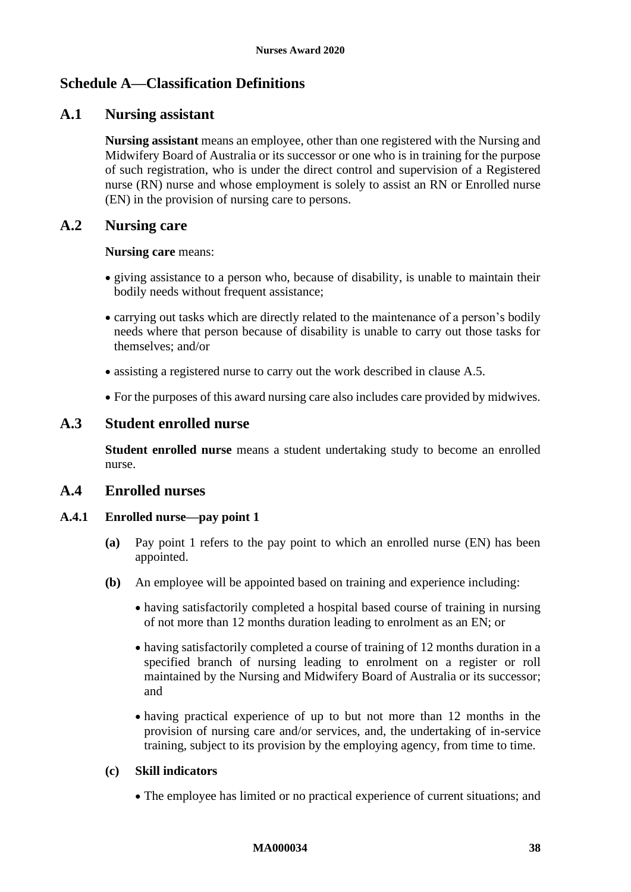# <span id="page-37-1"></span><span id="page-37-0"></span>**Schedule A—Classification Definitions**

## **A.1 Nursing assistant**

**Nursing assistant** means an employee, other than one registered with the Nursing and Midwifery Board of Australia or its successor or one who is in training for the purpose of such registration, who is under the direct control and supervision of a Registered nurse (RN) nurse and whose employment is solely to assist an RN or Enrolled nurse (EN) in the provision of nursing care to persons.

## **A.2 Nursing care**

#### **Nursing care** means:

- giving assistance to a person who, because of disability, is unable to maintain their bodily needs without frequent assistance;
- carrying out tasks which are directly related to the maintenance of a person's bodily needs where that person because of disability is unable to carry out those tasks for themselves; and/or
- assisting a registered nurse to carry out the work described in clause [A.5.](#page-40-0)
- For the purposes of this award nursing care also includes care provided by midwives.

## **A.3 Student enrolled nurse**

**Student enrolled nurse** means a student undertaking study to become an enrolled nurse.

## **A.4 Enrolled nurses**

## **A.4.1 Enrolled nurse—pay point 1**

- **(a)** Pay point 1 refers to the pay point to which an enrolled nurse (EN) has been appointed.
- **(b)** An employee will be appointed based on training and experience including:
	- having satisfactorily completed a hospital based course of training in nursing of not more than 12 months duration leading to enrolment as an EN; or
	- having satisfactorily completed a course of training of 12 months duration in a specified branch of nursing leading to enrolment on a register or roll maintained by the Nursing and Midwifery Board of Australia or its successor; and
	- having practical experience of up to but not more than 12 months in the provision of nursing care and/or services, and, the undertaking of in-service training, subject to its provision by the employing agency, from time to time.

### **(c) Skill indicators**

• The employee has limited or no practical experience of current situations; and

#### **MA000034 38**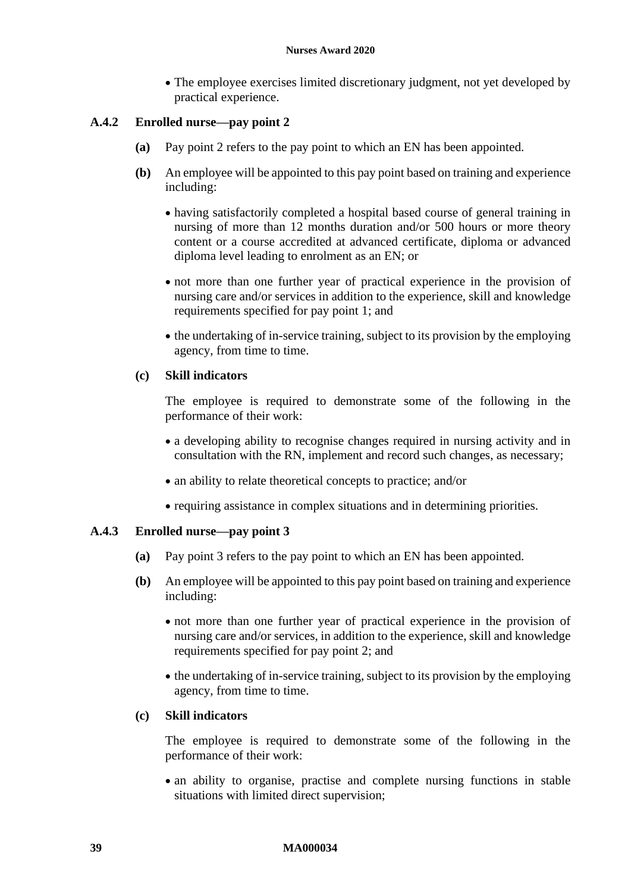• The employee exercises limited discretionary judgment, not yet developed by practical experience.

## **A.4.2 Enrolled nurse—pay point 2**

- **(a)** Pay point 2 refers to the pay point to which an EN has been appointed.
- **(b)** An employee will be appointed to this pay point based on training and experience including:
	- having satisfactorily completed a hospital based course of general training in nursing of more than 12 months duration and/or 500 hours or more theory content or a course accredited at advanced certificate, diploma or advanced diploma level leading to enrolment as an EN; or
	- not more than one further year of practical experience in the provision of nursing care and/or services in addition to the experience, skill and knowledge requirements specified for pay point 1; and
	- the undertaking of in-service training, subject to its provision by the employing agency, from time to time.

#### **(c) Skill indicators**

The employee is required to demonstrate some of the following in the performance of their work:

- a developing ability to recognise changes required in nursing activity and in consultation with the RN, implement and record such changes, as necessary;
- an ability to relate theoretical concepts to practice; and/or
- requiring assistance in complex situations and in determining priorities.

### **A.4.3 Enrolled nurse—pay point 3**

- **(a)** Pay point 3 refers to the pay point to which an EN has been appointed.
- **(b)** An employee will be appointed to this pay point based on training and experience including:
	- not more than one further year of practical experience in the provision of nursing care and/or services, in addition to the experience, skill and knowledge requirements specified for pay point 2; and
	- the undertaking of in-service training, subject to its provision by the employing agency, from time to time.

## **(c) Skill indicators**

The employee is required to demonstrate some of the following in the performance of their work:

• an ability to organise, practise and complete nursing functions in stable situations with limited direct supervision;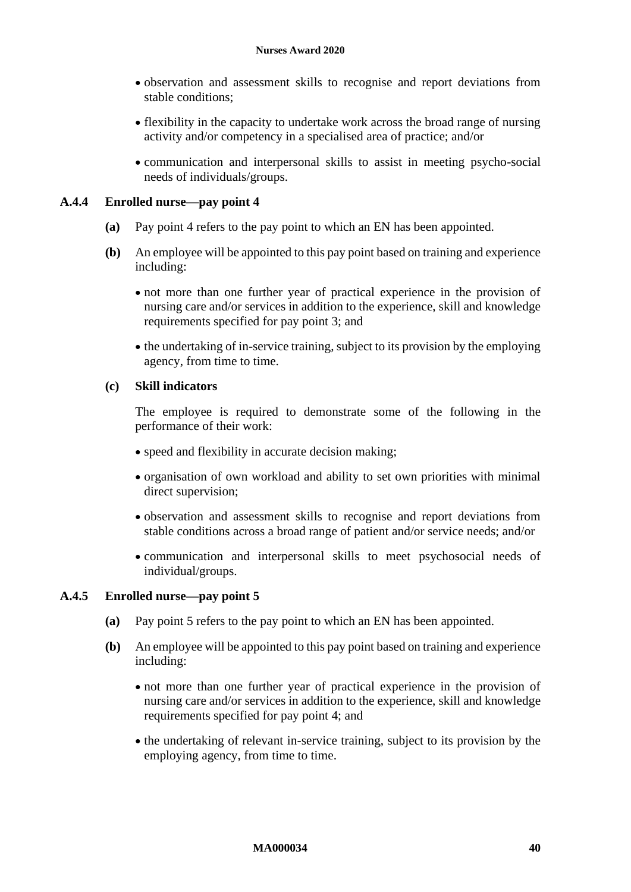- observation and assessment skills to recognise and report deviations from stable conditions;
- flexibility in the capacity to undertake work across the broad range of nursing activity and/or competency in a specialised area of practice; and/or
- communication and interpersonal skills to assist in meeting psycho-social needs of individuals/groups.

### **A.4.4 Enrolled nurse—pay point 4**

- **(a)** Pay point 4 refers to the pay point to which an EN has been appointed.
- **(b)** An employee will be appointed to this pay point based on training and experience including:
	- not more than one further year of practical experience in the provision of nursing care and/or services in addition to the experience, skill and knowledge requirements specified for pay point 3; and
	- the undertaking of in-service training, subject to its provision by the employing agency, from time to time.

## **(c) Skill indicators**

The employee is required to demonstrate some of the following in the performance of their work:

- speed and flexibility in accurate decision making;
- organisation of own workload and ability to set own priorities with minimal direct supervision;
- observation and assessment skills to recognise and report deviations from stable conditions across a broad range of patient and/or service needs; and/or
- communication and interpersonal skills to meet psychosocial needs of individual/groups.

## **A.4.5 Enrolled nurse—pay point 5**

- **(a)** Pay point 5 refers to the pay point to which an EN has been appointed.
- **(b)** An employee will be appointed to this pay point based on training and experience including:
	- not more than one further year of practical experience in the provision of nursing care and/or services in addition to the experience, skill and knowledge requirements specified for pay point 4; and
	- the undertaking of relevant in-service training, subject to its provision by the employing agency, from time to time.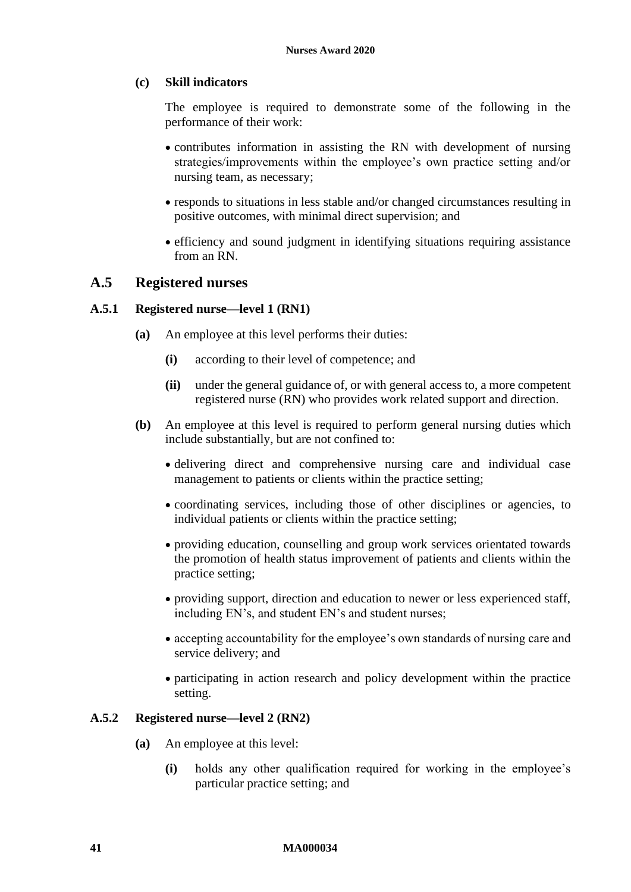### **(c) Skill indicators**

The employee is required to demonstrate some of the following in the performance of their work:

- contributes information in assisting the RN with development of nursing strategies/improvements within the employee's own practice setting and/or nursing team, as necessary;
- responds to situations in less stable and/or changed circumstances resulting in positive outcomes, with minimal direct supervision; and
- efficiency and sound judgment in identifying situations requiring assistance from an RN.

## <span id="page-40-0"></span>**A.5 Registered nurses**

### **A.5.1 Registered nurse—level 1 (RN1)**

- **(a)** An employee at this level performs their duties:
	- **(i)** according to their level of competence; and
	- **(ii)** under the general guidance of, or with general access to, a more competent registered nurse (RN) who provides work related support and direction.
- **(b)** An employee at this level is required to perform general nursing duties which include substantially, but are not confined to:
	- delivering direct and comprehensive nursing care and individual case management to patients or clients within the practice setting;
	- coordinating services, including those of other disciplines or agencies, to individual patients or clients within the practice setting;
	- providing education, counselling and group work services orientated towards the promotion of health status improvement of patients and clients within the practice setting;
	- providing support, direction and education to newer or less experienced staff, including EN's, and student EN's and student nurses;
	- accepting accountability for the employee's own standards of nursing care and service delivery; and
	- participating in action research and policy development within the practice setting.

#### <span id="page-40-1"></span>**A.5.2 Registered nurse—level 2 (RN2)**

- **(a)** An employee at this level:
	- **(i)** holds any other qualification required for working in the employee's particular practice setting; and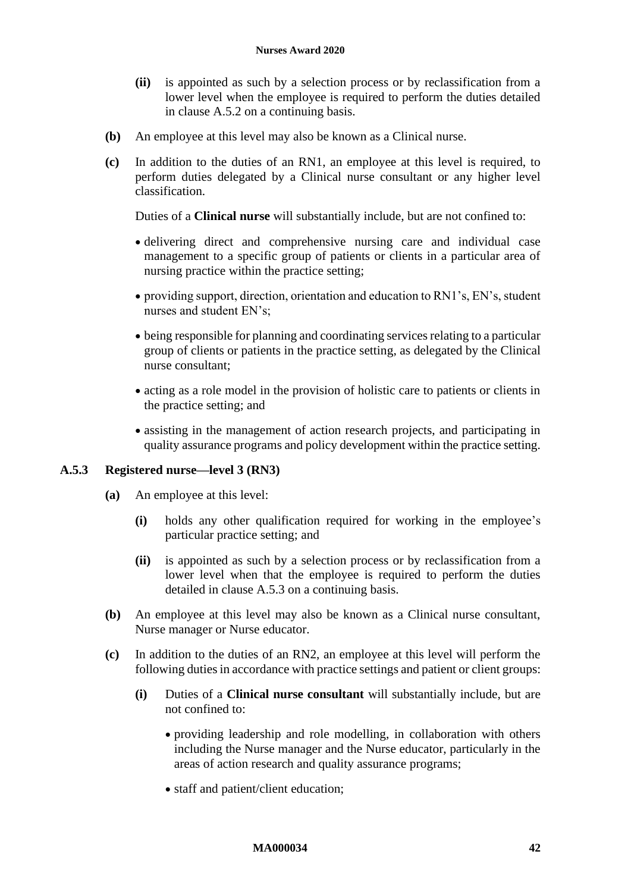- **(ii)** is appointed as such by a selection process or by reclassification from a lower level when the employee is required to perform the duties detailed in clause [A.5.2](#page-40-1) on a continuing basis.
- **(b)** An employee at this level may also be known as a Clinical nurse.
- **(c)** In addition to the duties of an RN1, an employee at this level is required, to perform duties delegated by a Clinical nurse consultant or any higher level classification.

Duties of a **Clinical nurse** will substantially include, but are not confined to:

- delivering direct and comprehensive nursing care and individual case management to a specific group of patients or clients in a particular area of nursing practice within the practice setting;
- providing support, direction, orientation and education to RN1's, EN's, student nurses and student EN's;
- being responsible for planning and coordinating services relating to a particular group of clients or patients in the practice setting, as delegated by the Clinical nurse consultant;
- acting as a role model in the provision of holistic care to patients or clients in the practice setting; and
- assisting in the management of action research projects, and participating in quality assurance programs and policy development within the practice setting.

## <span id="page-41-0"></span>**A.5.3 Registered nurse—level 3 (RN3)**

- **(a)** An employee at this level:
	- **(i)** holds any other qualification required for working in the employee's particular practice setting; and
	- **(ii)** is appointed as such by a selection process or by reclassification from a lower level when that the employee is required to perform the duties detailed in clause [A.5.3](#page-41-0) on a continuing basis.
- **(b)** An employee at this level may also be known as a Clinical nurse consultant, Nurse manager or Nurse educator.
- **(c)** In addition to the duties of an RN2, an employee at this level will perform the following duties in accordance with practice settings and patient or client groups:
	- **(i)** Duties of a **Clinical nurse consultant** will substantially include, but are not confined to:
		- providing leadership and role modelling, in collaboration with others including the Nurse manager and the Nurse educator, particularly in the areas of action research and quality assurance programs;
		- staff and patient/client education;

#### **MA000034 42**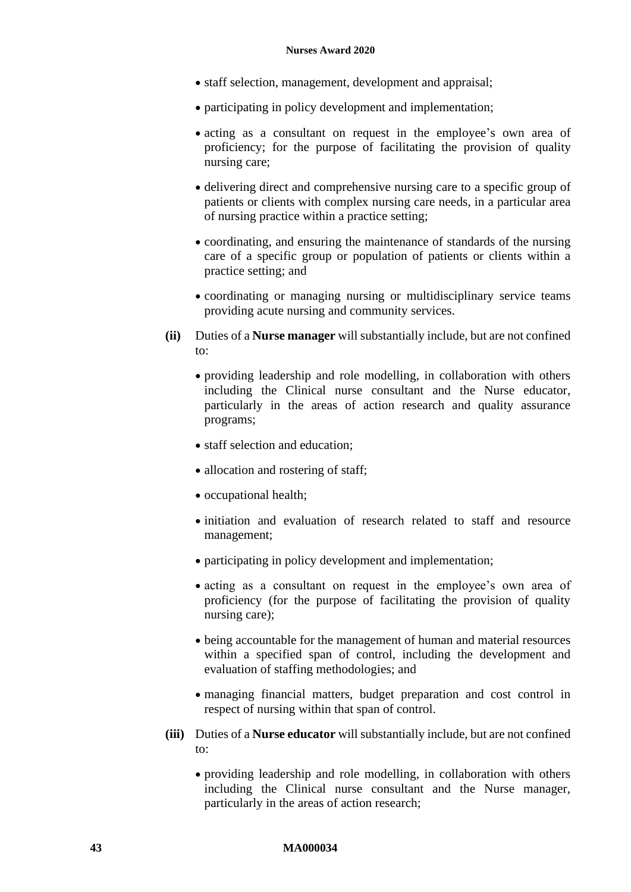- staff selection, management, development and appraisal;
- participating in policy development and implementation;
- acting as a consultant on request in the employee's own area of proficiency; for the purpose of facilitating the provision of quality nursing care;
- delivering direct and comprehensive nursing care to a specific group of patients or clients with complex nursing care needs, in a particular area of nursing practice within a practice setting;
- coordinating, and ensuring the maintenance of standards of the nursing care of a specific group or population of patients or clients within a practice setting; and
- coordinating or managing nursing or multidisciplinary service teams providing acute nursing and community services.
- **(ii)** Duties of a **Nurse manager** will substantially include, but are not confined to:
	- providing leadership and role modelling, in collaboration with others including the Clinical nurse consultant and the Nurse educator, particularly in the areas of action research and quality assurance programs;
	- staff selection and education;
	- allocation and rostering of staff;
	- occupational health;
	- initiation and evaluation of research related to staff and resource management;
	- participating in policy development and implementation;
	- acting as a consultant on request in the employee's own area of proficiency (for the purpose of facilitating the provision of quality nursing care);
	- being accountable for the management of human and material resources within a specified span of control, including the development and evaluation of staffing methodologies; and
	- managing financial matters, budget preparation and cost control in respect of nursing within that span of control.
- **(iii)** Duties of a **Nurse educator** will substantially include, but are not confined to:
	- providing leadership and role modelling, in collaboration with others including the Clinical nurse consultant and the Nurse manager, particularly in the areas of action research;

#### **43 MA000034**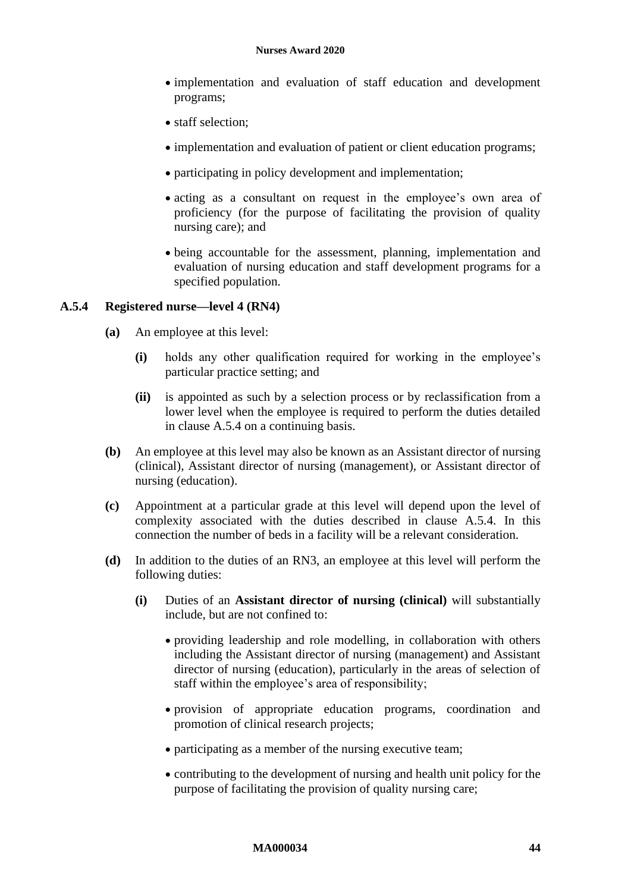- implementation and evaluation of staff education and development programs;
- staff selection:
- implementation and evaluation of patient or client education programs;
- participating in policy development and implementation;
- acting as a consultant on request in the employee's own area of proficiency (for the purpose of facilitating the provision of quality nursing care); and
- being accountable for the assessment, planning, implementation and evaluation of nursing education and staff development programs for a specified population.

#### <span id="page-43-0"></span>**A.5.4 Registered nurse—level 4 (RN4)**

- **(a)** An employee at this level:
	- **(i)** holds any other qualification required for working in the employee's particular practice setting; and
	- **(ii)** is appointed as such by a selection process or by reclassification from a lower level when the employee is required to perform the duties detailed in clause [A.5.4](#page-43-0) on a continuing basis.
- **(b)** An employee at this level may also be known as an Assistant director of nursing (clinical), Assistant director of nursing (management), or Assistant director of nursing (education).
- **(c)** Appointment at a particular grade at this level will depend upon the level of complexity associated with the duties described in clause [A.5.4.](#page-43-0) In this connection the number of beds in a facility will be a relevant consideration.
- **(d)** In addition to the duties of an RN3, an employee at this level will perform the following duties:
	- **(i)** Duties of an **Assistant director of nursing (clinical)** will substantially include, but are not confined to:
		- providing leadership and role modelling, in collaboration with others including the Assistant director of nursing (management) and Assistant director of nursing (education), particularly in the areas of selection of staff within the employee's area of responsibility;
		- provision of appropriate education programs, coordination and promotion of clinical research projects;
		- participating as a member of the nursing executive team;
		- contributing to the development of nursing and health unit policy for the purpose of facilitating the provision of quality nursing care;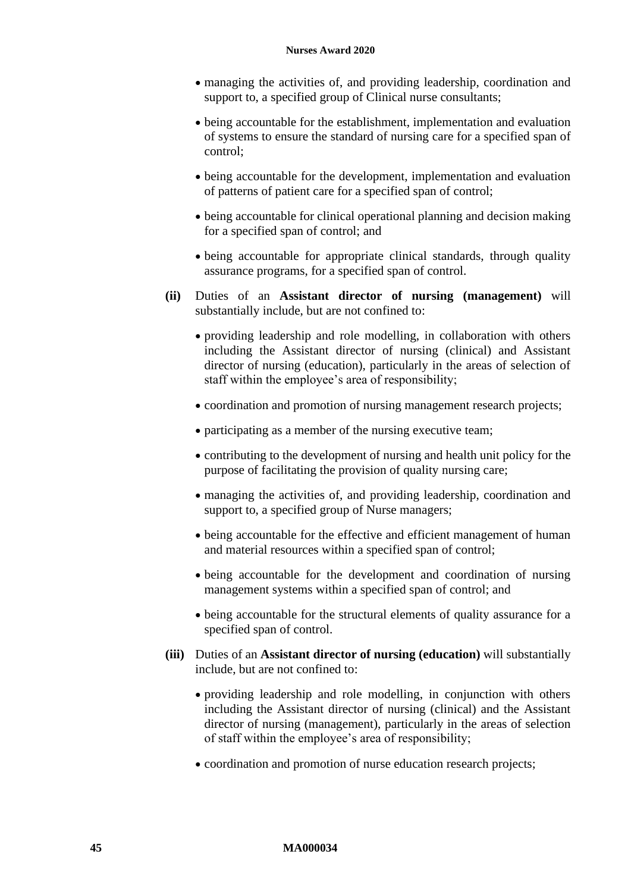- managing the activities of, and providing leadership, coordination and support to, a specified group of Clinical nurse consultants;
- being accountable for the establishment, implementation and evaluation of systems to ensure the standard of nursing care for a specified span of control;
- being accountable for the development, implementation and evaluation of patterns of patient care for a specified span of control;
- being accountable for clinical operational planning and decision making for a specified span of control; and
- being accountable for appropriate clinical standards, through quality assurance programs, for a specified span of control.
- **(ii)** Duties of an **Assistant director of nursing (management)** will substantially include, but are not confined to:
	- providing leadership and role modelling, in collaboration with others including the Assistant director of nursing (clinical) and Assistant director of nursing (education), particularly in the areas of selection of staff within the employee's area of responsibility;
	- coordination and promotion of nursing management research projects;
	- participating as a member of the nursing executive team;
	- contributing to the development of nursing and health unit policy for the purpose of facilitating the provision of quality nursing care;
	- managing the activities of, and providing leadership, coordination and support to, a specified group of Nurse managers;
	- being accountable for the effective and efficient management of human and material resources within a specified span of control;
	- being accountable for the development and coordination of nursing management systems within a specified span of control; and
	- being accountable for the structural elements of quality assurance for a specified span of control.
- **(iii)** Duties of an **Assistant director of nursing (education)** will substantially include, but are not confined to:
	- providing leadership and role modelling, in conjunction with others including the Assistant director of nursing (clinical) and the Assistant director of nursing (management), particularly in the areas of selection of staff within the employee's area of responsibility;
	- coordination and promotion of nurse education research projects;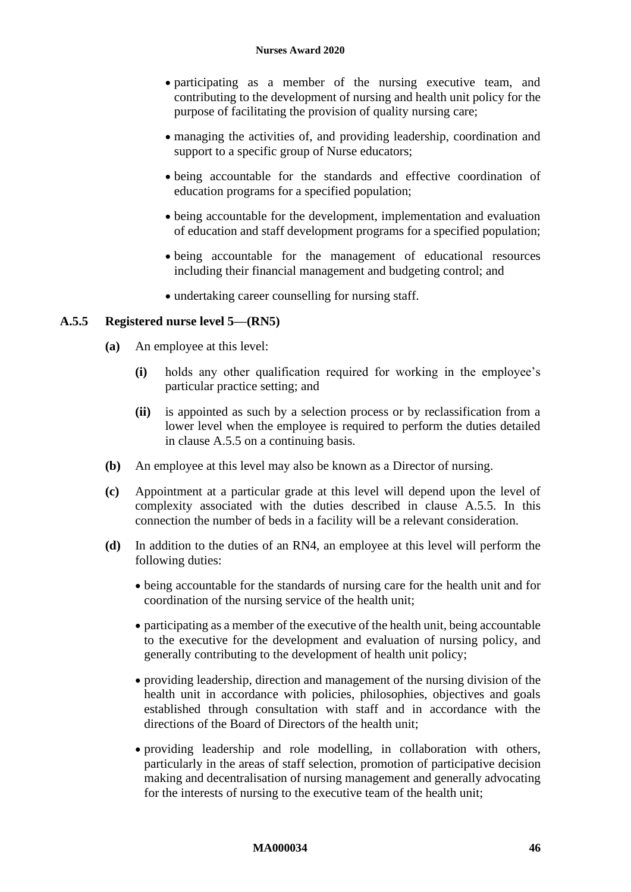- participating as a member of the nursing executive team, and contributing to the development of nursing and health unit policy for the purpose of facilitating the provision of quality nursing care;
- managing the activities of, and providing leadership, coordination and support to a specific group of Nurse educators;
- being accountable for the standards and effective coordination of education programs for a specified population;
- being accountable for the development, implementation and evaluation of education and staff development programs for a specified population;
- being accountable for the management of educational resources including their financial management and budgeting control; and
- undertaking career counselling for nursing staff.

#### <span id="page-45-0"></span>**A.5.5 Registered nurse level 5—(RN5)**

- **(a)** An employee at this level:
	- **(i)** holds any other qualification required for working in the employee's particular practice setting; and
	- **(ii)** is appointed as such by a selection process or by reclassification from a lower level when the employee is required to perform the duties detailed in clause [A.5.5](#page-45-0) on a continuing basis.
- **(b)** An employee at this level may also be known as a Director of nursing.
- **(c)** Appointment at a particular grade at this level will depend upon the level of complexity associated with the duties described in clause [A.5.5.](#page-45-0) In this connection the number of beds in a facility will be a relevant consideration.
- **(d)** In addition to the duties of an RN4, an employee at this level will perform the following duties:
	- being accountable for the standards of nursing care for the health unit and for coordination of the nursing service of the health unit;
	- participating as a member of the executive of the health unit, being accountable to the executive for the development and evaluation of nursing policy, and generally contributing to the development of health unit policy;
	- providing leadership, direction and management of the nursing division of the health unit in accordance with policies, philosophies, objectives and goals established through consultation with staff and in accordance with the directions of the Board of Directors of the health unit;
	- providing leadership and role modelling, in collaboration with others, particularly in the areas of staff selection, promotion of participative decision making and decentralisation of nursing management and generally advocating for the interests of nursing to the executive team of the health unit;

#### **MA000034 46**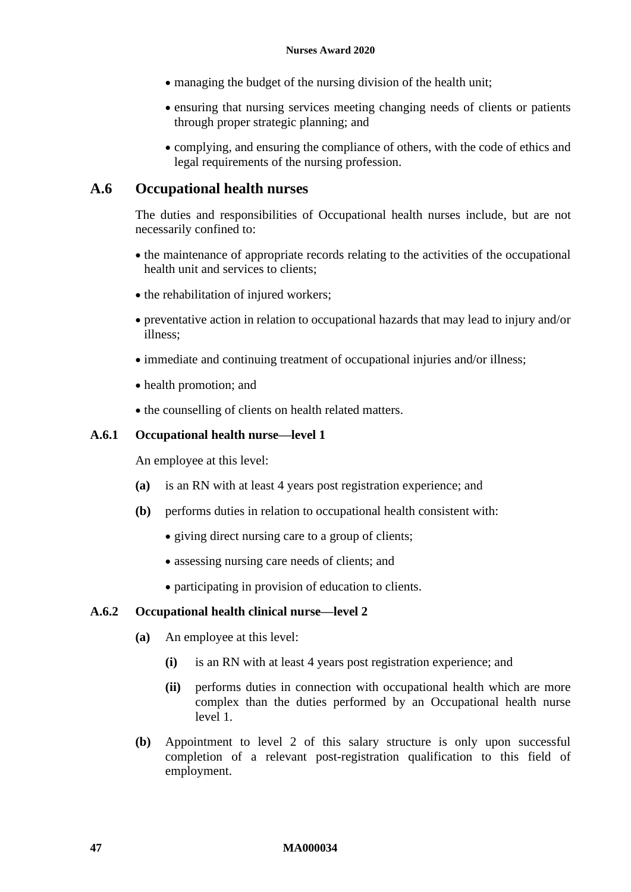- managing the budget of the nursing division of the health unit;
- ensuring that nursing services meeting changing needs of clients or patients through proper strategic planning; and
- complying, and ensuring the compliance of others, with the code of ethics and legal requirements of the nursing profession.

## **A.6 Occupational health nurses**

The duties and responsibilities of Occupational health nurses include, but are not necessarily confined to:

- the maintenance of appropriate records relating to the activities of the occupational health unit and services to clients;
- the rehabilitation of injured workers;
- preventative action in relation to occupational hazards that may lead to injury and/or illness;
- immediate and continuing treatment of occupational injuries and/or illness;
- health promotion; and
- the counselling of clients on health related matters.

#### **A.6.1 Occupational health nurse—level 1**

An employee at this level:

- **(a)** is an RN with at least 4 years post registration experience; and
- **(b)** performs duties in relation to occupational health consistent with:
	- giving direct nursing care to a group of clients;
	- assessing nursing care needs of clients; and
	- participating in provision of education to clients.

## **A.6.2 Occupational health clinical nurse—level 2**

- **(a)** An employee at this level:
	- **(i)** is an RN with at least 4 years post registration experience; and
	- **(ii)** performs duties in connection with occupational health which are more complex than the duties performed by an Occupational health nurse level 1.
- **(b)** Appointment to level 2 of this salary structure is only upon successful completion of a relevant post-registration qualification to this field of employment.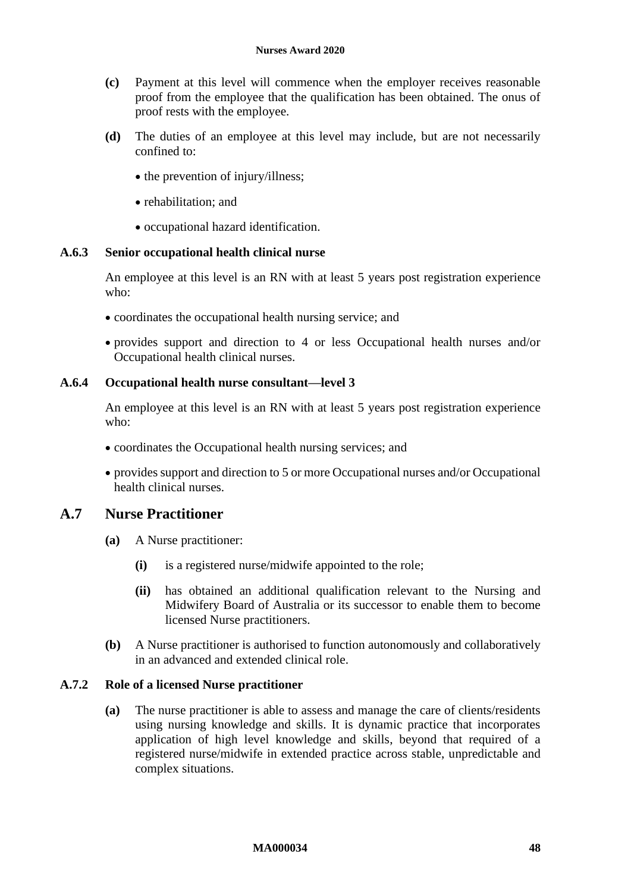- **(c)** Payment at this level will commence when the employer receives reasonable proof from the employee that the qualification has been obtained. The onus of proof rests with the employee.
- **(d)** The duties of an employee at this level may include, but are not necessarily confined to:
	- the prevention of injury/illness;
	- rehabilitation; and
	- occupational hazard identification.

#### **A.6.3 Senior occupational health clinical nurse**

An employee at this level is an RN with at least 5 years post registration experience who:

- coordinates the occupational health nursing service; and
- provides support and direction to 4 or less Occupational health nurses and/or Occupational health clinical nurses.

#### **A.6.4 Occupational health nurse consultant—level 3**

An employee at this level is an RN with at least 5 years post registration experience who:

- coordinates the Occupational health nursing services; and
- provides support and direction to 5 or more Occupational nurses and/or Occupational health clinical nurses.

## **A.7 Nurse Practitioner**

- **(a)** A Nurse practitioner:
	- **(i)** is a registered nurse/midwife appointed to the role;
	- **(ii)** has obtained an additional qualification relevant to the Nursing and Midwifery Board of Australia or its successor to enable them to become licensed Nurse practitioners.
- **(b)** A Nurse practitioner is authorised to function autonomously and collaboratively in an advanced and extended clinical role.

#### **A.7.2 Role of a licensed Nurse practitioner**

**(a)** The nurse practitioner is able to assess and manage the care of clients/residents using nursing knowledge and skills. It is dynamic practice that incorporates application of high level knowledge and skills, beyond that required of a registered nurse/midwife in extended practice across stable, unpredictable and complex situations.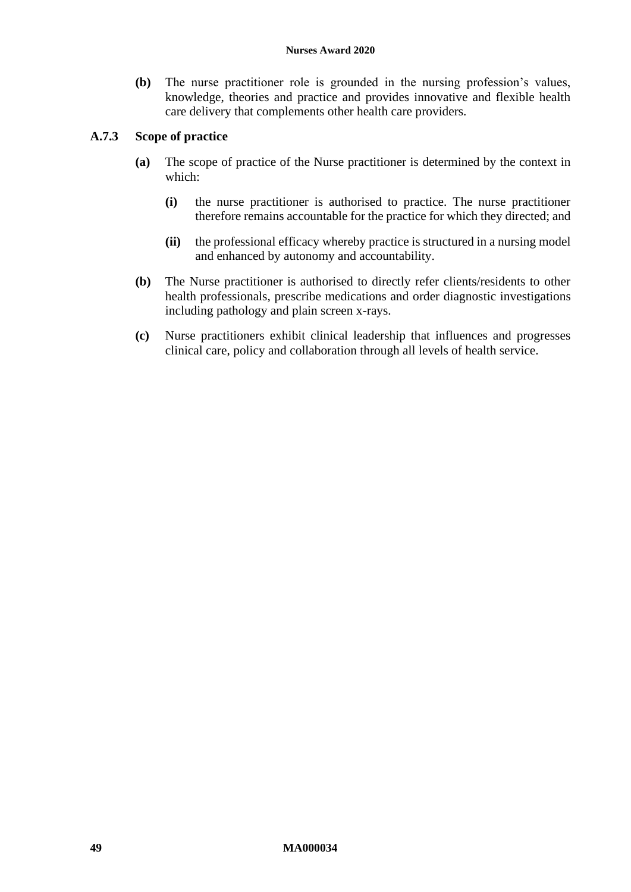#### **Nurses Award 2020**

**(b)** The nurse practitioner role is grounded in the nursing profession's values, knowledge, theories and practice and provides innovative and flexible health care delivery that complements other health care providers.

## **A.7.3 Scope of practice**

- **(a)** The scope of practice of the Nurse practitioner is determined by the context in which:
	- **(i)** the nurse practitioner is authorised to practice. The nurse practitioner therefore remains accountable for the practice for which they directed; and
	- **(ii)** the professional efficacy whereby practice is structured in a nursing model and enhanced by autonomy and accountability.
- **(b)** The Nurse practitioner is authorised to directly refer clients/residents to other health professionals, prescribe medications and order diagnostic investigations including pathology and plain screen x-rays.
- **(c)** Nurse practitioners exhibit clinical leadership that influences and progresses clinical care, policy and collaboration through all levels of health service.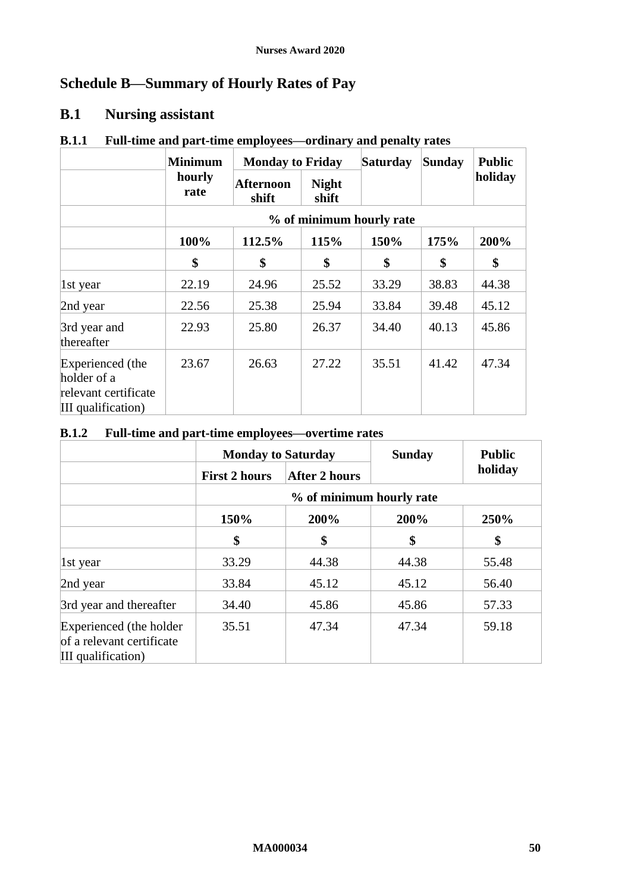# <span id="page-49-1"></span><span id="page-49-0"></span>**Schedule B—Summary of Hourly Rates of Pay**

# **B.1 Nursing assistant**

|                                                                               | <b>Minimum</b> |                    | <b>Monday to Friday</b> |                          | Sunday | <b>Public</b> |
|-------------------------------------------------------------------------------|----------------|--------------------|-------------------------|--------------------------|--------|---------------|
|                                                                               | hourly<br>rate | Afternoon<br>shift | <b>Night</b><br>shift   |                          |        | holiday       |
|                                                                               |                |                    |                         | % of minimum hourly rate |        |               |
|                                                                               | 100%           | 112.5%             | 115%                    | 150%                     | 175%   | 200%          |
|                                                                               | \$             | \$                 | \$                      | \$                       | \$     | \$            |
| $\vert$ 1st year                                                              | 22.19          | 24.96              | 25.52                   | 33.29                    | 38.83  | 44.38         |
| 2nd year                                                                      | 22.56          | 25.38              | 25.94                   | 33.84                    | 39.48  | 45.12         |
| 3rd year and<br>thereafter                                                    | 22.93          | 25.80              | 26.37                   | 34.40                    | 40.13  | 45.86         |
| Experienced (the<br>holder of a<br>relevant certificate<br>III qualification) | 23.67          | 26.63              | 27.22                   | 35.51                    | 41.42  | 47.34         |

## **B.1.1 Full-time and part-time employees—ordinary and penalty rates**

## **B.1.2 Full-time and part-time employees—overtime rates**

|                                                                            | <b>Monday to Saturday</b> |                          | <b>Sunday</b> | <b>Public</b> |
|----------------------------------------------------------------------------|---------------------------|--------------------------|---------------|---------------|
|                                                                            | <b>First 2 hours</b>      | <b>After 2 hours</b>     |               | holiday       |
|                                                                            |                           | % of minimum hourly rate |               |               |
|                                                                            | 150%                      | 200%                     | 200%          | 250%          |
|                                                                            | \$                        | \$                       | \$            | \$            |
| 1st year                                                                   | 33.29                     | 44.38                    | 44.38         | 55.48         |
| 2nd year                                                                   | 33.84                     | 45.12                    | 45.12         | 56.40         |
| 3rd year and thereafter                                                    | 34.40                     | 45.86                    | 45.86         | 57.33         |
| Experienced (the holder<br>of a relevant certificate<br>III qualification) | 35.51                     | 47.34                    | 47.34         | 59.18         |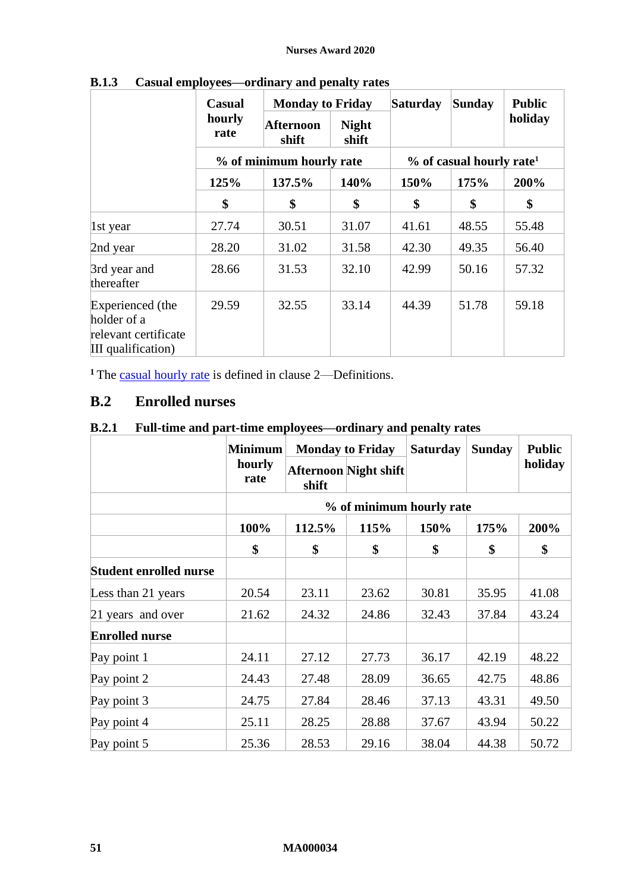|                                                                               | Casual         | <b>Monday to Friday</b>  |                       | <b>Saturday</b> | Sunday                                 | <b>Public</b> |
|-------------------------------------------------------------------------------|----------------|--------------------------|-----------------------|-----------------|----------------------------------------|---------------|
|                                                                               | hourly<br>rate | Afternoon<br>shift       | <b>Night</b><br>shift |                 |                                        | holiday       |
|                                                                               |                | % of minimum hourly rate |                       |                 | $%$ of casual hourly rate <sup>1</sup> |               |
|                                                                               | 125%           | 137.5%                   | 140%                  | 150%            | 175%                                   | 200%          |
|                                                                               | \$             | \$                       | \$                    | \$              | \$                                     | \$            |
| 1st year                                                                      | 27.74          | 30.51                    | 31.07                 | 41.61           | 48.55                                  | 55.48         |
| 2nd year                                                                      | 28.20          | 31.02                    | 31.58                 | 42.30           | 49.35                                  | 56.40         |
| 3rd year and<br>thereafter                                                    | 28.66          | 31.53                    | 32.10                 | 42.99           | 50.16                                  | 57.32         |
| Experienced (the<br>holder of a<br>relevant certificate<br>III qualification) | 29.59          | 32.55                    | 33.14                 | 44.39           | 51.78                                  | 59.18         |

**B.1.3 Casual employees—ordinary and penalty rates**

<sup>1</sup> The [casual hourly rate](#page-2-3) is defined in clause [2](#page-2-4)—[Definitions.](#page-2-4)

# **B.2 Enrolled nurses**

# **B.2.1 Full-time and part-time employees—ordinary and penalty rates**

|                               | <b>Minimum</b> | <b>Monday to Friday</b> |                              | <b>Saturday</b> | <b>Sunday</b> | <b>Public</b> |  |
|-------------------------------|----------------|-------------------------|------------------------------|-----------------|---------------|---------------|--|
|                               | hourly<br>rate | shift                   | <b>Afternoon</b> Night shift |                 |               | holiday       |  |
|                               |                |                         | % of minimum hourly rate     |                 |               |               |  |
|                               | 100%           | 112.5%                  | 115%                         | 150%            | 175%          | 200%          |  |
|                               | \$             | \$                      | \$                           | \$              | \$            | \$            |  |
| <b>Student enrolled nurse</b> |                |                         |                              |                 |               |               |  |
| Less than 21 years            | 20.54          | 23.11                   | 23.62                        | 30.81           | 35.95         | 41.08         |  |
| 21 years and over             | 21.62          | 24.32                   | 24.86                        | 32.43           | 37.84         | 43.24         |  |
| <b>Enrolled nurse</b>         |                |                         |                              |                 |               |               |  |
| Pay point 1                   | 24.11          | 27.12                   | 27.73                        | 36.17           | 42.19         | 48.22         |  |
| Pay point 2                   | 24.43          | 27.48                   | 28.09                        | 36.65           | 42.75         | 48.86         |  |
| Pay point 3                   | 24.75          | 27.84                   | 28.46                        | 37.13           | 43.31         | 49.50         |  |
| Pay point 4                   | 25.11          | 28.25                   | 28.88                        | 37.67           | 43.94         | 50.22         |  |
| Pay point 5                   | 25.36          | 28.53                   | 29.16                        | 38.04           | 44.38         | 50.72         |  |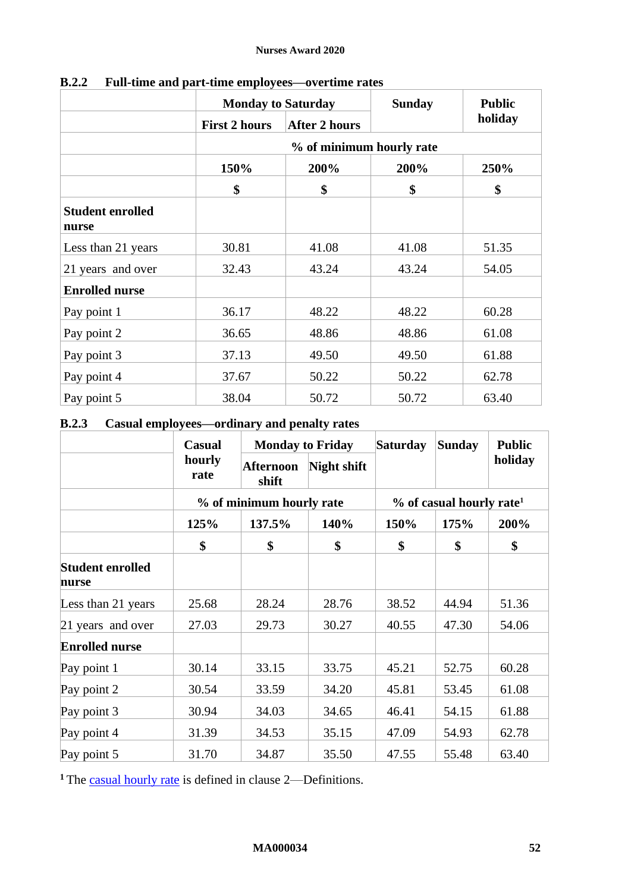|                                  |                      | <b>Monday to Saturday</b> |       | <b>Public</b> |  |
|----------------------------------|----------------------|---------------------------|-------|---------------|--|
|                                  | <b>First 2 hours</b> | <b>After 2 hours</b>      |       | holiday       |  |
|                                  |                      | % of minimum hourly rate  |       |               |  |
|                                  | 150%                 | 200%                      | 200%  | 250%          |  |
|                                  | \$                   | \$                        | \$    | \$            |  |
| <b>Student enrolled</b><br>nurse |                      |                           |       |               |  |
| Less than 21 years               | 30.81                | 41.08                     | 41.08 | 51.35         |  |
| 21 years and over                | 32.43                | 43.24                     | 43.24 | 54.05         |  |
| <b>Enrolled nurse</b>            |                      |                           |       |               |  |
| Pay point 1                      | 36.17                | 48.22                     | 48.22 | 60.28         |  |
| Pay point 2                      | 36.65                | 48.86                     | 48.86 | 61.08         |  |
| Pay point 3                      | 37.13                | 49.50                     | 49.50 | 61.88         |  |
| Pay point 4                      | 37.67                | 50.22                     | 50.22 | 62.78         |  |
| Pay point 5                      | 38.04                | 50.72                     | 50.72 | 63.40         |  |

**B.2.2 Full-time and part-time employees—overtime rates**

# **B.2.3 Casual employees—ordinary and penalty rates**

|                                  | <b>Casual</b>  |                           | <b>Monday to Friday</b><br><b>Saturday</b> |       | <b>Sunday</b>                        | <b>Public</b> |
|----------------------------------|----------------|---------------------------|--------------------------------------------|-------|--------------------------------------|---------------|
|                                  | hourly<br>rate | <b>Afternoon</b><br>shift | Night shift                                |       |                                      | holiday       |
|                                  |                | % of minimum hourly rate  |                                            |       | % of casual hourly rate <sup>1</sup> |               |
|                                  | 125%           | 137.5%                    | 140%                                       | 150%  | 175%                                 | 200%          |
|                                  | \$             | \$                        | \$                                         | \$    | \$                                   | \$            |
| <b>Student enrolled</b><br>nurse |                |                           |                                            |       |                                      |               |
| Less than 21 years               | 25.68          | 28.24                     | 28.76                                      | 38.52 | 44.94                                | 51.36         |
| 21 years and over                | 27.03          | 29.73                     | 30.27                                      | 40.55 | 47.30                                | 54.06         |
| <b>Enrolled nurse</b>            |                |                           |                                            |       |                                      |               |
| Pay point 1                      | 30.14          | 33.15                     | 33.75                                      | 45.21 | 52.75                                | 60.28         |
| Pay point 2                      | 30.54          | 33.59                     | 34.20                                      | 45.81 | 53.45                                | 61.08         |
| Pay point 3                      | 30.94          | 34.03                     | 34.65                                      | 46.41 | 54.15                                | 61.88         |
| Pay point 4                      | 31.39          | 34.53                     | 35.15                                      | 47.09 | 54.93                                | 62.78         |
| Pay point 5                      | 31.70          | 34.87                     | 35.50                                      | 47.55 | 55.48                                | 63.40         |

<sup>1</sup> The [casual hourly rate](#page-2-3) is defined in clause [2](#page-2-4)—[Definitions.](#page-2-4)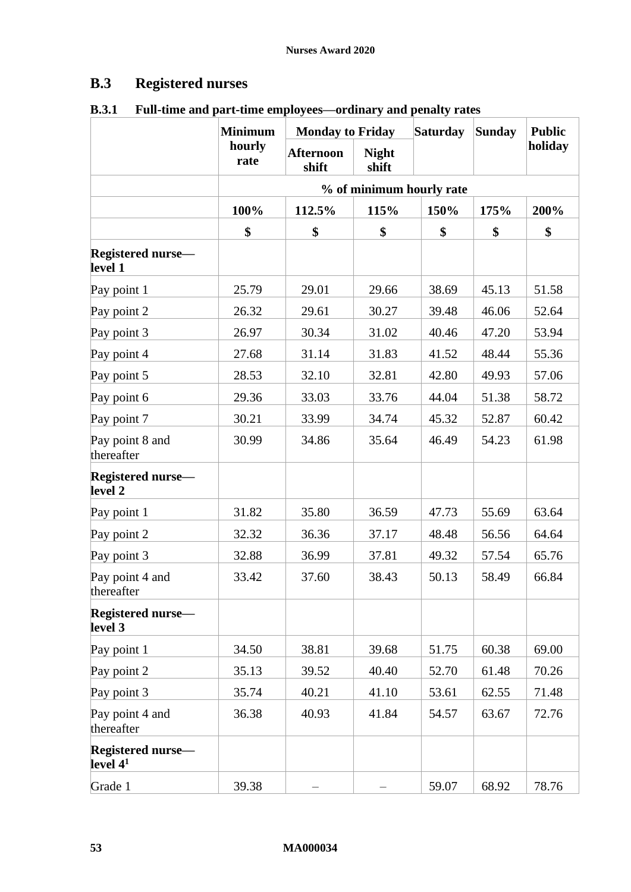# **B.3 Registered nurses**

|                                        | <b>Minimum</b> | <b>Monday to Friday</b>   |                       | <b>Saturday</b>          | Sunday | <b>Public</b> |
|----------------------------------------|----------------|---------------------------|-----------------------|--------------------------|--------|---------------|
|                                        | hourly<br>rate | <b>Afternoon</b><br>shift | <b>Night</b><br>shift |                          |        | holiday       |
|                                        |                |                           |                       | % of minimum hourly rate |        |               |
|                                        | 100%           | 112.5%                    | 115%                  | 150%                     | 175%   | 200%          |
|                                        | \$             | \$                        | \$                    | \$                       | \$     | \$            |
| <b>Registered nurse-</b><br>level 1    |                |                           |                       |                          |        |               |
| Pay point 1                            | 25.79          | 29.01                     | 29.66                 | 38.69                    | 45.13  | 51.58         |
| Pay point 2                            | 26.32          | 29.61                     | 30.27                 | 39.48                    | 46.06  | 52.64         |
| Pay point 3                            | 26.97          | 30.34                     | 31.02                 | 40.46                    | 47.20  | 53.94         |
| Pay point 4                            | 27.68          | 31.14                     | 31.83                 | 41.52                    | 48.44  | 55.36         |
| Pay point 5                            | 28.53          | 32.10                     | 32.81                 | 42.80                    | 49.93  | 57.06         |
| Pay point 6                            | 29.36          | 33.03                     | 33.76                 | 44.04                    | 51.38  | 58.72         |
| Pay point 7                            | 30.21          | 33.99                     | 34.74                 | 45.32                    | 52.87  | 60.42         |
| Pay point 8 and<br>thereafter          | 30.99          | 34.86                     | 35.64                 | 46.49                    | 54.23  | 61.98         |
| <b>Registered nurse-</b><br>level 2    |                |                           |                       |                          |        |               |
| Pay point 1                            | 31.82          | 35.80                     | 36.59                 | 47.73                    | 55.69  | 63.64         |
| Pay point 2                            | 32.32          | 36.36                     | 37.17                 | 48.48                    | 56.56  | 64.64         |
| Pay point 3                            | 32.88          | 36.99                     | 37.81                 | 49.32                    | 57.54  | 65.76         |
| Pay point 4 and<br>thereafter          | 33.42          | 37.60                     | 38.43                 | 50.13                    | 58.49  | 66.84         |
| <b>Registered nurse-</b><br>level 3    |                |                           |                       |                          |        |               |
| Pay point 1                            | 34.50          | 38.81                     | 39.68                 | 51.75                    | 60.38  | 69.00         |
| Pay point 2                            | 35.13          | 39.52                     | 40.40                 | 52.70                    | 61.48  | 70.26         |
| Pay point 3                            | 35.74          | 40.21                     | 41.10                 | 53.61                    | 62.55  | 71.48         |
| Pay point 4 and<br>thereafter          | 36.38          | 40.93                     | 41.84                 | 54.57                    | 63.67  | 72.76         |
| <b>Registered nurse-</b><br>level $41$ |                |                           |                       |                          |        |               |
| Grade 1                                | 39.38          |                           |                       | 59.07                    | 68.92  | 78.76         |

## **B.3.1 Full-time and part-time employees—ordinary and penalty rates**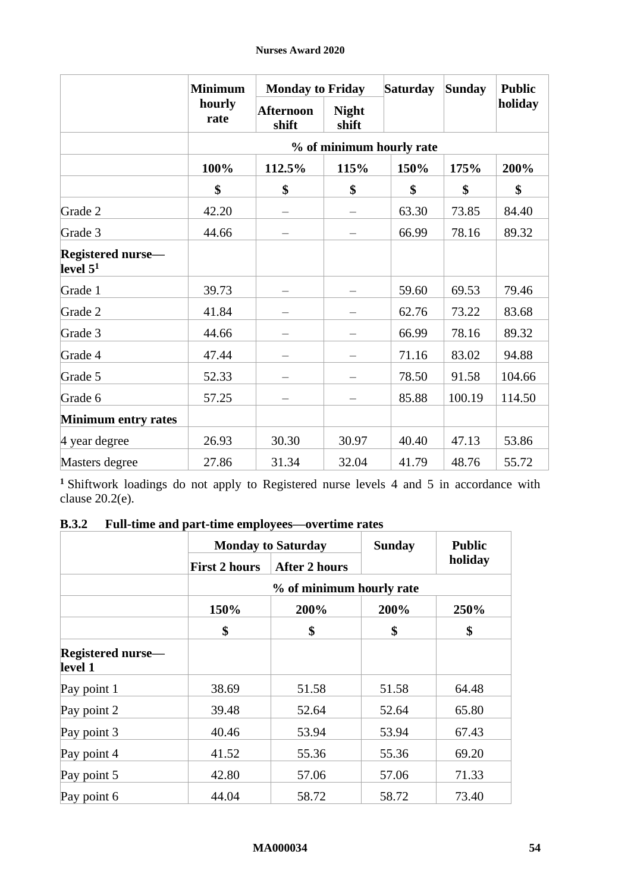|                                         | <b>Minimum</b> |                           | <b>Monday to Friday</b> |                          | Sunday | <b>Public</b> |  |
|-----------------------------------------|----------------|---------------------------|-------------------------|--------------------------|--------|---------------|--|
|                                         | hourly<br>rate | <b>Afternoon</b><br>shift | <b>Night</b><br>shift   |                          |        | holiday       |  |
|                                         |                |                           |                         | % of minimum hourly rate |        |               |  |
|                                         | 100%           | 112.5%                    | 115%                    | 150%                     | 175%   | 200%          |  |
|                                         | \$             | \$                        | \$                      | \$                       | \$     | \$            |  |
| Grade 2                                 | 42.20          |                           |                         | 63.30                    | 73.85  | 84.40         |  |
| Grade 3                                 | 44.66          |                           |                         | 66.99                    | 78.16  | 89.32         |  |
| <b>Registered nurse-</b><br>level $5^1$ |                |                           |                         |                          |        |               |  |
| Grade 1                                 | 39.73          |                           |                         | 59.60                    | 69.53  | 79.46         |  |
| Grade 2                                 | 41.84          |                           |                         | 62.76                    | 73.22  | 83.68         |  |
| Grade 3                                 | 44.66          |                           |                         | 66.99                    | 78.16  | 89.32         |  |
| Grade 4                                 | 47.44          |                           |                         | 71.16                    | 83.02  | 94.88         |  |
| Grade 5                                 | 52.33          |                           |                         | 78.50                    | 91.58  | 104.66        |  |
| Grade 6                                 | 57.25          |                           |                         | 85.88                    | 100.19 | 114.50        |  |
| <b>Minimum entry rates</b>              |                |                           |                         |                          |        |               |  |
| 4 year degree                           | 26.93          | 30.30                     | 30.97                   | 40.40                    | 47.13  | 53.86         |  |
| Masters degree                          | 27.86          | 31.34                     | 32.04                   | 41.79                    | 48.76  | 55.72         |  |

**<sup>1</sup>** Shiftwork loadings do not apply to Registered nurse levels 4 and 5 in accordance with clause [20.2\(e\).](#page-25-6)

# **B.3.2 Full-time and part-time employees—overtime rates**

|                                     | <b>Monday to Saturday</b> |                          | <b>Sunday</b> | <b>Public</b> |  |
|-------------------------------------|---------------------------|--------------------------|---------------|---------------|--|
|                                     | <b>First 2 hours</b>      | <b>After 2 hours</b>     |               | holiday       |  |
|                                     |                           | % of minimum hourly rate |               |               |  |
|                                     | 150%                      | 200%                     | 200%          | 250%          |  |
|                                     | \$                        | \$                       | \$            | \$            |  |
| <b>Registered nurse—</b><br>level 1 |                           |                          |               |               |  |
| Pay point 1                         | 38.69                     | 51.58                    | 51.58         | 64.48         |  |
| Pay point 2                         | 39.48                     | 52.64                    | 52.64         | 65.80         |  |
| Pay point 3                         | 40.46                     | 53.94                    | 53.94         | 67.43         |  |
| Pay point 4                         | 41.52                     | 55.36                    | 55.36         | 69.20         |  |
| Pay point 5                         | 42.80                     | 57.06                    | 57.06         | 71.33         |  |
| Pay point 6                         | 44.04                     | 58.72                    | 58.72         | 73.40         |  |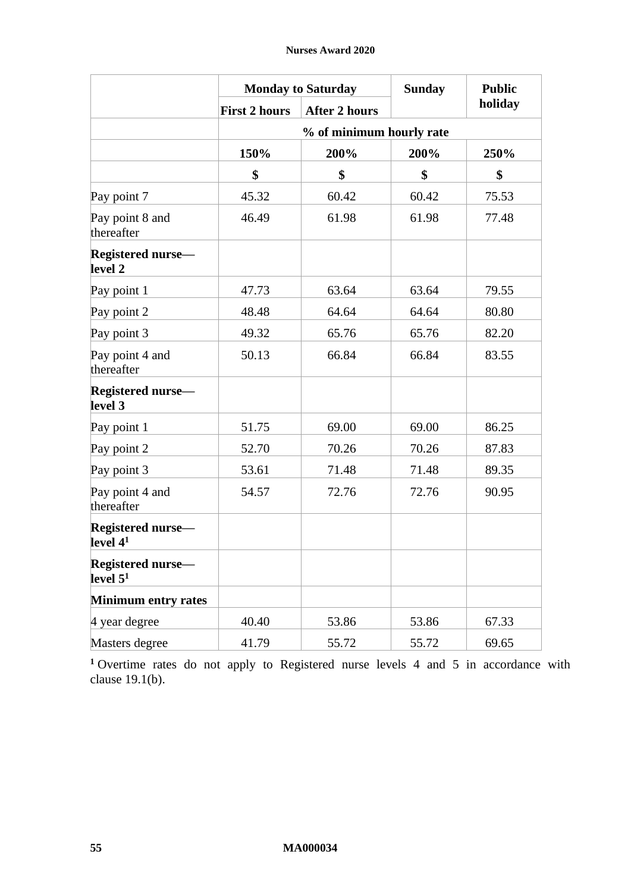|                                        |                      | <b>Monday to Saturday</b> | <b>Sunday</b> | <b>Public</b> |  |  |  |  |  |
|----------------------------------------|----------------------|---------------------------|---------------|---------------|--|--|--|--|--|
|                                        | <b>First 2 hours</b> | <b>After 2 hours</b>      |               | holiday       |  |  |  |  |  |
|                                        |                      | % of minimum hourly rate  |               |               |  |  |  |  |  |
|                                        | 150%                 | 200%                      | 200%          | 250%          |  |  |  |  |  |
|                                        | \$                   | \$                        | \$            | \$            |  |  |  |  |  |
| Pay point 7                            | 45.32                | 60.42                     | 60.42         | 75.53         |  |  |  |  |  |
| Pay point 8 and<br>thereafter          | 46.49                | 61.98                     | 61.98         | 77.48         |  |  |  |  |  |
| <b>Registered nurse-</b><br>level 2    |                      |                           |               |               |  |  |  |  |  |
| Pay point 1                            | 47.73                | 63.64                     | 63.64         | 79.55         |  |  |  |  |  |
| Pay point 2                            | 48.48                | 64.64                     | 64.64         | 80.80         |  |  |  |  |  |
| Pay point 3                            | 49.32                | 65.76                     | 65.76         | 82.20         |  |  |  |  |  |
| Pay point 4 and<br>thereafter          | 50.13                | 66.84                     | 66.84         | 83.55         |  |  |  |  |  |
| <b>Registered nurse-</b><br>level 3    |                      |                           |               |               |  |  |  |  |  |
| Pay point 1                            | 51.75                | 69.00                     | 69.00         | 86.25         |  |  |  |  |  |
| Pay point 2                            | 52.70                | 70.26                     | 70.26         | 87.83         |  |  |  |  |  |
| Pay point 3                            | 53.61                | 71.48                     | 71.48         | 89.35         |  |  |  |  |  |
| Pay point 4 and<br>thereafter          | 54.57                | 72.76                     | 72.76         | 90.95         |  |  |  |  |  |
| <b>Registered nurse-</b><br>level $41$ |                      |                           |               |               |  |  |  |  |  |
| <b>Registered nurse-</b><br>level $51$ |                      |                           |               |               |  |  |  |  |  |
| <b>Minimum entry rates</b>             |                      |                           |               |               |  |  |  |  |  |
| 4 year degree                          | 40.40                | 53.86                     | 53.86         | 67.33         |  |  |  |  |  |
| Masters degree                         | 41.79                | 55.72                     | 55.72         | 69.65         |  |  |  |  |  |

**<sup>1</sup>** Overtime rates do not apply to Registered nurse levels 4 and 5 in accordance with clause [19.1\(b\).](#page-21-6)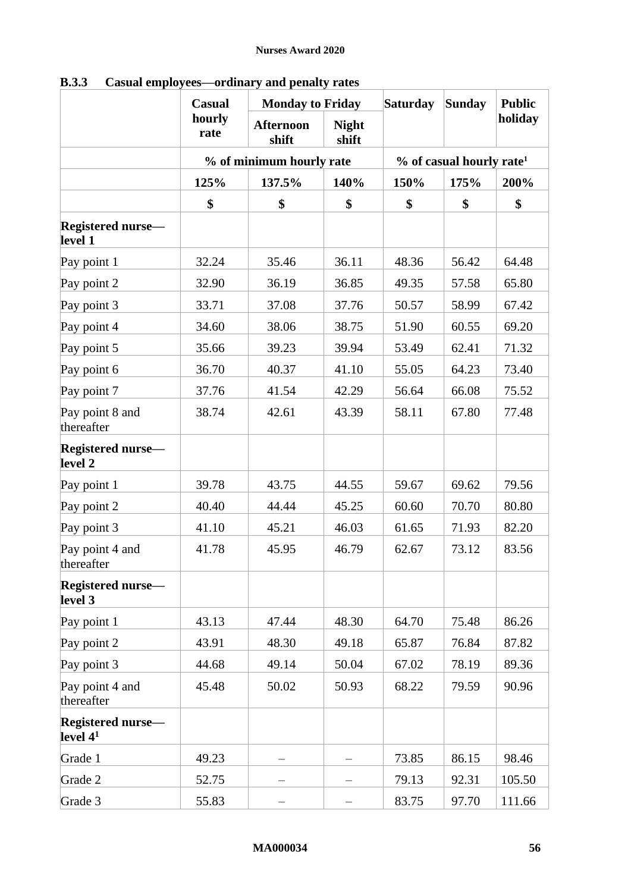|                                        | Casual         | <b>Monday to Friday</b>   |                       | <b>Saturday</b> | <b>Sunday</b>                        | <b>Public</b> |
|----------------------------------------|----------------|---------------------------|-----------------------|-----------------|--------------------------------------|---------------|
|                                        | hourly<br>rate | <b>Afternoon</b><br>shift | <b>Night</b><br>shift |                 |                                      | holiday       |
|                                        |                | % of minimum hourly rate  |                       |                 | % of casual hourly rate <sup>1</sup> |               |
|                                        | 125%           | 137.5%                    | 140%                  | 150%            | 175%                                 | 200%          |
|                                        | \$             | \$                        | \$                    | \$              | \$                                   | \$            |
| <b>Registered nurse-</b><br>level 1    |                |                           |                       |                 |                                      |               |
| Pay point 1                            | 32.24          | 35.46                     | 36.11                 | 48.36           | 56.42                                | 64.48         |
| Pay point 2                            | 32.90          | 36.19                     | 36.85                 | 49.35           | 57.58                                | 65.80         |
| Pay point 3                            | 33.71          | 37.08                     | 37.76                 | 50.57           | 58.99                                | 67.42         |
| Pay point 4                            | 34.60          | 38.06                     | 38.75                 | 51.90           | 60.55                                | 69.20         |
| Pay point 5                            | 35.66          | 39.23                     | 39.94                 | 53.49           | 62.41                                | 71.32         |
| Pay point 6                            | 36.70          | 40.37                     | 41.10                 | 55.05           | 64.23                                | 73.40         |
| Pay point 7                            | 37.76          | 41.54                     | 42.29                 | 56.64           | 66.08                                | 75.52         |
| Pay point 8 and<br>thereafter          | 38.74          | 42.61                     | 43.39                 | 58.11           | 67.80                                | 77.48         |
| <b>Registered nurse-</b><br>level 2    |                |                           |                       |                 |                                      |               |
| Pay point 1                            | 39.78          | 43.75                     | 44.55                 | 59.67           | 69.62                                | 79.56         |
| Pay point 2                            | 40.40          | 44.44                     | 45.25                 | 60.60           | 70.70                                | 80.80         |
| Pay point 3                            | 41.10          | 45.21                     | 46.03                 | 61.65           | 71.93                                | 82.20         |
| Pay point 4 and<br>thereafter          | 41.78          | 45.95                     | 46.79                 | 62.67           | 73.12                                | 83.56         |
| <b>Registered nurse</b> —<br>level 3   |                |                           |                       |                 |                                      |               |
| Pay point 1                            | 43.13          | 47.44                     | 48.30                 | 64.70           | 75.48                                | 86.26         |
| Pay point 2                            | 43.91          | 48.30                     | 49.18                 | 65.87           | 76.84                                | 87.82         |
| Pay point 3                            | 44.68          | 49.14                     | 50.04                 | 67.02           | 78.19                                | 89.36         |
| Pay point 4 and<br>thereafter          | 45.48          | 50.02                     | 50.93                 | 68.22           | 79.59                                | 90.96         |
| <b>Registered nurse-</b><br>level $41$ |                |                           |                       |                 |                                      |               |
| Grade 1                                | 49.23          |                           |                       | 73.85           | 86.15                                | 98.46         |
| Grade 2                                | 52.75          |                           |                       | 79.13           | 92.31                                | 105.50        |
| Grade 3                                | 55.83          |                           |                       | 83.75           | 97.70                                | 111.66        |

**B.3.3 Casual employees—ordinary and penalty rates**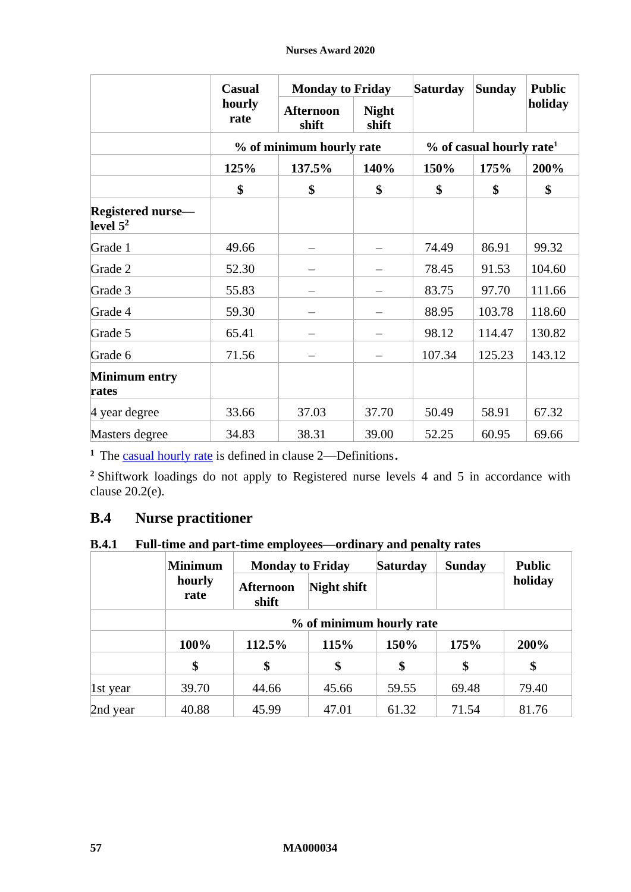|                                         | <b>Casual</b>  | <b>Monday to Friday</b>   |                       | <b>Saturday</b> | <b>Sunday</b>                        | <b>Public</b> |  |
|-----------------------------------------|----------------|---------------------------|-----------------------|-----------------|--------------------------------------|---------------|--|
|                                         | hourly<br>rate | <b>Afternoon</b><br>shift | <b>Night</b><br>shift |                 |                                      | holiday       |  |
|                                         |                | % of minimum hourly rate  |                       |                 | % of casual hourly rate <sup>1</sup> |               |  |
|                                         | 125%           | 137.5%                    | 140%                  | 150%            | 175%                                 | 200%          |  |
|                                         | \$             | \$                        | \$                    | \$              | \$                                   | \$            |  |
| <b>Registered nurse</b> —<br>level $52$ |                |                           |                       |                 |                                      |               |  |
| Grade 1                                 | 49.66          |                           |                       | 74.49           | 86.91                                | 99.32         |  |
| Grade 2                                 | 52.30          |                           |                       | 78.45           | 91.53                                | 104.60        |  |
| Grade 3                                 | 55.83          |                           |                       | 83.75           | 97.70                                | 111.66        |  |
| Grade 4                                 | 59.30          |                           |                       | 88.95           | 103.78                               | 118.60        |  |
| Grade 5                                 | 65.41          |                           |                       | 98.12           | 114.47                               | 130.82        |  |
| Grade 6                                 | 71.56          |                           |                       | 107.34          | 125.23                               | 143.12        |  |
| <b>Minimum entry</b><br>rates           |                |                           |                       |                 |                                      |               |  |
| 4 year degree                           | 33.66          | 37.03                     | 37.70                 | 50.49           | 58.91                                | 67.32         |  |
| Masters degree                          | 34.83          | 38.31                     | 39.00                 | 52.25           | 60.95                                | 69.66         |  |

<sup>1</sup> The [casual hourly rate](#page-2-3) is defined in clause [2](#page-2-4)—[Definitions](#page-2-4).

**<sup>2</sup>** Shiftwork loadings do not apply to Registered nurse levels 4 and 5 in accordance with clause [20.2\(e\).](#page-25-6)

# **B.4 Nurse practitioner**

# **B.4.1 Full-time and part-time employees—ordinary and penalty rates**

|          | <b>Minimum</b> | <b>Monday to Friday</b><br>hourly<br>Night shift<br><b>Afternoon</b><br>rate<br>shift |       | <b>Saturday</b> | <b>Sunday</b> | <b>Public</b> |  |  |
|----------|----------------|---------------------------------------------------------------------------------------|-------|-----------------|---------------|---------------|--|--|
|          |                |                                                                                       |       |                 |               | holiday       |  |  |
|          |                | % of minimum hourly rate                                                              |       |                 |               |               |  |  |
|          | 100%           | 112.5%                                                                                | 115%  | 150%            | 175%          | 200%          |  |  |
|          | \$             | \$                                                                                    | \$    | \$              | \$            | \$            |  |  |
| 1st year | 39.70          | 44.66                                                                                 | 45.66 | 59.55           | 69.48         | 79.40         |  |  |
| 2nd year | 40.88          | 45.99                                                                                 | 47.01 | 61.32           | 71.54         | 81.76         |  |  |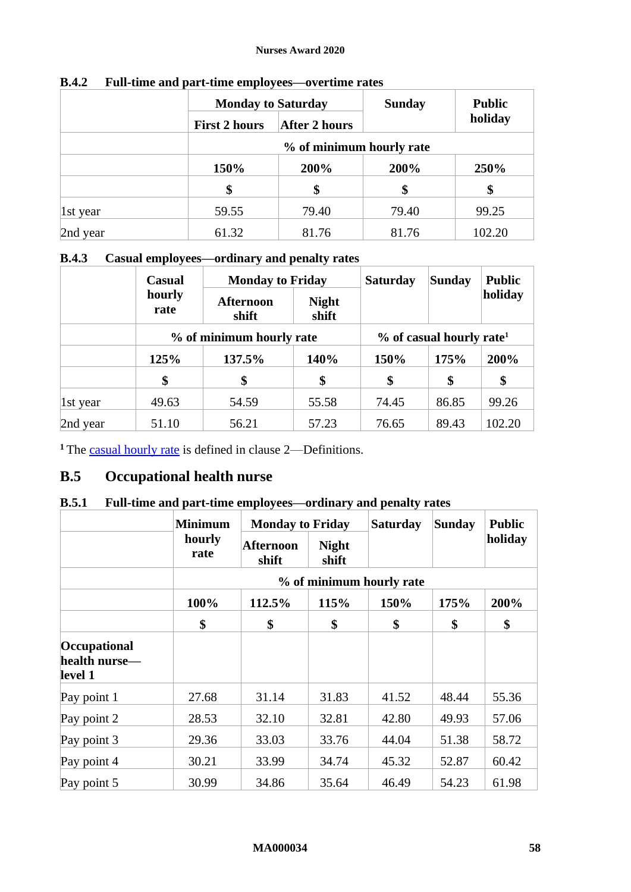|          | <b>Monday to Saturday</b> |                          | <b>Sunday</b> | <b>Public</b> |  |  |  |  |
|----------|---------------------------|--------------------------|---------------|---------------|--|--|--|--|
|          | <b>First 2 hours</b>      | <b>After 2 hours</b>     |               | holiday       |  |  |  |  |
|          |                           | % of minimum hourly rate |               |               |  |  |  |  |
|          | 150%                      | 200%                     | 200%          | 250%          |  |  |  |  |
|          | \$                        | \$                       | \$            | \$            |  |  |  |  |
| 1st year | 59.55                     | 79.40                    | 79.40         | 99.25         |  |  |  |  |
| 2nd year | 61.32                     | 81.76                    | 81.76         | 102.20        |  |  |  |  |

## **B.4.2 Full-time and part-time employees—overtime rates**

# **B.4.3 Casual employees—ordinary and penalty rates**

|          | Casual         | <b>Monday to Friday</b>   |                       | <b>Saturday</b> | <b>Sunday</b>                           | <b>Public</b> |  |
|----------|----------------|---------------------------|-----------------------|-----------------|-----------------------------------------|---------------|--|
|          | hourly<br>rate | <b>Afternoon</b><br>shift | <b>Night</b><br>shift |                 |                                         | holiday       |  |
|          |                | % of minimum hourly rate  |                       |                 | $\%$ of casual hourly rate <sup>1</sup> |               |  |
|          | 125%           | 137.5%                    | 140%                  | 150%            | 175%                                    | 200%          |  |
|          | \$             | \$                        | \$                    | \$              | \$                                      | \$            |  |
| 1st year | 49.63          | 54.59                     | 55.58                 | 74.45           | 86.85                                   | 99.26         |  |
| 2nd year | 51.10          | 56.21                     | 57.23                 | 76.65           | 89.43                                   | 102.20        |  |

<sup>1</sup> The [casual hourly rate](#page-2-3) is defined in clause [2](#page-2-4)—[Definitions.](#page-2-4)

# **B.5 Occupational health nurse**

## **B.5.1 Full-time and part-time employees—ordinary and penalty rates**

|                                          | <b>Minimum</b> |                    | <b>Monday to Friday</b><br><b>Saturday</b> |                          | Sunday | <b>Public</b> |
|------------------------------------------|----------------|--------------------|--------------------------------------------|--------------------------|--------|---------------|
|                                          | hourly<br>rate | Afternoon<br>shift | <b>Night</b><br>shift                      |                          |        | holiday       |
|                                          |                |                    |                                            | % of minimum hourly rate |        |               |
|                                          | 100%           | 112.5%             | 115%                                       | 150%                     | 175%   | 200%          |
|                                          | \$             | \$                 | \$                                         | \$                       | \$     | \$            |
| Occupational<br>health nurse—<br>level 1 |                |                    |                                            |                          |        |               |
| Pay point 1                              | 27.68          | 31.14              | 31.83                                      | 41.52                    | 48.44  | 55.36         |
| Pay point 2                              | 28.53          | 32.10              | 32.81                                      | 42.80                    | 49.93  | 57.06         |
| Pay point 3                              | 29.36          | 33.03              | 33.76                                      | 44.04                    | 51.38  | 58.72         |
| Pay point 4                              | 30.21          | 33.99              | 34.74                                      | 45.32                    | 52.87  | 60.42         |
| Pay point 5                              | 30.99          | 34.86              | 35.64                                      | 46.49                    | 54.23  | 61.98         |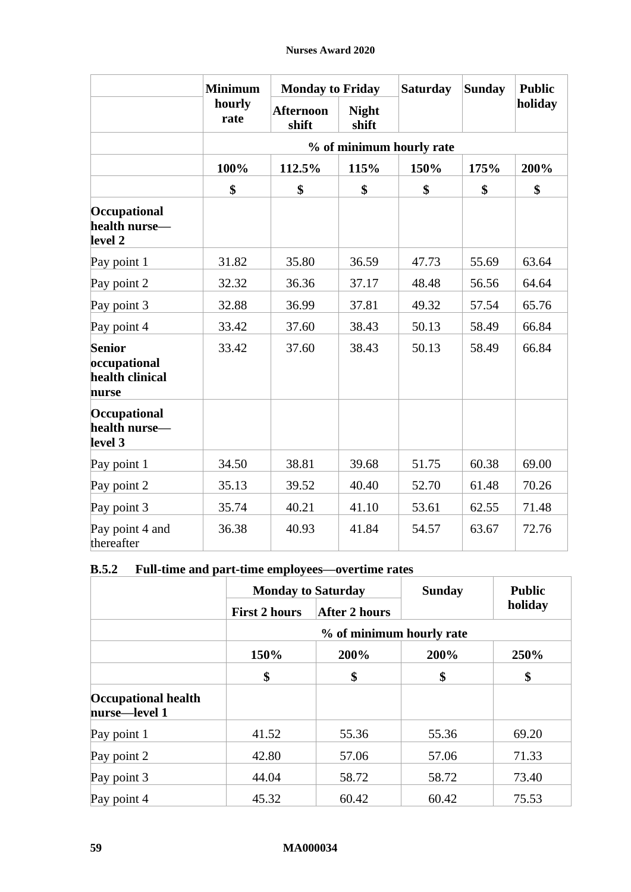|                                                           | <b>Minimum</b> | <b>Monday to Friday</b>   |                       | <b>Saturday</b>          | <b>Sunday</b> | <b>Public</b> |
|-----------------------------------------------------------|----------------|---------------------------|-----------------------|--------------------------|---------------|---------------|
|                                                           | hourly<br>rate | <b>Afternoon</b><br>shift | <b>Night</b><br>shift |                          |               | holiday       |
|                                                           |                |                           |                       | % of minimum hourly rate |               |               |
|                                                           | 100%           | 112.5%                    | 115%                  | 150%                     | 175%          | 200%          |
|                                                           | \$             | \$                        | \$                    | \$                       | \$            | \$            |
| Occupational<br>health nurse-<br>level 2                  |                |                           |                       |                          |               |               |
| Pay point 1                                               | 31.82          | 35.80                     | 36.59                 | 47.73                    | 55.69         | 63.64         |
| Pay point 2                                               | 32.32          | 36.36                     | 37.17                 | 48.48                    | 56.56         | 64.64         |
| Pay point 3                                               | 32.88          | 36.99                     | 37.81                 | 49.32                    | 57.54         | 65.76         |
| Pay point 4                                               | 33.42          | 37.60                     | 38.43                 | 50.13                    | 58.49         | 66.84         |
| <b>Senior</b><br>occupational<br>health clinical<br>nurse | 33.42          | 37.60                     | 38.43                 | 50.13                    | 58.49         | 66.84         |
| Occupational<br>health nurse—<br>level 3                  |                |                           |                       |                          |               |               |
| Pay point 1                                               | 34.50          | 38.81                     | 39.68                 | 51.75                    | 60.38         | 69.00         |
| Pay point 2                                               | 35.13          | 39.52                     | 40.40                 | 52.70                    | 61.48         | 70.26         |
| Pay point 3                                               | 35.74          | 40.21                     | 41.10                 | 53.61                    | 62.55         | 71.48         |
| Pay point 4 and<br>thereafter                             | 36.38          | 40.93                     | 41.84                 | 54.57                    | 63.67         | 72.76         |

# **B.5.2 Full-time and part-time employees—overtime rates**

|                                             | <b>Monday to Saturday</b> |                      | <b>Sunday</b> | <b>Public</b> |  |  |  |
|---------------------------------------------|---------------------------|----------------------|---------------|---------------|--|--|--|
|                                             | <b>First 2 hours</b>      | <b>After 2 hours</b> |               | holiday       |  |  |  |
|                                             | % of minimum hourly rate  |                      |               |               |  |  |  |
|                                             | 150%                      | 200%                 | 200%          | 250%          |  |  |  |
|                                             | \$                        | \$                   | \$            | \$            |  |  |  |
| <b>Occupational health</b><br>nurse-level 1 |                           |                      |               |               |  |  |  |
| Pay point 1                                 | 41.52                     | 55.36                | 55.36         | 69.20         |  |  |  |
| Pay point 2                                 | 42.80                     | 57.06                | 57.06         | 71.33         |  |  |  |
| Pay point 3                                 | 44.04                     | 58.72                | 58.72         | 73.40         |  |  |  |
| Pay point 4                                 | 45.32                     | 60.42                | 60.42         | 75.53         |  |  |  |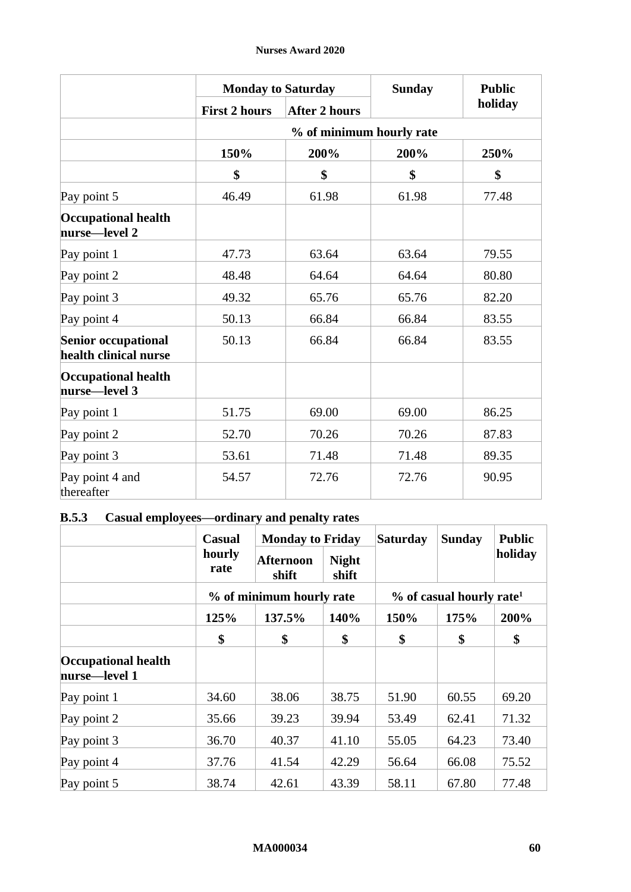|                                                     | <b>Monday to Saturday</b> |                          | <b>Sunday</b> | <b>Public</b> |
|-----------------------------------------------------|---------------------------|--------------------------|---------------|---------------|
|                                                     | <b>First 2 hours</b>      | <b>After 2 hours</b>     |               | holiday       |
|                                                     |                           | % of minimum hourly rate |               |               |
|                                                     | 150%                      | 200%                     | 200%          | 250%          |
|                                                     | \$                        | \$                       | \$            | \$            |
| Pay point 5                                         | 46.49                     | 61.98                    | 61.98         | 77.48         |
| <b>Occupational health</b><br>nurse—level 2         |                           |                          |               |               |
| Pay point 1                                         | 47.73                     | 63.64                    | 63.64         | 79.55         |
| Pay point 2                                         | 48.48                     | 64.64                    | 64.64         | 80.80         |
| Pay point 3                                         | 49.32                     | 65.76                    | 65.76         | 82.20         |
| Pay point 4                                         | 50.13                     | 66.84                    | 66.84         | 83.55         |
| <b>Senior occupational</b><br>health clinical nurse | 50.13                     | 66.84                    | 66.84         | 83.55         |
| <b>Occupational health</b><br>nurse-level 3         |                           |                          |               |               |
| Pay point 1                                         | 51.75                     | 69.00                    | 69.00         | 86.25         |
| Pay point 2                                         | 52.70                     | 70.26                    | 70.26         | 87.83         |
| Pay point 3                                         | 53.61                     | 71.48                    | 71.48         | 89.35         |
| Pay point 4 and<br>thereafter                       | 54.57                     | 72.76                    | 72.76         | 90.95         |

# **B.5.3 Casual employees—ordinary and penalty rates**

|                                             | <b>Casual</b>  | <b>Monday to Friday</b>   | <b>Saturday</b>       |       | <b>Sunday</b>                          | <b>Public</b> |  |
|---------------------------------------------|----------------|---------------------------|-----------------------|-------|----------------------------------------|---------------|--|
|                                             | hourly<br>rate | <b>Afternoon</b><br>shift | <b>Night</b><br>shift |       |                                        | holiday       |  |
|                                             |                | % of minimum hourly rate  |                       |       | $%$ of casual hourly rate <sup>1</sup> |               |  |
|                                             | 125%           | 137.5%                    | 140%                  | 150%  | 175%                                   | 200%          |  |
|                                             | \$             | \$                        | \$                    | \$    | \$                                     | \$            |  |
| <b>Occupational health</b><br>nurse-level 1 |                |                           |                       |       |                                        |               |  |
| Pay point 1                                 | 34.60          | 38.06                     | 38.75                 | 51.90 | 60.55                                  | 69.20         |  |
| Pay point 2                                 | 35.66          | 39.23                     | 39.94                 | 53.49 | 62.41                                  | 71.32         |  |
| Pay point 3                                 | 36.70          | 40.37                     | 41.10                 | 55.05 | 64.23                                  | 73.40         |  |
| Pay point 4                                 | 37.76          | 41.54                     | 42.29                 | 56.64 | 66.08                                  | 75.52         |  |
| Pay point 5                                 | 38.74          | 42.61                     | 43.39                 | 58.11 | 67.80                                  | 77.48         |  |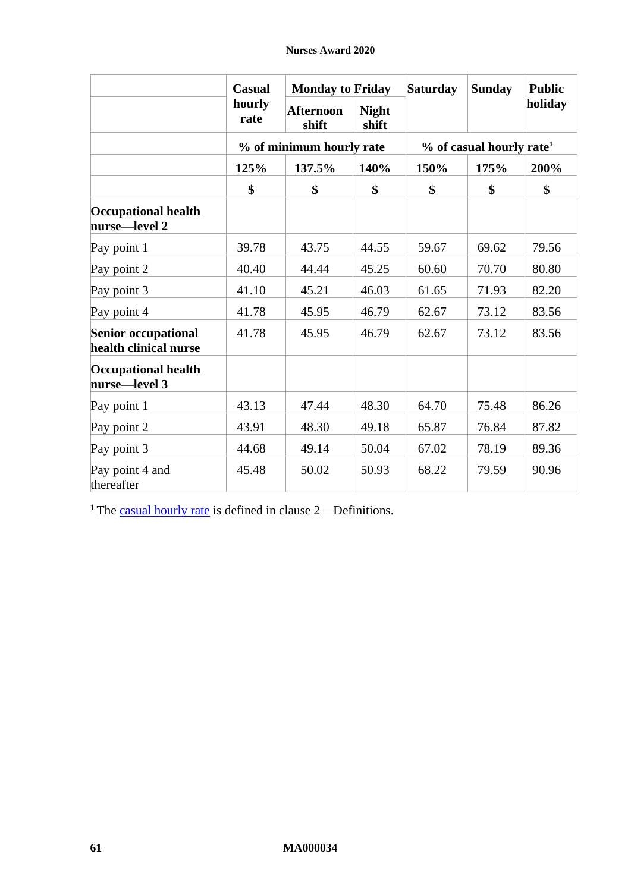|                                                     | <b>Casual</b>  | <b>Monday to Friday</b>   |                       | <b>Saturday</b> | <b>Sunday</b>                        | <b>Public</b> |  |
|-----------------------------------------------------|----------------|---------------------------|-----------------------|-----------------|--------------------------------------|---------------|--|
|                                                     | hourly<br>rate | <b>Afternoon</b><br>shift | <b>Night</b><br>shift |                 |                                      | holiday       |  |
|                                                     |                | % of minimum hourly rate  |                       |                 | % of casual hourly rate <sup>1</sup> |               |  |
|                                                     | 125%           | 137.5%                    | 140%                  | 150%            | 175%                                 | 200%          |  |
|                                                     | \$             | \$                        | \$                    | \$              | \$                                   | \$            |  |
| <b>Occupational health</b><br>nurse-level 2         |                |                           |                       |                 |                                      |               |  |
| Pay point 1                                         | 39.78          | 43.75                     | 44.55                 | 59.67           | 69.62                                | 79.56         |  |
| Pay point 2                                         | 40.40          | 44.44                     | 45.25                 | 60.60           | 70.70                                | 80.80         |  |
| Pay point 3                                         | 41.10          | 45.21                     | 46.03                 | 61.65           | 71.93                                | 82.20         |  |
| Pay point 4                                         | 41.78          | 45.95                     | 46.79                 | 62.67           | 73.12                                | 83.56         |  |
| <b>Senior occupational</b><br>health clinical nurse | 41.78          | 45.95                     | 46.79                 | 62.67           | 73.12                                | 83.56         |  |
| <b>Occupational health</b><br>nurse-level 3         |                |                           |                       |                 |                                      |               |  |
| Pay point 1                                         | 43.13          | 47.44                     | 48.30                 | 64.70           | 75.48                                | 86.26         |  |
| Pay point 2                                         | 43.91          | 48.30                     | 49.18                 | 65.87           | 76.84                                | 87.82         |  |
| Pay point 3                                         | 44.68          | 49.14                     | 50.04                 | 67.02           | 78.19                                | 89.36         |  |
| Pay point 4 and<br>thereafter                       | 45.48          | 50.02                     | 50.93                 | 68.22           | 79.59                                | 90.96         |  |

<sup>1</sup> The [casual hourly rate](#page-2-3) is defined in clause [2](#page-2-4)—[Definitions.](#page-2-4)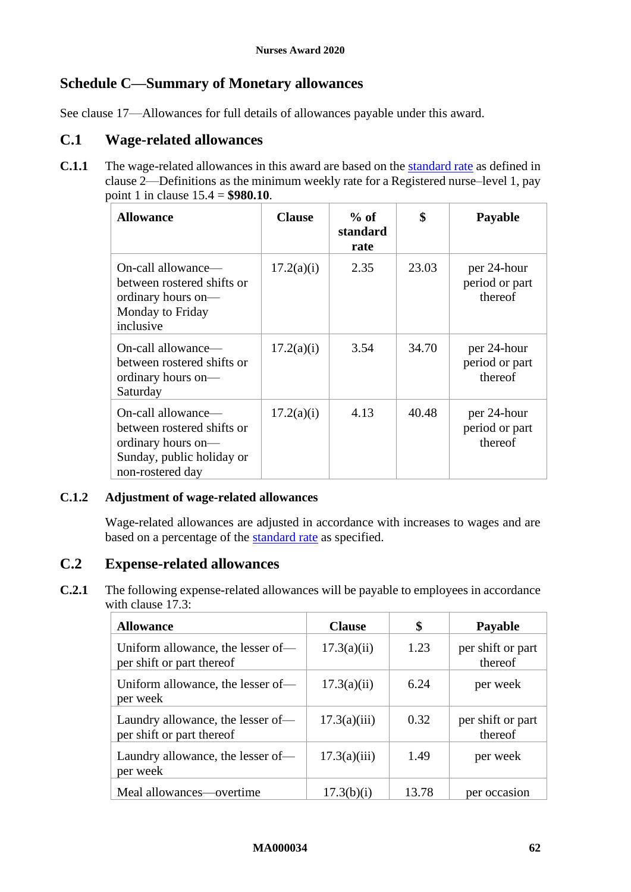# <span id="page-61-1"></span><span id="page-61-0"></span>**Schedule C—Summary of Monetary allowances**

See clause [17](#page-17-1)—[Allowances](#page-17-1) for full details of allowances payable under this award.

# **C.1 Wage-related allowances**

**C.1.1** The wage-related allowances in this award are based on the standard rate as defined in clause [2](#page-2-4)—[Definitions](#page-2-4) as the minimum weekly rate for a Registered nurse–level 1, pay point 1 in clause [15.4](#page-13-1) = **\$980.10**.

| <b>Allowance</b>                                                                                                        | <b>Clause</b> | $%$ of<br>standard<br>rate | \$    | Payable                                  |
|-------------------------------------------------------------------------------------------------------------------------|---------------|----------------------------|-------|------------------------------------------|
| On-call allowance-<br>between rostered shifts or<br>ordinary hours on-<br>Monday to Friday<br>inclusive                 | 17.2(a)(i)    | 2.35                       | 23.03 | per 24-hour<br>period or part<br>thereof |
| On-call allowance—<br>between rostered shifts or<br>ordinary hours on-<br>Saturday                                      | 17.2(a)(i)    | 3.54                       | 34.70 | per 24-hour<br>period or part<br>thereof |
| On-call allowance—<br>between rostered shifts or<br>ordinary hours on-<br>Sunday, public holiday or<br>non-rostered day | 17.2(a)(i)    | 4.13                       | 40.48 | per 24-hour<br>period or part<br>thereof |

## **C.1.2 Adjustment of wage-related allowances**

Wage-related allowances are adjusted in accordance with increases to wages and are based on a percentage of the **standard rate** as specified.

## **C.2 Expense-related allowances**

**C.2.1** The following expense-related allowances will be payable to employees in accordance with clause [17.3:](#page-18-2)

| <b>Allowance</b>                                               | <b>Clause</b> | \$    | <b>Payable</b>               |
|----------------------------------------------------------------|---------------|-------|------------------------------|
| Uniform allowance, the lesser of-<br>per shift or part thereof | 17.3(a)(ii)   | 1.23  | per shift or part<br>thereof |
| Uniform allowance, the lesser of-<br>per week                  | 17.3(a)(ii)   | 6.24  | per week                     |
| Laundry allowance, the lesser of-<br>per shift or part thereof | 17.3(a)(iii)  | 0.32  | per shift or part<br>thereof |
| Laundry allowance, the lesser of—<br>per week                  | 17.3(a)(iii)  | 1.49  | per week                     |
| Meal allowances—overtime                                       | 17.3(b)(i)    | 13.78 | per occasion                 |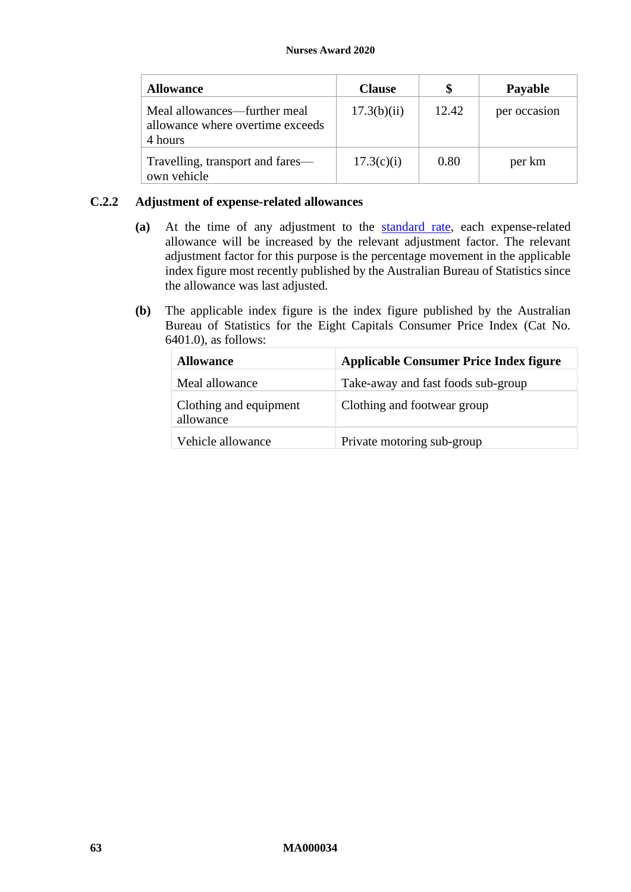| <b>Allowance</b>                                                            | <b>Clause</b> |       | <b>Payable</b> |
|-----------------------------------------------------------------------------|---------------|-------|----------------|
| Meal allowances—further meal<br>allowance where overtime exceeds<br>4 hours | 17.3(b)(ii)   | 12.42 | per occasion   |
| Travelling, transport and fares—<br>own vehicle                             | 17.3(c)(i)    | 0.80  | per km         |

## **C.2.2 Adjustment of expense-related allowances**

- **(a)** At the time of any adjustment to the standard rate, each expense-related allowance will be increased by the relevant adjustment factor. The relevant adjustment factor for this purpose is the percentage movement in the applicable index figure most recently published by the Australian Bureau of Statistics since the allowance was last adjusted.
- **(b)** The applicable index figure is the index figure published by the Australian Bureau of Statistics for the Eight Capitals Consumer Price Index (Cat No. 6401.0), as follows:

| <b>Allowance</b>                    | <b>Applicable Consumer Price Index figure</b> |
|-------------------------------------|-----------------------------------------------|
| Meal allowance                      | Take-away and fast foods sub-group            |
| Clothing and equipment<br>allowance | Clothing and footwear group                   |
| Vehicle allowance                   | Private motoring sub-group                    |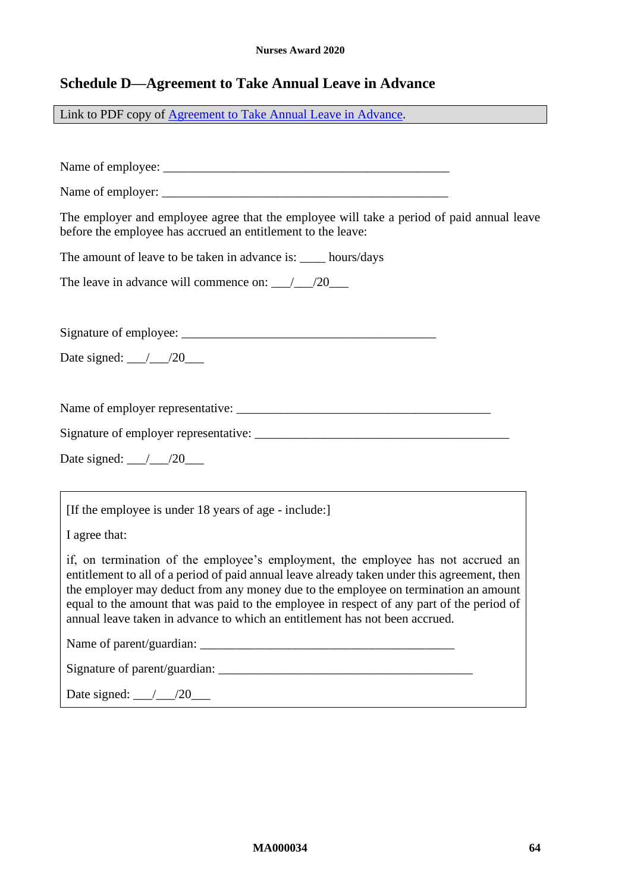# <span id="page-63-1"></span><span id="page-63-0"></span>**Schedule D—Agreement to Take Annual Leave in Advance**

Link to PDF copy of [Agreement to Take Annual Leave in Advance.](http://www.fwc.gov.au/documents/documents/modern_awards/leave-in-advance-agreement.pdf)

| The employer and employee agree that the employee will take a period of paid annual leave<br>before the employee has accrued an entitlement to the leave:                                                                                                                                                                                                                                                                                           |
|-----------------------------------------------------------------------------------------------------------------------------------------------------------------------------------------------------------------------------------------------------------------------------------------------------------------------------------------------------------------------------------------------------------------------------------------------------|
| The amount of leave to be taken in advance is: ____ hours/days                                                                                                                                                                                                                                                                                                                                                                                      |
| The leave in advance will commence on: $\frac{1}{20}$ /20                                                                                                                                                                                                                                                                                                                                                                                           |
|                                                                                                                                                                                                                                                                                                                                                                                                                                                     |
|                                                                                                                                                                                                                                                                                                                                                                                                                                                     |
| Date signed: $\_\_\_\_\_\/20$                                                                                                                                                                                                                                                                                                                                                                                                                       |
|                                                                                                                                                                                                                                                                                                                                                                                                                                                     |
|                                                                                                                                                                                                                                                                                                                                                                                                                                                     |
|                                                                                                                                                                                                                                                                                                                                                                                                                                                     |
| Date signed: $\angle 20$                                                                                                                                                                                                                                                                                                                                                                                                                            |
|                                                                                                                                                                                                                                                                                                                                                                                                                                                     |
| [If the employee is under 18 years of age - include:]                                                                                                                                                                                                                                                                                                                                                                                               |
| I agree that:                                                                                                                                                                                                                                                                                                                                                                                                                                       |
| if, on termination of the employee's employment, the employee has not accrued an<br>entitlement to all of a period of paid annual leave already taken under this agreement, then<br>the employer may deduct from any money due to the employee on termination an amount<br>equal to the amount that was paid to the employee in respect of any part of the period of<br>annual leave taken in advance to which an entitlement has not been accrued. |
|                                                                                                                                                                                                                                                                                                                                                                                                                                                     |
|                                                                                                                                                                                                                                                                                                                                                                                                                                                     |
| Date signed: $\frac{1}{20}$                                                                                                                                                                                                                                                                                                                                                                                                                         |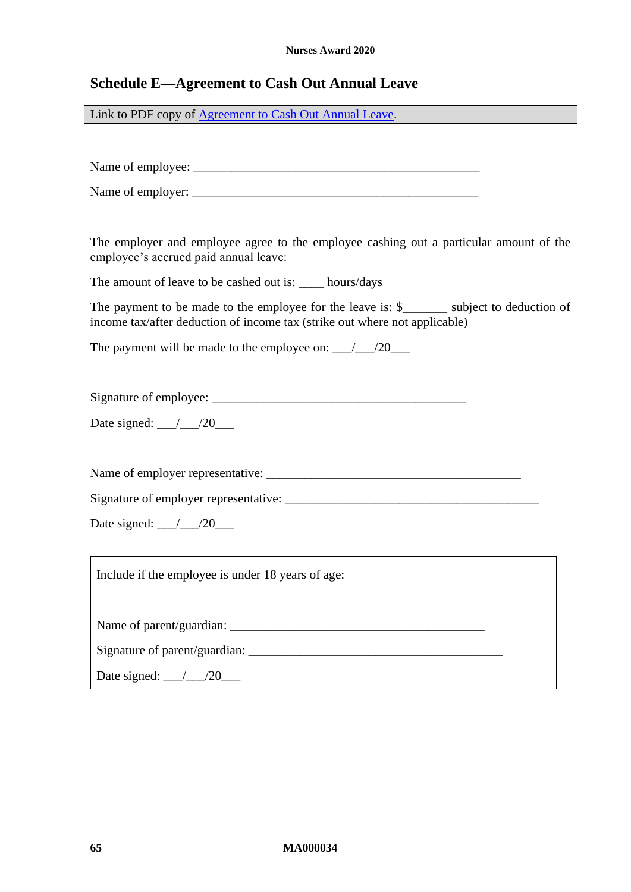## <span id="page-64-1"></span><span id="page-64-0"></span>**Schedule E—Agreement to Cash Out Annual Leave**

Link to PDF copy of [Agreement to Cash Out Annual Leave.](http://www.fwc.gov.au/documents/documents/modern_awards/cash-out-agreement.pdf)

Name of employee: \_\_\_\_\_\_\_\_\_\_\_\_\_\_\_\_\_\_\_\_\_\_\_\_\_\_\_\_\_\_\_\_\_\_\_\_\_\_\_\_\_\_\_\_\_

Name of employer:

The employer and employee agree to the employee cashing out a particular amount of the employee's accrued paid annual leave:

The amount of leave to be cashed out is: \_\_\_\_ hours/days

The payment to be made to the employee for the leave is: \$ \_\_\_\_\_\_ subject to deduction of income tax/after deduction of income tax (strike out where not applicable)

The payment will be made to the employee on:  $\qquad$  /20

Signature of employee: \_\_\_\_\_\_\_\_\_\_\_\_\_\_\_\_\_\_\_\_\_\_\_\_\_\_\_\_\_\_\_\_\_\_\_\_\_\_\_\_

Date signed:  $\frac{\ }{\ }$  /20

Name of employer representative: \_\_\_\_\_\_\_\_\_\_\_\_\_\_\_\_\_\_\_\_\_\_\_\_\_\_\_\_\_\_\_\_\_\_\_\_\_\_\_\_

Signature of employer representative: \_\_\_\_\_\_\_\_\_\_\_\_\_\_\_\_\_\_\_\_\_\_\_\_\_\_\_\_\_\_\_\_\_\_\_\_\_\_\_\_

Date signed: \_\_\_/\_\_\_/20\_\_\_

Include if the employee is under 18 years of age:

Name of parent/guardian:

Signature of parent/guardian: \_\_\_\_\_\_\_\_\_\_\_\_\_\_\_\_\_\_\_\_\_\_\_\_\_\_\_\_\_\_\_\_\_\_\_\_\_\_\_\_

Date signed:  $\frac{20}{\sqrt{20}}$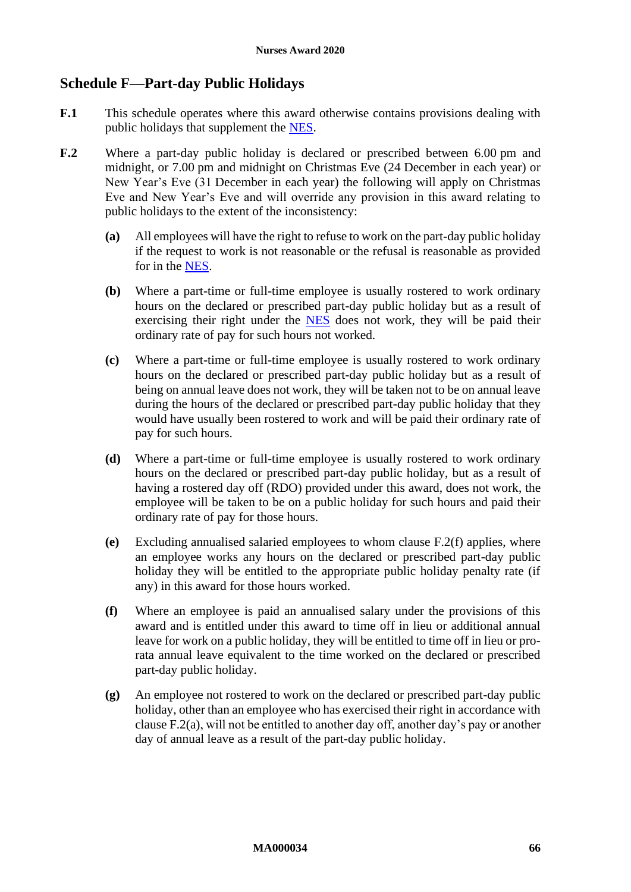# <span id="page-65-1"></span><span id="page-65-0"></span>**Schedule F—Part-day Public Holidays**

- **F.1** This schedule operates where this award otherwise contains provisions dealing with public holidays that supplement the [NES.](https://www.fwc.gov.au/documents/awardmod/download/nes.pdf)
- <span id="page-65-3"></span><span id="page-65-2"></span>**F.2** Where a part-day public holiday is declared or prescribed between 6.00 pm and midnight, or 7.00 pm and midnight on Christmas Eve (24 December in each year) or New Year's Eve (31 December in each year) the following will apply on Christmas Eve and New Year's Eve and will override any provision in this award relating to public holidays to the extent of the inconsistency:
	- **(a)** All employees will have the right to refuse to work on the part-day public holiday if the request to work is not reasonable or the refusal is reasonable as provided for in the [NES.](https://www.fwc.gov.au/documents/awardmod/download/nes.pdf)
	- **(b)** Where a part-time or full-time employee is usually rostered to work ordinary hours on the declared or prescribed part-day public holiday but as a result of exercising their right under the [NES](https://www.fwc.gov.au/documents/awardmod/download/nes.pdf) does not work, they will be paid their ordinary rate of pay for such hours not worked.
	- **(c)** Where a part-time or full-time employee is usually rostered to work ordinary hours on the declared or prescribed part-day public holiday but as a result of being on annual leave does not work, they will be taken not to be on annual leave during the hours of the declared or prescribed part-day public holiday that they would have usually been rostered to work and will be paid their ordinary rate of pay for such hours.
	- **(d)** Where a part-time or full-time employee is usually rostered to work ordinary hours on the declared or prescribed part-day public holiday, but as a result of having a rostered day off (RDO) provided under this award, does not work, the employee will be taken to be on a public holiday for such hours and paid their ordinary rate of pay for those hours.
	- **(e)** Excluding annualised salaried employees to whom clause [F.2\(f\)](#page-65-2) applies, where an employee works any hours on the declared or prescribed part-day public holiday they will be entitled to the appropriate public holiday penalty rate (if any) in this award for those hours worked.
	- **(f)** Where an employee is paid an annualised salary under the provisions of this award and is entitled under this award to time off in lieu or additional annual leave for work on a public holiday, they will be entitled to time off in lieu or prorata annual leave equivalent to the time worked on the declared or prescribed part-day public holiday.
	- **(g)** An employee not rostered to work on the declared or prescribed part-day public holiday, other than an employee who has exercised their right in accordance with clause [F.2\(a\),](#page-65-3) will not be entitled to another day off, another day's pay or another day of annual leave as a result of the part-day public holiday.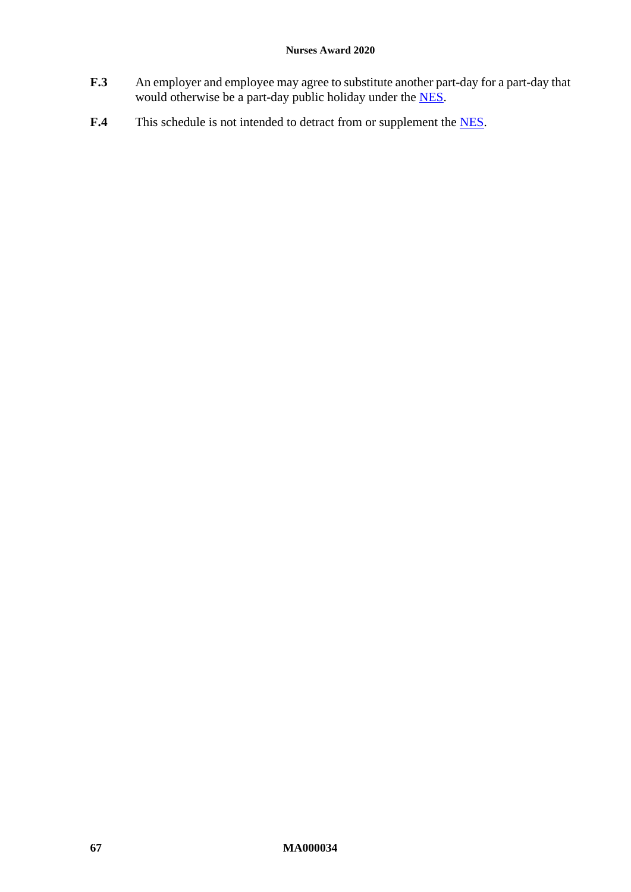- **F.3** An employer and employee may agree to substitute another part-day for a part-day that would otherwise be a part-day public holiday under the **NES**.
- F.4 This schedule is not intended to detract from or supplement the [NES.](https://www.fwc.gov.au/documents/awardmod/download/nes.pdf)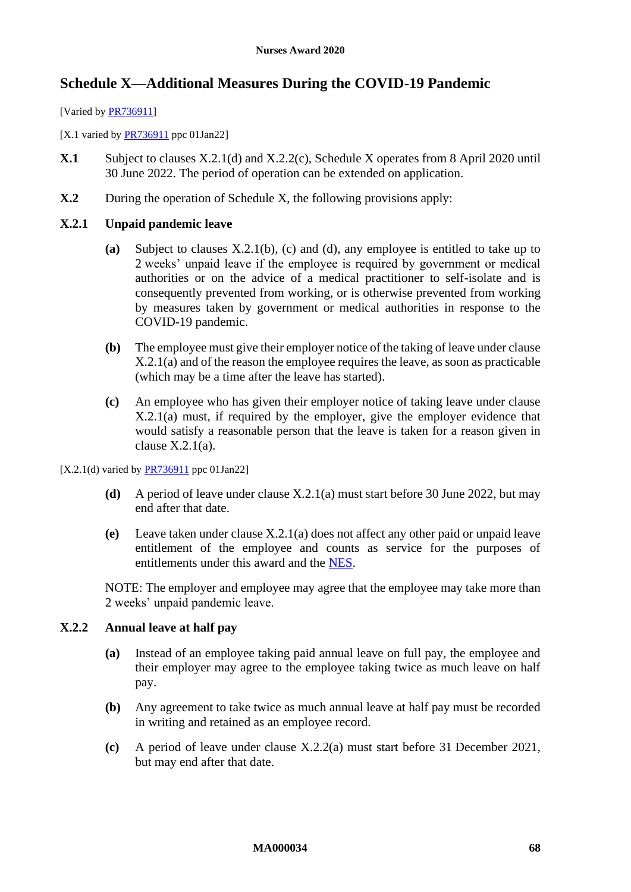# <span id="page-67-3"></span><span id="page-67-0"></span>**Schedule X—Additional Measures During the COVID-19 Pandemic**

[Varied by [PR736911\]](https://www.fwc.gov.au/documents/awardsandorders/html/pr736911.htm)

[X.1 varied by  $PR736911$  ppc 01Jan22]

- **X.1** Subject to clauses [X.2.1\(d\)](#page-67-1) and [X.2.2\(c\),](#page-67-2) [Schedule X](#page-67-3) operates from 8 April 2020 until 30 June 2022. The period of operation can be extended on application.
- **X.2** During the operation of [Schedule X,](#page-67-3) the following provisions apply:

## <span id="page-67-8"></span><span id="page-67-6"></span>**X.2.1 Unpaid pandemic leave**

- **(a)** Subject to clauses [X.2.1\(b\),](#page-67-4) [\(c\)](#page-67-5) and [\(d\),](#page-67-1) any employee is entitled to take up to 2 weeks' unpaid leave if the employee is required by government or medical authorities or on the advice of a medical practitioner to self-isolate and is consequently prevented from working, or is otherwise prevented from working by measures taken by government or medical authorities in response to the COVID-19 pandemic.
- <span id="page-67-4"></span>**(b)** The employee must give their employer notice of the taking of leave under clause [X.2.1\(a\)](#page-67-6) and of the reason the employee requires the leave, as soon as practicable (which may be a time after the leave has started).
- <span id="page-67-5"></span>**(c)** An employee who has given their employer notice of taking leave under clause [X.2.1\(a\)](#page-67-6) must, if required by the employer, give the employer evidence that would satisfy a reasonable person that the leave is taken for a reason given in clause  $X.2.1(a)$ .

<span id="page-67-1"></span>[X.2.1(d) varied by [PR736911](https://www.fwc.gov.au/documents/awardsandorders/html/pr736911.htm) ppc 01Jan22]

- **(d)** A period of leave under clause [X.2.1\(a\)](#page-67-6) must start before 30 June 2022, but may end after that date.
- **(e)** Leave taken under clause [X.2.1\(a\)](#page-67-6) does not affect any other paid or unpaid leave entitlement of the employee and counts as service for the purposes of entitlements under this award and the [NES.](https://www.fwc.gov.au/documents/awardmod/download/nes.pdf)

NOTE: The employer and employee may agree that the employee may take more than 2 weeks' unpaid pandemic leave.

## <span id="page-67-9"></span><span id="page-67-7"></span>**X.2.2 Annual leave at half pay**

- **(a)** Instead of an employee taking paid annual leave on full pay, the employee and their employer may agree to the employee taking twice as much leave on half pay.
- **(b)** Any agreement to take twice as much annual leave at half pay must be recorded in writing and retained as an employee record.
- <span id="page-67-2"></span>**(c)** A period of leave under clause [X.2.2\(a\)](#page-67-7) must start before 31 December 2021, but may end after that date.